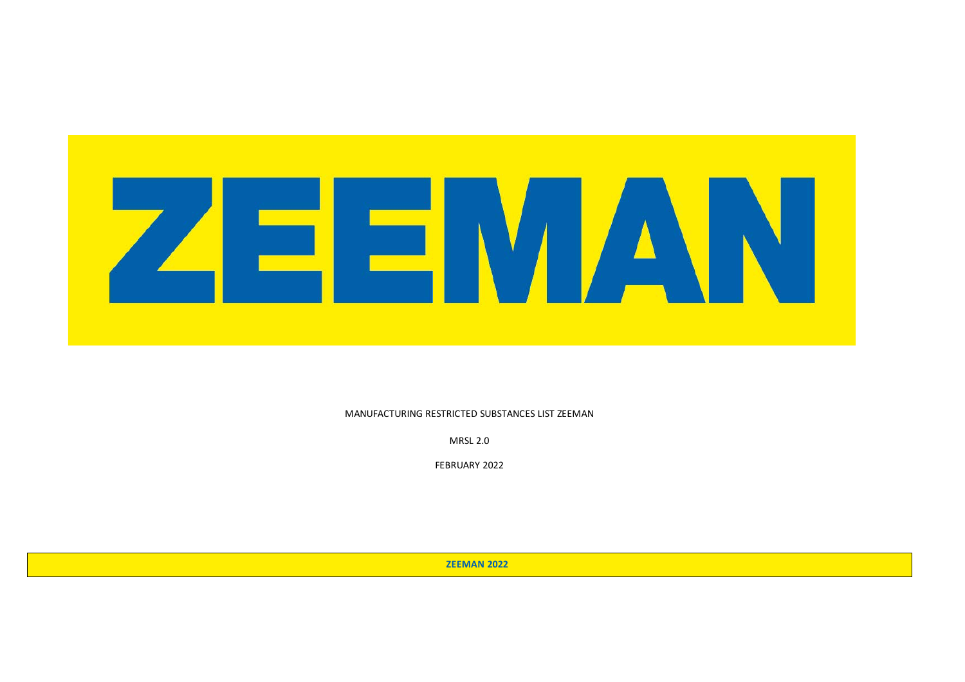

MANUFACTURING RESTRICTED SUBSTANCES LIST ZEEMAN

MRSL 2.0

FEBRUARY 2022

 **ZEEMAN 2022**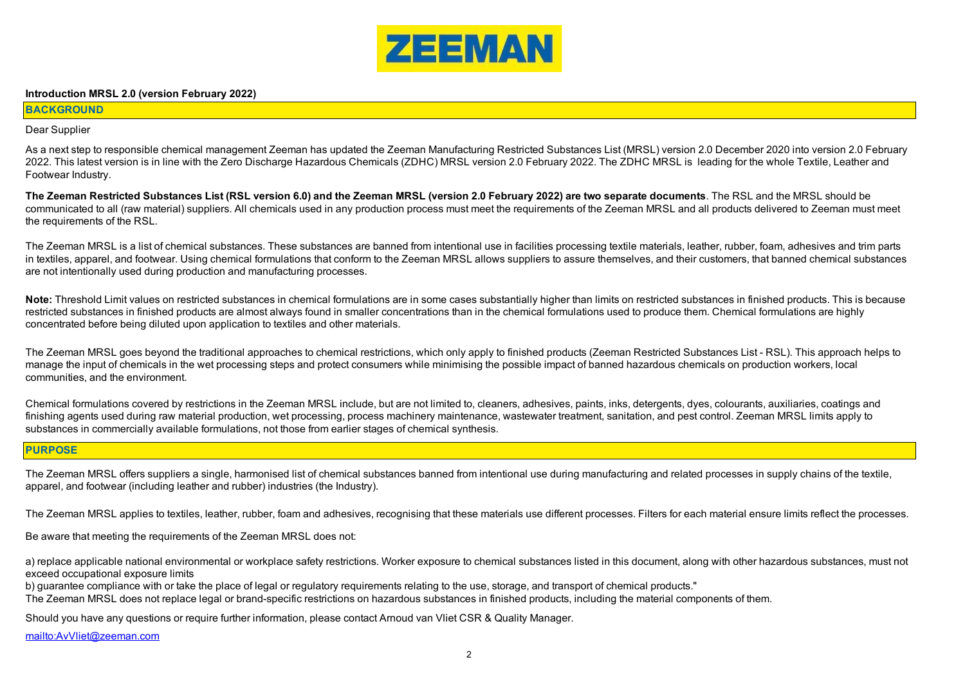

#### **Introduction MRSL 2.0 (version February 2022)**

#### **BACKGROUND**

#### Dear Supplier

As a next step to responsible chemical management Zeeman has updated the Zeeman Manufacturing Restricted Substances List (MRSL) version 2.0 December 2020 into version 2.0 February 2022. This latest version is in line with the Zero Discharge Hazardous Chemicals (ZDHC) MRSL version 2.0 February 2022. The ZDHC MRSL is leading for the whole Textile, Leather and Footwear Industry.

**The Zeeman Restricted Substances List (RSL version 6.0) and the Zeeman MRSL (version 2.0 February 2022) are two separate documents**. The RSL and the MRSL should be communicated to all (raw material) suppliers. All chemicals used in any production process must meet the requirements of the Zeeman MRSL and all products delivered to Zeeman must meet the requirements of the RSL.

The Zeeman MRSL is a list of chemical substances. These substances are banned from intentional use in facilities processing textile materials, leather, rubber, foam, adhesives and trim parts in textiles, apparel, and footwear. Using chemical formulations that conform to the Zeeman MRSL allows suppliers to assure themselves, and their customers, that banned chemical substances are not intentionally used during production and manufacturing processes.

Note: Threshold Limit values on restricted substances in chemical formulations are in some cases substantially higher than limits on restricted substances in finished products. This is because restricted substances in finished products are almost always found in smaller concentrations than in the chemical formulations used to produce them. Chemical formulations are highly concentrated before being diluted upon application to textiles and other materials.

The Zeeman MRSL goes beyond the traditional approaches to chemical restrictions, which only apply to finished products (Zeeman Restricted Substances List - RSL). This approach helps to manage the input of chemicals in the wet processing steps and protect consumers while minimising the possible impact of banned hazardous chemicals on production workers, local communities, and the environment.

Chemical formulations covered by restrictions in the Zeeman MRSL include, but are not limited to, cleaners, adhesives, paints, inks, detergents, dyes, colourants, auxiliaries, coatings and finishing agents used during raw material production, wet processing, process machinery maintenance, wastewater treatment, sanitation, and pest control. Zeeman MRSL limits apply to substances in commercially available formulations, not those from earlier stages of chemical synthesis.

## **PURPOSE**

The Zeeman MRSL offers suppliers a single, harmonised list of chemical substances banned from intentional use during manufacturing and related processes in supply chains of the textile, apparel, and footwear (including leather and rubber) industries (the Industry).

The Zeeman MRSL applies to textiles, leather, rubber, foam and adhesives, recognising that these materials use different processes. Filters for each material ensure limits reflect the processes.

Be aware that meeting the requirements of the Zeeman MRSL does not:

a) replace applicable national environmental or workplace safety restrictions. Worker exposure to chemical substances listed in this document, along with other hazardous substances, must not exceed occupational exposure limits

b) guarantee compliance with or take the place of legal or regulatory requirements relating to the use, storage, and transport of chemical products."

The Zeeman MRSL does not replace legal or brand-specific restrictions on hazardous substances in finished products, including the material components of them.

Should you have any questions or require further information, please contact Arnoud van Vliet CSR & Quality Manager.

mailto:AvVliet@zeeman.com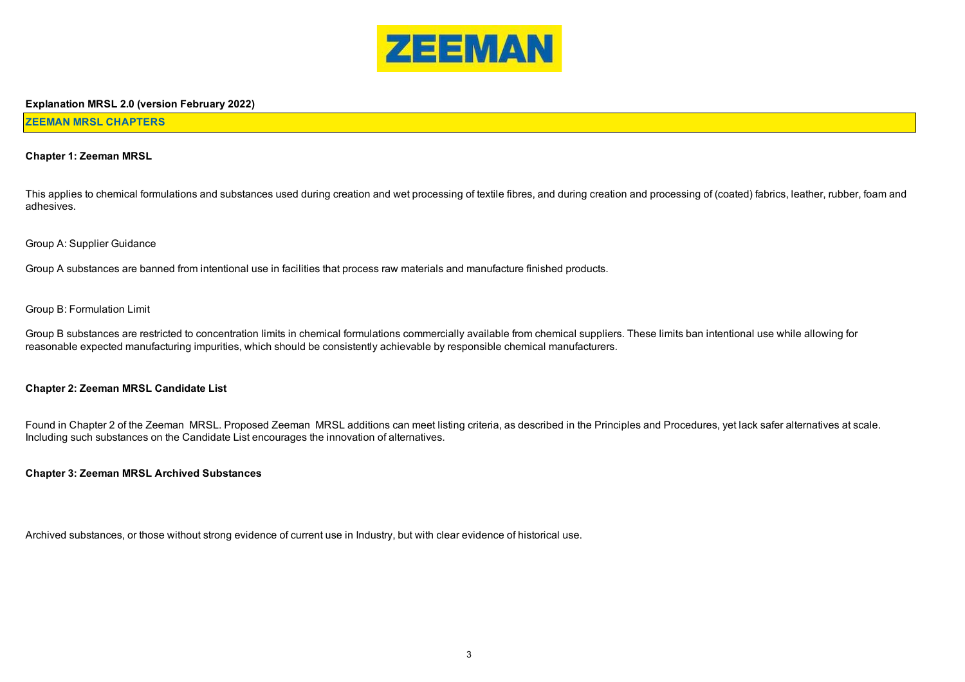

#### **Explanation MRSL 2.0 (version February 2022)**

#### **ZEEMAN MRSL CHAPTERS**

#### **Chapter 1: Zeeman MRSL**

This applies to chemical formulations and substances used during creation and wet processing of textile fibres, and during creation and processing of (coated) fabrics, leather, rubber, foam and adhesives.

#### Group A: Supplier Guidance

Group A substances are banned from intentional use in facilities that process raw materials and manufacture finished products.

#### Group B: Formulation Limit

Group B substances are restricted to concentration limits in chemical formulations commercially available from chemical suppliers. These limits ban intentional use while allowing for reasonable expected manufacturing impurities, which should be consistently achievable by responsible chemical manufacturers.

#### **Chapter 2: Zeeman MRSL Candidate List**

Found in Chapter 2 of the Zeeman MRSL. Proposed Zeeman MRSL additions can meet listing criteria, as described in the Principles and Procedures, yet lack safer alternatives at scale. Including such substances on the Candidate List encourages the innovation of alternatives.

#### **Chapter 3: Zeeman MRSL Archived Substances**

Archived substances, or those without strong evidence of current use in Industry, but with clear evidence of historical use.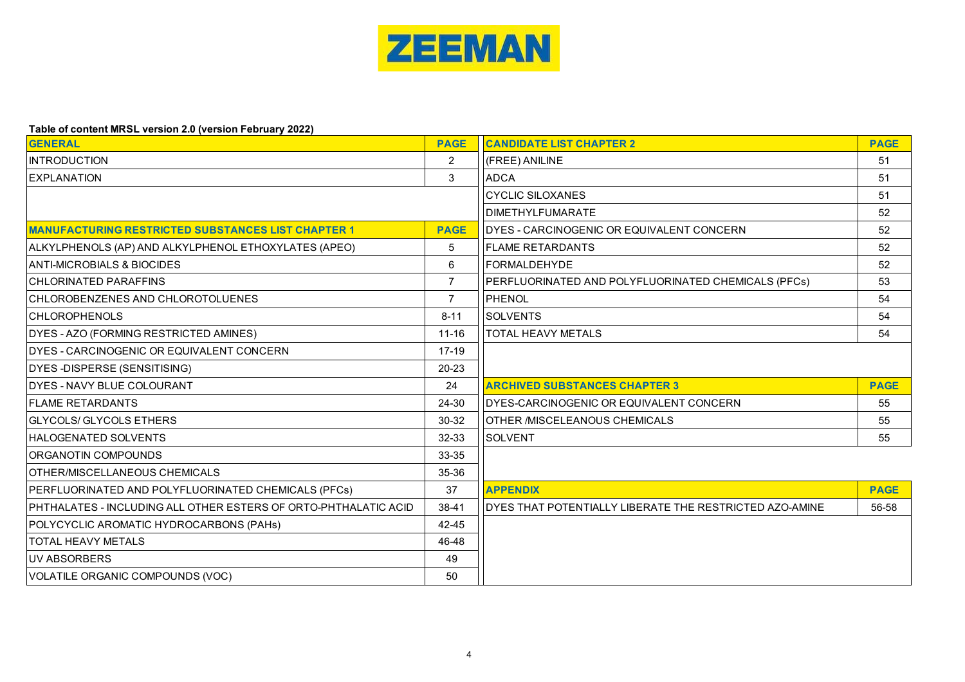

# **Table of content MRSL version 2.0 (version February 2022)**

| <b>GENERAL</b>                                                  | <b>PAGE</b>    | <b>CANDIDATE LIST CHAPTER 2</b>                         | <b>PAGE</b> |
|-----------------------------------------------------------------|----------------|---------------------------------------------------------|-------------|
| <b>INTRODUCTION</b>                                             | 2              | (FREE) ANILINE                                          | 51          |
| <b>EXPLANATION</b>                                              | 3              | <b>ADCA</b>                                             | 51          |
|                                                                 |                | <b>CYCLIC SILOXANES</b>                                 | 51          |
|                                                                 |                | <b>DIMETHYLFUMARATE</b>                                 | 52          |
| <b>MANUFACTURING RESTRICTED SUBSTANCES LIST CHAPTER 1</b>       | <b>PAGE</b>    | DYES - CARCINOGENIC OR EQUIVALENT CONCERN               | 52          |
| ALKYLPHENOLS (AP) AND ALKYLPHENOL ETHOXYLATES (APEO)            | 5              | <b>FLAME RETARDANTS</b>                                 | 52          |
| <b>ANTI-MICROBIALS &amp; BIOCIDES</b>                           | 6              | <b>IFORMALDEHYDE</b>                                    | 52          |
| <b>CHLORINATED PARAFFINS</b>                                    | $\overline{7}$ | PERFLUORINATED AND POLYFLUORINATED CHEMICALS (PFCs)     | 53          |
| CHLOROBENZENES AND CHLOROTOLUENES                               | $\overline{7}$ | PHENOL                                                  | 54          |
| <b>CHLOROPHENOLS</b>                                            | $8 - 11$       | <b>SOLVENTS</b>                                         | 54          |
| DYES - AZO (FORMING RESTRICTED AMINES)                          | $11 - 16$      | TOTAL HEAVY METALS                                      | 54          |
| DYES - CARCINOGENIC OR EQUIVALENT CONCERN                       | 17-19          |                                                         |             |
| DYES-DISPERSE (SENSITISING)                                     | 20-23          |                                                         |             |
| <b>IDYES - NAVY BLUE COLOURANT</b>                              | 24             | <b>ARCHIVED SUBSTANCES CHAPTER 3</b>                    | <b>PAGE</b> |
| <b>FLAME RETARDANTS</b>                                         | 24-30          | IDYES-CARCINOGENIC OR EQUIVALENT CONCERN                | 55          |
| <b>GLYCOLS/ GLYCOLS ETHERS</b>                                  | 30-32          | IOTHER /MISCELEANOUS CHEMICALS                          | 55          |
| <b>HALOGENATED SOLVENTS</b>                                     | 32-33          | <b>SOLVENT</b>                                          | 55          |
| ORGANOTIN COMPOUNDS                                             | 33-35          |                                                         |             |
| OTHER/MISCELLANEOUS CHEMICALS                                   | 35-36          |                                                         |             |
| PERFLUORINATED AND POLYFLUORINATED CHEMICALS (PFCs)             | 37             | <b>APPENDIX</b>                                         | <b>PAGE</b> |
| PHTHALATES - INCLUDING ALL OTHER ESTERS OF ORTO-PHTHALATIC ACID | $38-41$        | DYES THAT POTENTIALLY LIBERATE THE RESTRICTED AZO-AMINE | 56-58       |
| POLYCYCLIC AROMATIC HYDROCARBONS (PAHs)                         | 42-45          |                                                         |             |
| <b>TOTAL HEAVY METALS</b>                                       | 46-48          |                                                         |             |
| <b>UV ABSORBERS</b>                                             | 49             |                                                         |             |
| VOLATILE ORGANIC COMPOUNDS (VOC)                                | 50             |                                                         |             |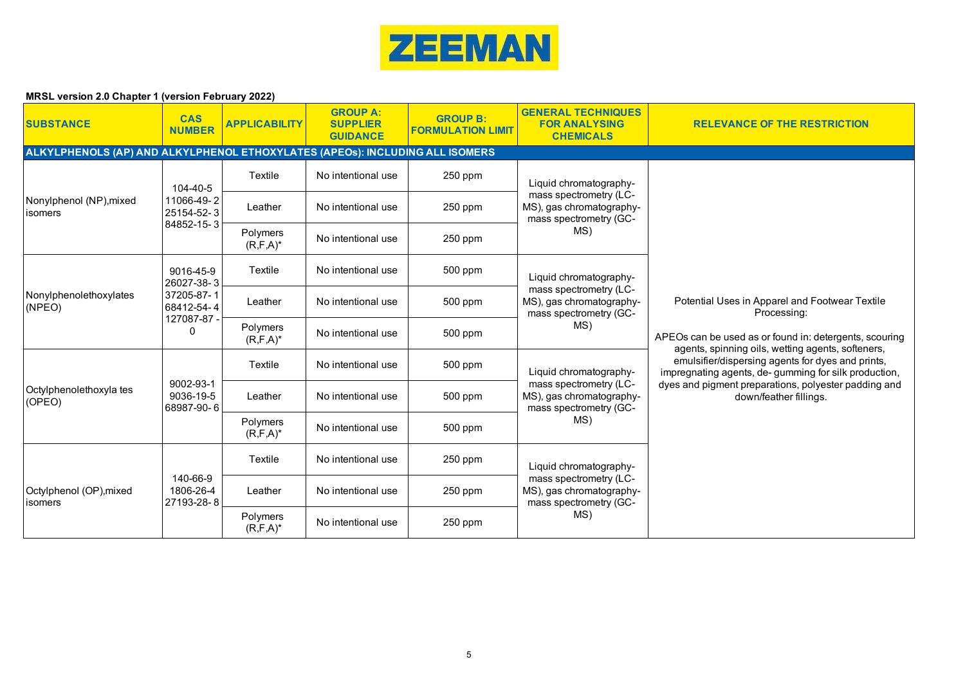

| <b>SUBSTANCE</b>                                                             | <b>CAS</b><br><b>NUMBER</b>          | <b>APPLICABILITY</b>      | <b>GROUP A:</b><br><b>SUPPLIER</b><br><b>GUIDANCE</b> | <b>GROUP B:</b><br><b>FORMULATION LIMIT</b> | <b>GENERAL TECHNIQUES</b><br><b>FOR ANALYSING</b><br><b>CHEMICALS</b>               | <b>RELEVANCE OF THE RESTRICTION</b>                                                                                                                                          |                                                      |
|------------------------------------------------------------------------------|--------------------------------------|---------------------------|-------------------------------------------------------|---------------------------------------------|-------------------------------------------------------------------------------------|------------------------------------------------------------------------------------------------------------------------------------------------------------------------------|------------------------------------------------------|
| ALKYLPHENOLS (AP) AND ALKYLPHENOL ETHOXYLATES (APEOS): INCLUDING ALL ISOMERS |                                      |                           |                                                       |                                             |                                                                                     |                                                                                                                                                                              |                                                      |
|                                                                              | 104-40-5                             | Textile                   | No intentional use                                    | 250 ppm                                     | Liquid chromatography-                                                              |                                                                                                                                                                              |                                                      |
| Nonylphenol (NP), mixed<br>isomers                                           | 11066-49-2<br>25154-52-3             | Leather                   | No intentional use                                    | 250 ppm                                     | mass spectrometry (LC-<br>MS), gas chromatography-<br>mass spectrometry (GC-<br>MS) |                                                                                                                                                                              |                                                      |
|                                                                              | 84852-15-3                           | Polymers<br>$(R, F, A)^*$ | No intentional use                                    | 250 ppm                                     |                                                                                     |                                                                                                                                                                              |                                                      |
|                                                                              | 9016-45-9<br>26027-38-3              | Textile                   | No intentional use                                    | 500 ppm                                     | Liquid chromatography-                                                              |                                                                                                                                                                              |                                                      |
| Nonylphenolethoxylates<br>(NPEO)                                             | 37205-87-1<br>68412-54-4             | Leather                   | No intentional use                                    | 500 ppm                                     | mass spectrometry (LC-<br>MS), gas chromatography-<br>mass spectrometry (GC-<br>MS) | Potential Uses in Apparel and Footwear Textile<br>Processing:<br>APEOs can be used as or found in: detergents, scouring<br>agents, spinning oils, wetting agents, softeners, |                                                      |
|                                                                              | 127087-87<br>0                       | Polymers<br>$(R, F, A)^*$ | No intentional use                                    | 500 ppm                                     |                                                                                     |                                                                                                                                                                              |                                                      |
|                                                                              |                                      | Textile                   | No intentional use                                    | 500 ppm                                     | Liquid chromatography-                                                              | emulsifier/dispersing agents for dyes and prints,                                                                                                                            | impregnating agents, de-gumming for silk production, |
| Octylphenolethoxyla tes<br>(OPEO)                                            | 9002-93-1<br>9036-19-5<br>68987-90-6 | Leather                   | No intentional use                                    | 500 ppm                                     | mass spectrometry (LC-<br>MS), gas chromatography-<br>mass spectrometry (GC-        | dyes and pigment preparations, polyester padding and<br>down/feather fillings.                                                                                               |                                                      |
|                                                                              |                                      | Polymers<br>$(R, F, A)^*$ | No intentional use                                    | 500 ppm                                     | MS)                                                                                 |                                                                                                                                                                              |                                                      |
|                                                                              |                                      | Textile                   | No intentional use                                    | 250 ppm                                     | Liquid chromatography-                                                              |                                                                                                                                                                              |                                                      |
| Octylphenol (OP), mixed<br>isomers                                           | 140-66-9<br>1806-26-4<br>27193-28-8  | Leather                   | No intentional use                                    | 250 ppm                                     | mass spectrometry (LC-<br>MS), gas chromatography-<br>mass spectrometry (GC-        |                                                                                                                                                                              |                                                      |
|                                                                              |                                      | Polymers<br>$(R, F, A)^*$ | No intentional use                                    | 250 ppm                                     | MS)                                                                                 |                                                                                                                                                                              |                                                      |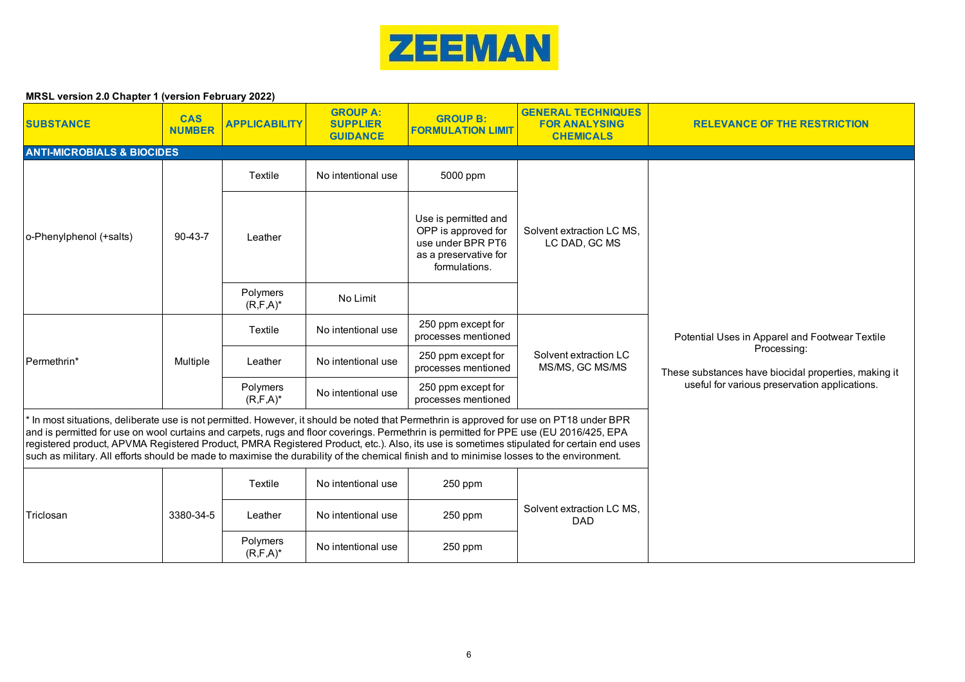

| <b>SUBSTANCE</b>                                                                                                                                                                                                                                                                                                                                                                                                                                                                                                                                                          | <b>CAS</b><br><b>NUMBER</b> | <b>APPLICABILITY</b>      | <b>GROUP A:</b><br><b>SUPPLIER</b><br><b>GUIDANCE</b> | <b>GROUP B:</b><br><b>FORMULATION LIMIT</b>                                                                | <b>GENERAL TECHNIQUES</b><br><b>FOR ANALYSING</b><br><b>CHEMICALS</b> | <b>RELEVANCE OF THE RESTRICTION</b>                                 |
|---------------------------------------------------------------------------------------------------------------------------------------------------------------------------------------------------------------------------------------------------------------------------------------------------------------------------------------------------------------------------------------------------------------------------------------------------------------------------------------------------------------------------------------------------------------------------|-----------------------------|---------------------------|-------------------------------------------------------|------------------------------------------------------------------------------------------------------------|-----------------------------------------------------------------------|---------------------------------------------------------------------|
| <b>ANTI-MICROBIALS &amp; BIOCIDES</b>                                                                                                                                                                                                                                                                                                                                                                                                                                                                                                                                     |                             |                           |                                                       |                                                                                                            |                                                                       |                                                                     |
|                                                                                                                                                                                                                                                                                                                                                                                                                                                                                                                                                                           |                             | Textile                   | No intentional use                                    | 5000 ppm                                                                                                   |                                                                       |                                                                     |
| o-Phenylphenol (+salts)                                                                                                                                                                                                                                                                                                                                                                                                                                                                                                                                                   | $90 - 43 - 7$               | Leather                   |                                                       | Use is permitted and<br>OPP is approved for<br>use under BPR PT6<br>as a preservative for<br>formulations. | Solvent extraction LC MS,<br>LC DAD, GC MS                            |                                                                     |
|                                                                                                                                                                                                                                                                                                                                                                                                                                                                                                                                                                           |                             | Polymers<br>$(R, F, A)^*$ | No Limit                                              |                                                                                                            |                                                                       |                                                                     |
|                                                                                                                                                                                                                                                                                                                                                                                                                                                                                                                                                                           | Multiple                    | Textile                   | No intentional use                                    | 250 ppm except for<br>processes mentioned                                                                  |                                                                       | Potential Uses in Apparel and Footwear Textile                      |
| Permethrin*                                                                                                                                                                                                                                                                                                                                                                                                                                                                                                                                                               |                             | Leather                   | No intentional use                                    | 250 ppm except for<br>processes mentioned                                                                  | Solvent extraction LC<br>MS/MS, GC MS/MS                              | Processing:<br>These substances have biocidal properties, making it |
|                                                                                                                                                                                                                                                                                                                                                                                                                                                                                                                                                                           |                             | Polymers<br>$(R, F, A)^*$ | No intentional use                                    | 250 ppm except for<br>processes mentioned                                                                  |                                                                       | useful for various preservation applications.                       |
| In most situations, deliberate use is not permitted. However, it should be noted that Permethrin is approved for use on PT18 under BPR<br>and is permitted for use on wool curtains and carpets, rugs and floor coverings. Permethrin is permitted for PPE use (EU 2016/425, EPA<br>registered product, APVMA Registered Product, PMRA Registered Product, etc.). Also, its use is sometimes stipulated for certain end uses<br>such as military. All efforts should be made to maximise the durability of the chemical finish and to minimise losses to the environment. |                             |                           |                                                       |                                                                                                            |                                                                       |                                                                     |
|                                                                                                                                                                                                                                                                                                                                                                                                                                                                                                                                                                           |                             | Textile                   | No intentional use                                    | 250 ppm                                                                                                    |                                                                       |                                                                     |
| Triclosan                                                                                                                                                                                                                                                                                                                                                                                                                                                                                                                                                                 | 3380-34-5                   | Leather                   | No intentional use                                    | 250 ppm                                                                                                    | Solvent extraction LC MS,<br><b>DAD</b>                               |                                                                     |
|                                                                                                                                                                                                                                                                                                                                                                                                                                                                                                                                                                           |                             | Polymers<br>$(R, F, A)^*$ | No intentional use                                    | 250 ppm                                                                                                    |                                                                       |                                                                     |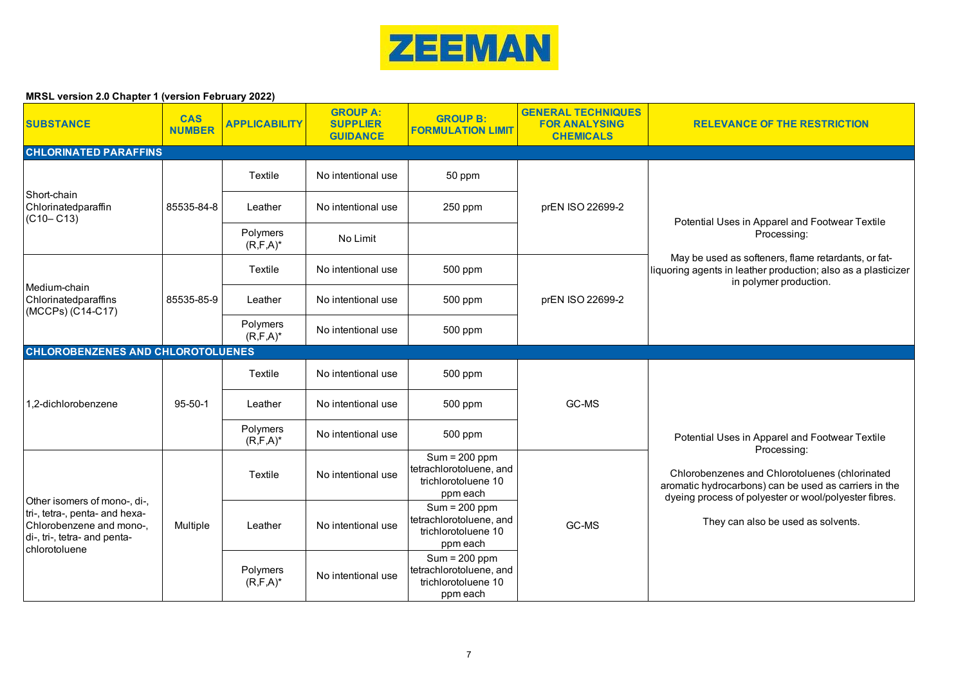

| <b>SUBSTANCE</b>                                                                                                                            | <b>CAS</b><br><b>NUMBER</b> | <b>APPLICABILITY</b>      | <b>GROUP A:</b><br><b>SUPPLIER</b><br><b>GUIDANCE</b> | <b>GROUP B:</b><br><b>FORMULATION LIMIT</b>                                   | <b>GENERAL TECHNIQUES</b><br><b>FOR ANALYSING</b><br><b>CHEMICALS</b> | <b>RELEVANCE OF THE RESTRICTION</b>                                                                                                                                                                                                                                     |
|---------------------------------------------------------------------------------------------------------------------------------------------|-----------------------------|---------------------------|-------------------------------------------------------|-------------------------------------------------------------------------------|-----------------------------------------------------------------------|-------------------------------------------------------------------------------------------------------------------------------------------------------------------------------------------------------------------------------------------------------------------------|
| <b>CHLORINATED PARAFFINS</b>                                                                                                                |                             |                           |                                                       |                                                                               |                                                                       |                                                                                                                                                                                                                                                                         |
|                                                                                                                                             |                             | Textile                   | No intentional use                                    | 50 ppm                                                                        |                                                                       |                                                                                                                                                                                                                                                                         |
| Short-chain<br>Chlorinatedparaffin<br>$(C10 - C13)$                                                                                         | 85535-84-8                  | Leather                   | No intentional use                                    | 250 ppm                                                                       | prEN ISO 22699-2                                                      |                                                                                                                                                                                                                                                                         |
|                                                                                                                                             |                             | Polymers<br>$(R, F, A)^*$ | No Limit                                              |                                                                               |                                                                       | Potential Uses in Apparel and Footwear Textile<br>Processing:                                                                                                                                                                                                           |
|                                                                                                                                             |                             | Textile                   | No intentional use                                    | 500 ppm                                                                       |                                                                       | May be used as softeners, flame retardants, or fat-<br>liquoring agents in leather production; also as a plasticizer<br>in polymer production.                                                                                                                          |
| Medium-chain<br>Chlorinatedparaffins<br>(MCCPs) (C14-C17)                                                                                   | 85535-85-9                  | Leather                   | No intentional use                                    | 500 ppm                                                                       | prEN ISO 22699-2                                                      |                                                                                                                                                                                                                                                                         |
|                                                                                                                                             |                             | Polymers<br>$(R, F, A)^*$ | No intentional use                                    | 500 ppm                                                                       |                                                                       |                                                                                                                                                                                                                                                                         |
| <b>CHLOROBENZENES AND CHLOROTOLUENES</b>                                                                                                    |                             |                           |                                                       |                                                                               |                                                                       |                                                                                                                                                                                                                                                                         |
|                                                                                                                                             |                             | Textile                   | No intentional use                                    | 500 ppm                                                                       |                                                                       |                                                                                                                                                                                                                                                                         |
| 1.2-dichlorobenzene                                                                                                                         | $95 - 50 - 1$               | Leather                   | No intentional use                                    | 500 ppm                                                                       | GC-MS                                                                 |                                                                                                                                                                                                                                                                         |
|                                                                                                                                             |                             | Polymers<br>$(R, F, A)^*$ | No intentional use                                    | 500 ppm                                                                       |                                                                       | Potential Uses in Apparel and Footwear Textile<br>Processing:<br>Chlorobenzenes and Chlorotoluenes (chlorinated<br>aromatic hydrocarbons) can be used as carriers in the<br>dyeing process of polyester or wool/polyester fibres.<br>They can also be used as solvents. |
| Other isomers of mono-, di-,<br>tri-, tetra-, penta- and hexa-<br>Chlorobenzene and mono-,<br>di-, tri-, tetra- and penta-<br>chlorotoluene |                             | Textile                   | No intentional use                                    | $Sum = 200 ppm$<br>tetrachlorotoluene, and<br>trichlorotoluene 10<br>ppm each |                                                                       |                                                                                                                                                                                                                                                                         |
|                                                                                                                                             | Multiple                    | Leather                   | No intentional use                                    | $Sum = 200 ppm$<br>tetrachlorotoluene, and<br>trichlorotoluene 10<br>ppm each | GC-MS                                                                 |                                                                                                                                                                                                                                                                         |
|                                                                                                                                             |                             | Polymers<br>$(R, F, A)^*$ | No intentional use                                    | $Sum = 200 ppm$<br>tetrachlorotoluene, and<br>trichlorotoluene 10<br>ppm each |                                                                       |                                                                                                                                                                                                                                                                         |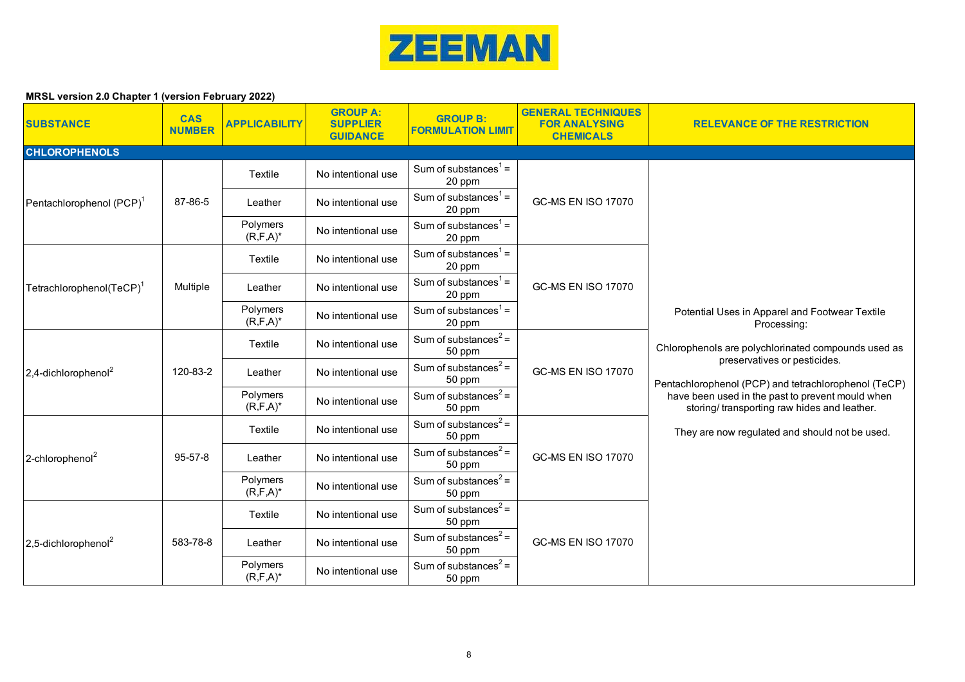

| <b>SUBSTANCE</b>                     | <b>CAS</b><br><b>NUMBER</b> | <b>APPLICABILITY</b>      | <b>GROUP A:</b><br><b>SUPPLIER</b><br><b>GUIDANCE</b> | <b>GROUP B:</b><br><b>FORMULATION LIMIT</b> | <b>GENERAL TECHNIQUES</b><br><b>FOR ANALYSING</b><br><b>CHEMICALS</b> | <b>RELEVANCE OF THE RESTRICTION</b>                                                                                                                                                                                                                                                                                                                               |
|--------------------------------------|-----------------------------|---------------------------|-------------------------------------------------------|---------------------------------------------|-----------------------------------------------------------------------|-------------------------------------------------------------------------------------------------------------------------------------------------------------------------------------------------------------------------------------------------------------------------------------------------------------------------------------------------------------------|
| <b>CHLOROPHENOLS</b>                 |                             |                           |                                                       |                                             |                                                                       |                                                                                                                                                                                                                                                                                                                                                                   |
|                                      |                             | Textile                   | No intentional use                                    | Sum of substances $1 =$<br>20 ppm           |                                                                       |                                                                                                                                                                                                                                                                                                                                                                   |
| Pentachlorophenol (PCP) <sup>1</sup> | 87-86-5                     | Leather                   | No intentional use                                    | Sum of substances <sup>1</sup> =<br>20 ppm  | <b>GC-MS EN ISO 17070</b>                                             |                                                                                                                                                                                                                                                                                                                                                                   |
|                                      |                             | Polymers<br>$(R, F, A)^*$ | No intentional use                                    | Sum of substances $1$ =<br>20 ppm           |                                                                       |                                                                                                                                                                                                                                                                                                                                                                   |
|                                      |                             | Textile                   | No intentional use                                    | Sum of substances <sup>1</sup> =<br>20 ppm  | <b>GC-MS EN ISO 17070</b>                                             |                                                                                                                                                                                                                                                                                                                                                                   |
| Tetrachlorophenol(TeCP) <sup>1</sup> | Multiple                    | Leather                   | No intentional use                                    | Sum of substances $1 =$<br>20 ppm           |                                                                       |                                                                                                                                                                                                                                                                                                                                                                   |
|                                      |                             | Polymers<br>$(R, F, A)^*$ | No intentional use                                    | Sum of substances <sup>1</sup> =<br>20 ppm  |                                                                       | Potential Uses in Apparel and Footwear Textile<br>Processing:<br>Chlorophenols are polychlorinated compounds used as<br>preservatives or pesticides.<br>Pentachlorophenol (PCP) and tetrachlorophenol (TeCP)<br>have been used in the past to prevent mould when<br>storing/transporting raw hides and leather.<br>They are now regulated and should not be used. |
|                                      | 120-83-2                    | Textile                   | No intentional use                                    | Sum of substances <sup>2</sup> =<br>50 ppm  |                                                                       |                                                                                                                                                                                                                                                                                                                                                                   |
| $2,4$ -dichlorophenol <sup>2</sup>   |                             | Leather                   | No intentional use                                    | Sum of substances <sup>2</sup> =<br>50 ppm  | <b>GC-MS EN ISO 17070</b>                                             |                                                                                                                                                                                                                                                                                                                                                                   |
|                                      |                             | Polymers<br>$(R, F, A)^*$ | No intentional use                                    | Sum of substances <sup>2</sup> =<br>50 ppm  |                                                                       |                                                                                                                                                                                                                                                                                                                                                                   |
|                                      |                             | Textile                   | No intentional use                                    | Sum of substances <sup>2</sup> =<br>50 ppm  |                                                                       |                                                                                                                                                                                                                                                                                                                                                                   |
| 2-chlorophenol <sup>2</sup>          | 95-57-8                     | Leather                   | No intentional use                                    | Sum of substances <sup>2</sup> =<br>50 ppm  | <b>GC-MS EN ISO 17070</b>                                             |                                                                                                                                                                                                                                                                                                                                                                   |
|                                      |                             | Polymers<br>$(R, F, A)^*$ | No intentional use                                    | Sum of substances <sup>2</sup> =<br>50 ppm  |                                                                       |                                                                                                                                                                                                                                                                                                                                                                   |
|                                      |                             | Textile                   | No intentional use                                    | Sum of substances <sup>2</sup> =<br>50 ppm  |                                                                       |                                                                                                                                                                                                                                                                                                                                                                   |
| 2,5-dichlorophenol <sup>2</sup>      | 583-78-8                    | Leather                   | No intentional use                                    | Sum of substances <sup>2</sup> =<br>50 ppm  | <b>GC-MS EN ISO 17070</b>                                             |                                                                                                                                                                                                                                                                                                                                                                   |
|                                      |                             | Polymers<br>$(R, F, A)^*$ | No intentional use                                    | Sum of substances <sup>2</sup> =<br>50 ppm  |                                                                       |                                                                                                                                                                                                                                                                                                                                                                   |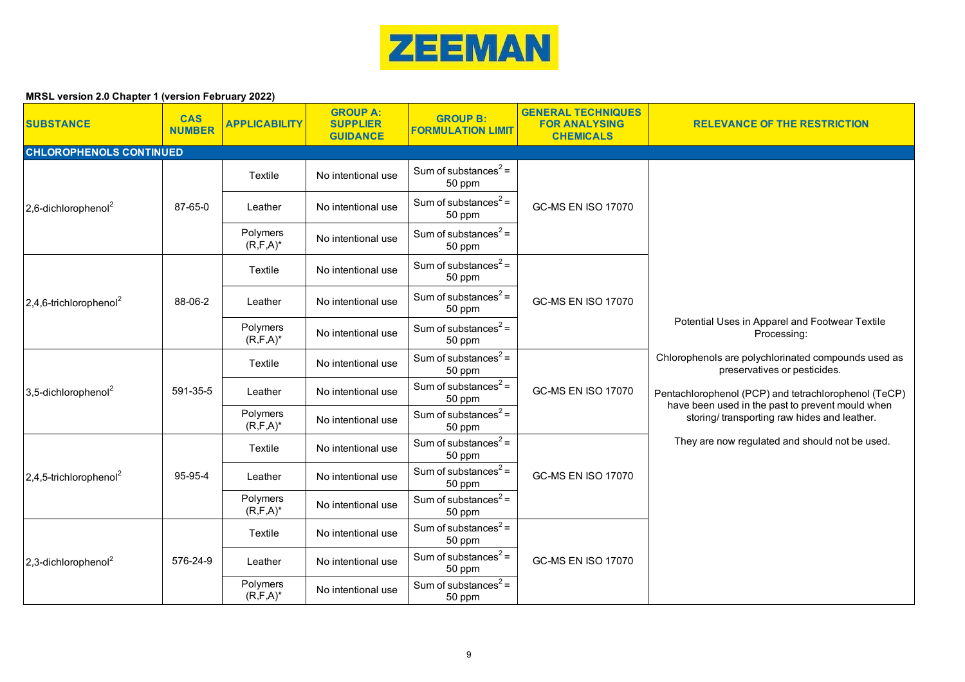

| <b>SUBSTANCE</b>                      | <b>CAS</b><br><b>NUMBER</b> | <b>APPLICABILITY</b>      | <b>GROUP A:</b><br><b>SUPPLIER</b><br><b>GUIDANCE</b> | <b>GROUP B:</b><br><b>FORMULATION LIMIT</b> | <b>GENERAL TECHNIQUES</b><br><b>FOR ANALYSING</b><br><b>CHEMICALS</b> | <b>RELEVANCE OF THE RESTRICTION</b>                                                                                                                     |
|---------------------------------------|-----------------------------|---------------------------|-------------------------------------------------------|---------------------------------------------|-----------------------------------------------------------------------|---------------------------------------------------------------------------------------------------------------------------------------------------------|
| <b>CHLOROPHENOLS CONTINUED</b>        |                             |                           |                                                       |                                             |                                                                       |                                                                                                                                                         |
|                                       |                             | Textile                   | No intentional use                                    | Sum of substances <sup>2</sup> =<br>50 ppm  |                                                                       |                                                                                                                                                         |
| $2,6$ -dichlorophenol <sup>2</sup>    | 87-65-0                     | Leather                   | No intentional use                                    | Sum of substances <sup>2</sup> =<br>50 ppm  | <b>GC-MS EN ISO 17070</b>                                             |                                                                                                                                                         |
|                                       |                             | Polymers<br>$(R, F, A)^*$ | No intentional use                                    | Sum of substances <sup>2</sup> =<br>50 ppm  |                                                                       |                                                                                                                                                         |
|                                       |                             | Textile                   | No intentional use                                    | Sum of substances <sup>2</sup> =<br>50 ppm  | <b>GC-MS EN ISO 17070</b>                                             |                                                                                                                                                         |
| $2,4,6$ -trichlorophenol <sup>2</sup> | 88-06-2                     | Leather                   | No intentional use                                    | Sum of substances <sup>2</sup> =<br>50 ppm  |                                                                       | Potential Uses in Apparel and Footwear Textile<br>Processing:                                                                                           |
|                                       |                             | Polymers<br>$(R, F, A)^*$ | No intentional use                                    | Sum of substances <sup>2</sup> =<br>50 ppm  |                                                                       |                                                                                                                                                         |
|                                       | 591-35-5                    | Textile                   | No intentional use                                    | Sum of substances <sup>2</sup> =<br>50 ppm  |                                                                       | Chlorophenols are polychlorinated compounds used as<br>preservatives or pesticides.                                                                     |
| $3,5$ -dichlorophenol <sup>2</sup>    |                             | Leather                   | No intentional use                                    | Sum of substances <sup>2</sup> =<br>50 ppm  | <b>GC-MS EN ISO 17070</b>                                             | Pentachlorophenol (PCP) and tetrachlorophenol (TeCP)<br>have been used in the past to prevent mould when<br>storing/transporting raw hides and leather. |
|                                       |                             | Polymers<br>$(R, F, A)^*$ | No intentional use                                    | Sum of substances <sup>2</sup> =<br>50 ppm  |                                                                       |                                                                                                                                                         |
|                                       |                             | Textile                   | No intentional use                                    | Sum of substances <sup>2</sup> =<br>50 ppm  |                                                                       | They are now regulated and should not be used.                                                                                                          |
| $2.4.5$ -trichlorophenol <sup>2</sup> | 95-95-4                     | Leather                   | No intentional use                                    | Sum of substances <sup>2</sup> =<br>50 ppm  | <b>GC-MS EN ISO 17070</b>                                             |                                                                                                                                                         |
|                                       |                             | Polymers<br>$(R, F, A)^*$ | No intentional use                                    | Sum of substances <sup>2</sup> =<br>50 ppm  |                                                                       |                                                                                                                                                         |
|                                       |                             | Textile                   | No intentional use                                    | Sum of substances <sup>2</sup> =<br>50 ppm  |                                                                       |                                                                                                                                                         |
| $2,3$ -dichlorophenol <sup>2</sup>    | 576-24-9                    | Leather                   | No intentional use                                    | Sum of substances <sup>2</sup> =<br>50 ppm  | <b>GC-MS EN ISO 17070</b>                                             |                                                                                                                                                         |
|                                       |                             | Polymers<br>$(R, F, A)^*$ | No intentional use                                    | Sum of substances <sup>2</sup> =<br>50 ppm  |                                                                       |                                                                                                                                                         |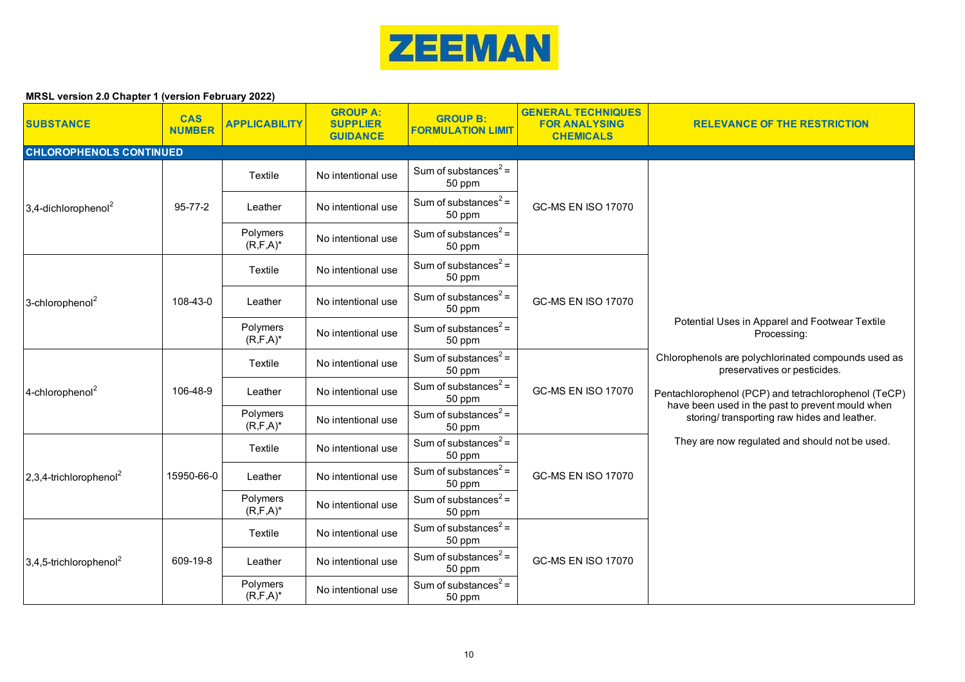

| <b>SUBSTANCE</b>                      | <b>CAS</b><br><b>NUMBER</b> | <b>APPLICABILITY</b>      | <b>GROUP A:</b><br><b>SUPPLIER</b><br><b>GUIDANCE</b> | <b>GROUP B:</b><br><b>FORMULATION LIMIT</b> | <b>GENERAL TECHNIQUES</b><br><b>FOR ANALYSING</b><br><b>CHEMICALS</b> | <b>RELEVANCE OF THE RESTRICTION</b>                                                                      |
|---------------------------------------|-----------------------------|---------------------------|-------------------------------------------------------|---------------------------------------------|-----------------------------------------------------------------------|----------------------------------------------------------------------------------------------------------|
| <b>CHLOROPHENOLS CONTINUED</b>        |                             |                           |                                                       |                                             |                                                                       |                                                                                                          |
|                                       |                             | Textile                   | No intentional use                                    | Sum of substances <sup>2</sup> =<br>50 ppm  |                                                                       |                                                                                                          |
| 3,4-dichlorophenol <sup>2</sup>       | $95 - 77 - 2$               | Leather                   | No intentional use                                    | Sum of substances <sup>2</sup> =<br>50 ppm  | <b>GC-MS EN ISO 17070</b>                                             |                                                                                                          |
|                                       |                             | Polymers<br>$(R, F, A)^*$ | No intentional use                                    | Sum of substances <sup>2</sup> =<br>50 ppm  |                                                                       |                                                                                                          |
|                                       |                             | Textile                   | No intentional use                                    | Sum of substances <sup>2</sup> =<br>50 ppm  |                                                                       |                                                                                                          |
| 3-chlorophenol <sup>2</sup>           | 108-43-0                    | Leather                   | No intentional use                                    | Sum of substances <sup>2</sup> =<br>50 ppm  | <b>GC-MS EN ISO 17070</b>                                             | Potential Uses in Apparel and Footwear Textile<br>Processing:                                            |
|                                       |                             | Polymers<br>$(R, F, A)^*$ | No intentional use                                    | Sum of substances <sup>2</sup> =<br>50 ppm  |                                                                       |                                                                                                          |
|                                       | 106-48-9                    | Textile                   | No intentional use                                    | Sum of substances <sup>2</sup> =<br>50 ppm  |                                                                       | Chlorophenols are polychlorinated compounds used as<br>preservatives or pesticides.                      |
| 4-chlorophenol <sup>2</sup>           |                             | Leather                   | No intentional use                                    | Sum of substances <sup>2</sup> =<br>50 ppm  | <b>GC-MS EN ISO 17070</b>                                             | Pentachlorophenol (PCP) and tetrachlorophenol (TeCP)<br>have been used in the past to prevent mould when |
|                                       |                             | Polymers<br>$(R, F, A)^*$ | No intentional use                                    | Sum of substances <sup>2</sup> =<br>50 ppm  |                                                                       | storing/transporting raw hides and leather.                                                              |
|                                       |                             | Textile                   | No intentional use                                    | Sum of substances <sup>2</sup> =<br>50 ppm  |                                                                       | They are now regulated and should not be used.                                                           |
| $2,3,4$ -trichlorophenol <sup>2</sup> | 15950-66-0                  | Leather                   | No intentional use                                    | Sum of substances <sup>2</sup> =<br>50 ppm  | <b>GC-MS EN ISO 17070</b>                                             |                                                                                                          |
|                                       |                             | Polymers<br>$(R, F, A)^*$ | No intentional use                                    | Sum of substances <sup>2</sup> =<br>50 ppm  |                                                                       |                                                                                                          |
|                                       |                             | Textile                   | No intentional use                                    | Sum of substances <sup>2</sup> =<br>50 ppm  |                                                                       |                                                                                                          |
| $3,4,5$ -trichlorophenol <sup>2</sup> | 609-19-8                    | Leather                   | No intentional use                                    | Sum of substances <sup>2</sup> =<br>50 ppm  | <b>GC-MS EN ISO 17070</b>                                             |                                                                                                          |
|                                       |                             | Polymers<br>$(R, F, A)^*$ | No intentional use                                    | Sum of substances <sup>2</sup> =<br>50 ppm  |                                                                       |                                                                                                          |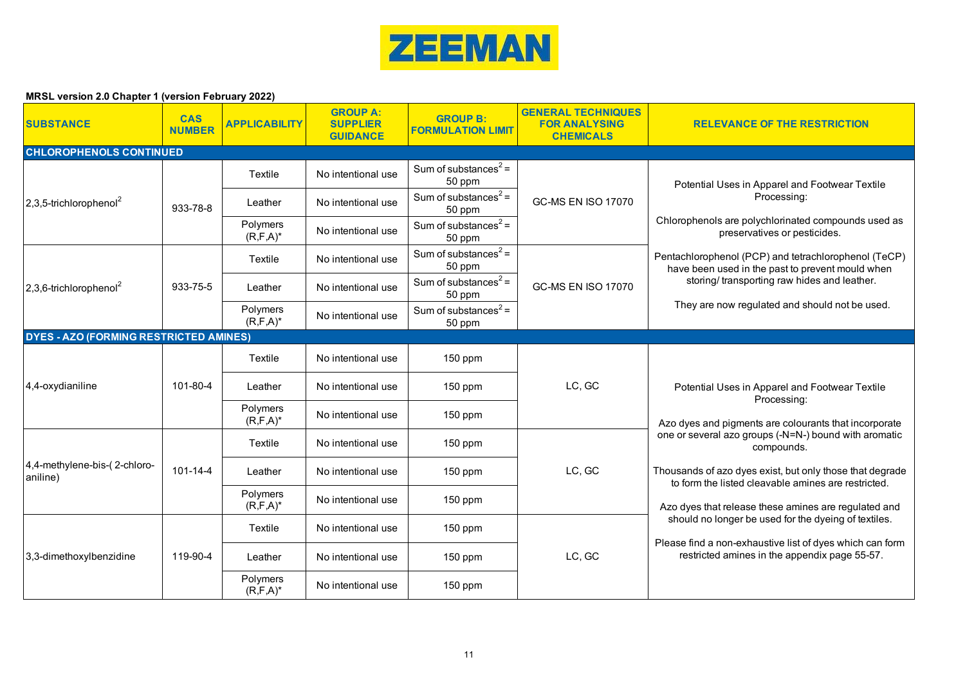

| <b>SUBSTANCE</b>                              | <b>CAS</b><br><b>NUMBER</b> | <b>APPLICABILITY</b>      | <b>GROUP A:</b><br><b>SUPPLIER</b><br><b>GUIDANCE</b> | <b>GROUP B:</b><br>FORMULATION LIMIT       | <b>GENERAL TECHNIQUES</b><br><b>FOR ANALYSING</b><br><b>CHEMICALS</b> | <b>RELEVANCE OF THE RESTRICTION</b>                                                                                    |
|-----------------------------------------------|-----------------------------|---------------------------|-------------------------------------------------------|--------------------------------------------|-----------------------------------------------------------------------|------------------------------------------------------------------------------------------------------------------------|
| <b>CHLOROPHENOLS CONTINUED</b>                |                             |                           |                                                       |                                            |                                                                       |                                                                                                                        |
|                                               |                             | Textile                   | No intentional use                                    | Sum of substances <sup>2</sup> =<br>50 ppm |                                                                       | Potential Uses in Apparel and Footwear Textile                                                                         |
| $2,3,5$ -trichlorophenol <sup>2</sup>         | 933-78-8                    | Leather                   | No intentional use                                    | Sum of substances <sup>2</sup> =<br>50 ppm | <b>GC-MS EN ISO 17070</b>                                             | Processing:                                                                                                            |
|                                               |                             | Polymers<br>$(R, F, A)^*$ | No intentional use                                    | Sum of substances <sup>2</sup> =<br>50 ppm |                                                                       | Chlorophenols are polychlorinated compounds used as<br>preservatives or pesticides.                                    |
|                                               |                             | Textile                   | No intentional use                                    | Sum of substances <sup>2</sup> =<br>50 ppm |                                                                       | Pentachlorophenol (PCP) and tetrachlorophenol (TeCP)<br>have been used in the past to prevent mould when               |
| $2,3,6$ -trichlorophenol <sup>2</sup>         | 933-75-5                    | Leather                   | No intentional use                                    | Sum of substances <sup>2</sup> =<br>50 ppm | <b>GC-MS EN ISO 17070</b>                                             | storing/transporting raw hides and leather.                                                                            |
|                                               |                             | Polymers<br>$(R, F, A)^*$ | No intentional use                                    | Sum of substances <sup>2</sup> =<br>50 ppm |                                                                       | They are now regulated and should not be used.                                                                         |
| <b>DYES - AZO (FORMING RESTRICTED AMINES)</b> |                             |                           |                                                       |                                            |                                                                       |                                                                                                                        |
|                                               |                             | Textile                   | No intentional use                                    | 150 ppm                                    |                                                                       |                                                                                                                        |
| 4,4-oxydianiline                              | 101-80-4                    | Leather                   | No intentional use                                    | $150$ ppm                                  | LC, GC                                                                | Potential Uses in Apparel and Footwear Textile<br>Processing:<br>Azo dyes and pigments are colourants that incorporate |
|                                               |                             | Polymers<br>$(R, F, A)^*$ | No intentional use                                    | $150$ ppm                                  |                                                                       |                                                                                                                        |
|                                               |                             | Textile                   | No intentional use                                    | 150 ppm                                    |                                                                       | one or several azo groups (-N=N-) bound with aromatic<br>compounds.                                                    |
| 4,4-methylene-bis-(2-chloro-<br>aniline)      | $101 - 14 - 4$              | Leather                   | No intentional use                                    | 150 ppm                                    | LC, GC                                                                | Thousands of azo dyes exist, but only those that degrade<br>to form the listed cleavable amines are restricted.        |
|                                               |                             | Polymers<br>$(R, F, A)^*$ | No intentional use                                    | 150 ppm                                    |                                                                       | Azo dyes that release these amines are regulated and                                                                   |
|                                               |                             | Textile                   | No intentional use                                    | 150 ppm                                    | LC, GC                                                                | should no longer be used for the dyeing of textiles.                                                                   |
| 3,3-dimethoxylbenzidine                       | 119-90-4                    | Leather                   | No intentional use                                    | $150$ ppm                                  |                                                                       | Please find a non-exhaustive list of dyes which can form<br>restricted amines in the appendix page 55-57.              |
|                                               |                             | Polymers<br>$(R, F, A)^*$ | No intentional use                                    | $150$ ppm                                  |                                                                       |                                                                                                                        |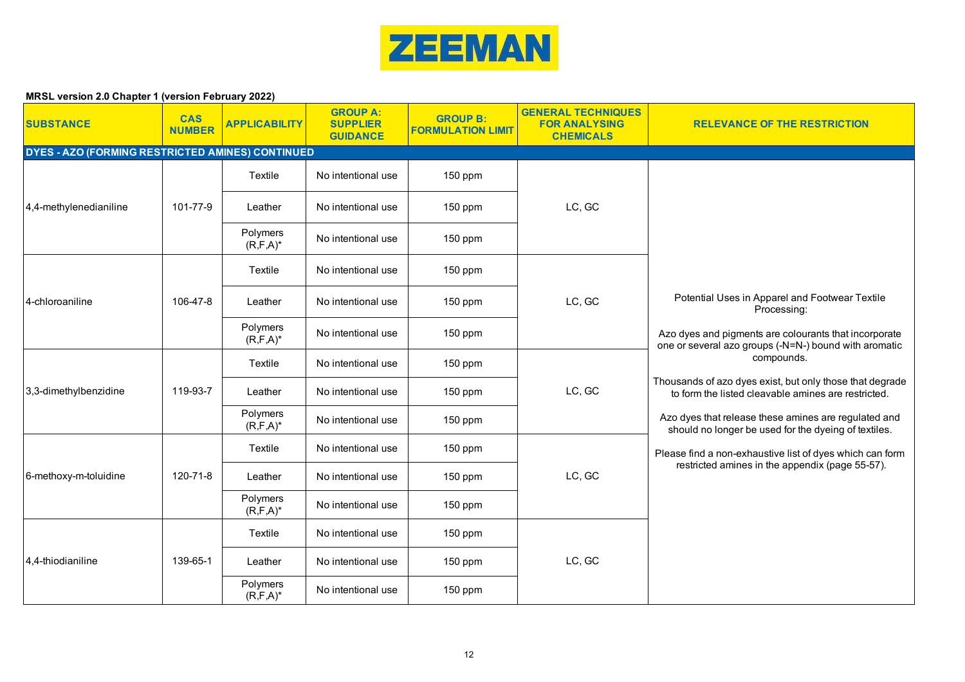

| <b>SUBSTANCE</b>                                 | <b>CAS</b><br><b>NUMBER</b> | <b>APPLICABILITY</b>      | <b>GROUP A:</b><br><b>SUPPLIER</b><br><b>GUIDANCE</b> | <b>GROUP B:</b><br><b>FORMULATION LIMIT</b> | <b>GENERAL TECHNIQUES</b><br><b>FOR ANALYSING</b><br><b>CHEMICALS</b> | <b>RELEVANCE OF THE RESTRICTION</b>                                                                                                                                                                                                                                                                                                                          |
|--------------------------------------------------|-----------------------------|---------------------------|-------------------------------------------------------|---------------------------------------------|-----------------------------------------------------------------------|--------------------------------------------------------------------------------------------------------------------------------------------------------------------------------------------------------------------------------------------------------------------------------------------------------------------------------------------------------------|
| DYES - AZO (FORMING RESTRICTED AMINES) CONTINUED |                             |                           |                                                       |                                             |                                                                       |                                                                                                                                                                                                                                                                                                                                                              |
|                                                  |                             | Textile                   | No intentional use                                    | 150 ppm                                     |                                                                       |                                                                                                                                                                                                                                                                                                                                                              |
| 4,4-methylenedianiline                           | 101-77-9                    | Leather                   | No intentional use                                    | 150 ppm                                     | LC, GC                                                                |                                                                                                                                                                                                                                                                                                                                                              |
|                                                  |                             | Polymers<br>$(R, F, A)^*$ | No intentional use                                    | 150 ppm                                     |                                                                       |                                                                                                                                                                                                                                                                                                                                                              |
|                                                  |                             | Textile                   | No intentional use                                    | 150 ppm                                     |                                                                       |                                                                                                                                                                                                                                                                                                                                                              |
| 4-chloroaniline                                  | 106-47-8                    | Leather                   | No intentional use                                    | $150$ ppm                                   | LC, GC                                                                | Potential Uses in Apparel and Footwear Textile<br>Processing:                                                                                                                                                                                                                                                                                                |
|                                                  |                             | Polymers<br>$(R, F, A)^*$ | No intentional use                                    | 150 ppm                                     |                                                                       | Azo dyes and pigments are colourants that incorporate<br>one or several azo groups (-N=N-) bound with aromatic                                                                                                                                                                                                                                               |
|                                                  | 119-93-7                    | Textile                   | No intentional use                                    | 150 ppm                                     | LC, GC                                                                | compounds.<br>Thousands of azo dyes exist, but only those that degrade<br>to form the listed cleavable amines are restricted.<br>Azo dyes that release these amines are regulated and<br>should no longer be used for the dyeing of textiles.<br>Please find a non-exhaustive list of dyes which can form<br>restricted amines in the appendix (page 55-57). |
| 3,3-dimethylbenzidine                            |                             | Leather                   | No intentional use                                    | 150 ppm                                     |                                                                       |                                                                                                                                                                                                                                                                                                                                                              |
|                                                  |                             | Polymers<br>$(R, F, A)^*$ | No intentional use                                    | 150 ppm                                     |                                                                       |                                                                                                                                                                                                                                                                                                                                                              |
|                                                  |                             | Textile                   | No intentional use                                    | 150 ppm                                     |                                                                       |                                                                                                                                                                                                                                                                                                                                                              |
| 6-methoxy-m-toluidine                            | 120-71-8                    | Leather                   | No intentional use                                    | 150 ppm                                     | LC, GC                                                                |                                                                                                                                                                                                                                                                                                                                                              |
|                                                  |                             | Polymers<br>$(R, F, A)^*$ | No intentional use                                    | 150 ppm                                     |                                                                       |                                                                                                                                                                                                                                                                                                                                                              |
|                                                  |                             | Textile                   | No intentional use                                    | 150 ppm                                     |                                                                       |                                                                                                                                                                                                                                                                                                                                                              |
| 4.4-thiodianiline                                | 139-65-1                    | Leather                   | No intentional use                                    | 150 ppm                                     | LC, GC                                                                |                                                                                                                                                                                                                                                                                                                                                              |
|                                                  |                             | Polymers<br>$(R, F, A)^*$ | No intentional use                                    | 150 ppm                                     |                                                                       |                                                                                                                                                                                                                                                                                                                                                              |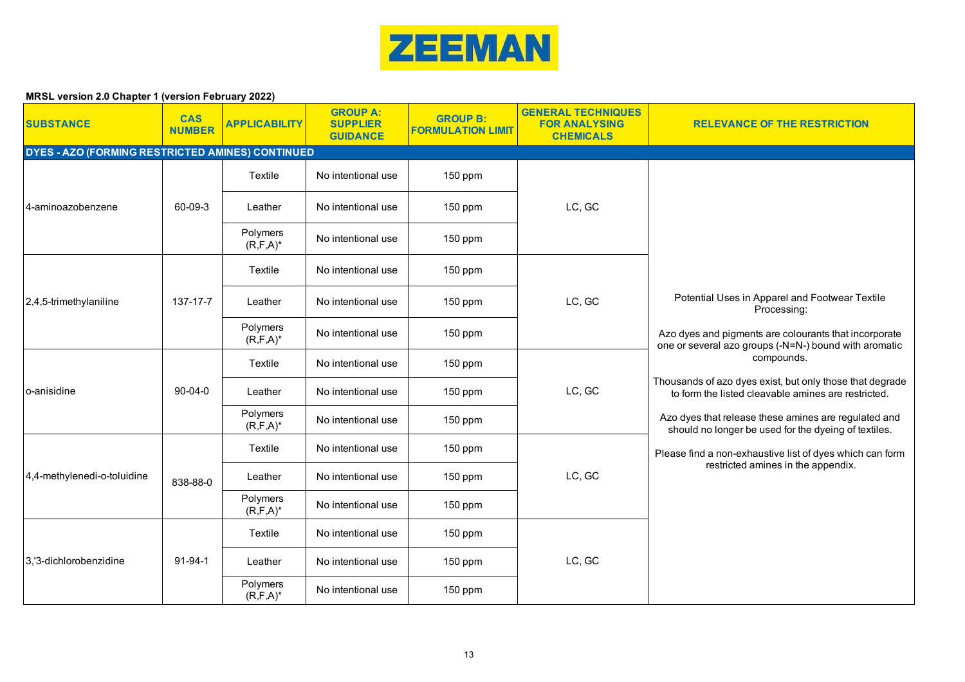

| <b>SUBSTANCE</b>                                 | <b>CAS</b><br><b>NUMBER</b> | <b>APPLICABILITY</b>      | <b>GROUP A:</b><br><b>SUPPLIER</b><br><b>GUIDANCE</b> | <b>GROUP B:</b><br><b>FORMULATION LIMIT</b> | <b>GENERAL TECHNIQUES</b><br><b>FOR ANALYSING</b><br><b>CHEMICALS</b> | <b>RELEVANCE OF THE RESTRICTION</b>                                                                                                                                                                                                                                                                                                             |
|--------------------------------------------------|-----------------------------|---------------------------|-------------------------------------------------------|---------------------------------------------|-----------------------------------------------------------------------|-------------------------------------------------------------------------------------------------------------------------------------------------------------------------------------------------------------------------------------------------------------------------------------------------------------------------------------------------|
| DYES - AZO (FORMING RESTRICTED AMINES) CONTINUED |                             |                           |                                                       |                                             |                                                                       |                                                                                                                                                                                                                                                                                                                                                 |
|                                                  |                             | Textile                   | No intentional use                                    | 150 ppm                                     |                                                                       |                                                                                                                                                                                                                                                                                                                                                 |
| 4-aminoazobenzene                                | 60-09-3                     | Leather                   | No intentional use                                    | 150 ppm                                     | LC, GC                                                                |                                                                                                                                                                                                                                                                                                                                                 |
|                                                  |                             | Polymers<br>$(R, F, A)^*$ | No intentional use                                    | 150 ppm                                     |                                                                       |                                                                                                                                                                                                                                                                                                                                                 |
|                                                  |                             | Textile                   | No intentional use                                    | 150 ppm                                     |                                                                       |                                                                                                                                                                                                                                                                                                                                                 |
| $2,4,5$ -trimethylaniline                        | 137-17-7                    | Leather                   | No intentional use                                    | $150$ ppm                                   | LC, GC                                                                | Potential Uses in Apparel and Footwear Textile<br>Processing:                                                                                                                                                                                                                                                                                   |
|                                                  |                             | Polymers<br>$(R, F, A)^*$ | No intentional use                                    | 150 ppm                                     |                                                                       | Azo dyes and pigments are colourants that incorporate<br>one or several azo groups (-N=N-) bound with aromatic                                                                                                                                                                                                                                  |
|                                                  | $90 - 04 - 0$               | Textile                   | No intentional use                                    | 150 ppm                                     | LC, GC                                                                | compounds.<br>Thousands of azo dyes exist, but only those that degrade<br>to form the listed cleavable amines are restricted.<br>Azo dyes that release these amines are regulated and<br>should no longer be used for the dyeing of textiles.<br>Please find a non-exhaustive list of dyes which can form<br>restricted amines in the appendix. |
| lo-anisidine                                     |                             | Leather                   | No intentional use                                    | 150 ppm                                     |                                                                       |                                                                                                                                                                                                                                                                                                                                                 |
|                                                  |                             | Polymers<br>$(R, F, A)^*$ | No intentional use                                    | 150 ppm                                     |                                                                       |                                                                                                                                                                                                                                                                                                                                                 |
|                                                  |                             | Textile                   | No intentional use                                    | 150 ppm                                     |                                                                       |                                                                                                                                                                                                                                                                                                                                                 |
| 4,4-methylenedi-o-toluidine                      | 838-88-0                    | Leather                   | No intentional use                                    | 150 ppm                                     | LC, GC                                                                |                                                                                                                                                                                                                                                                                                                                                 |
|                                                  |                             | Polymers<br>$(R, F, A)^*$ | No intentional use                                    | 150 ppm                                     |                                                                       |                                                                                                                                                                                                                                                                                                                                                 |
|                                                  |                             | Textile                   | No intentional use                                    | 150 ppm                                     |                                                                       |                                                                                                                                                                                                                                                                                                                                                 |
| 3,'3-dichlorobenzidine                           | $91 - 94 - 1$               | Leather                   | No intentional use                                    | 150 ppm                                     | LC, GC                                                                |                                                                                                                                                                                                                                                                                                                                                 |
|                                                  |                             | Polymers<br>$(R, F, A)^*$ | No intentional use                                    | 150 ppm                                     |                                                                       |                                                                                                                                                                                                                                                                                                                                                 |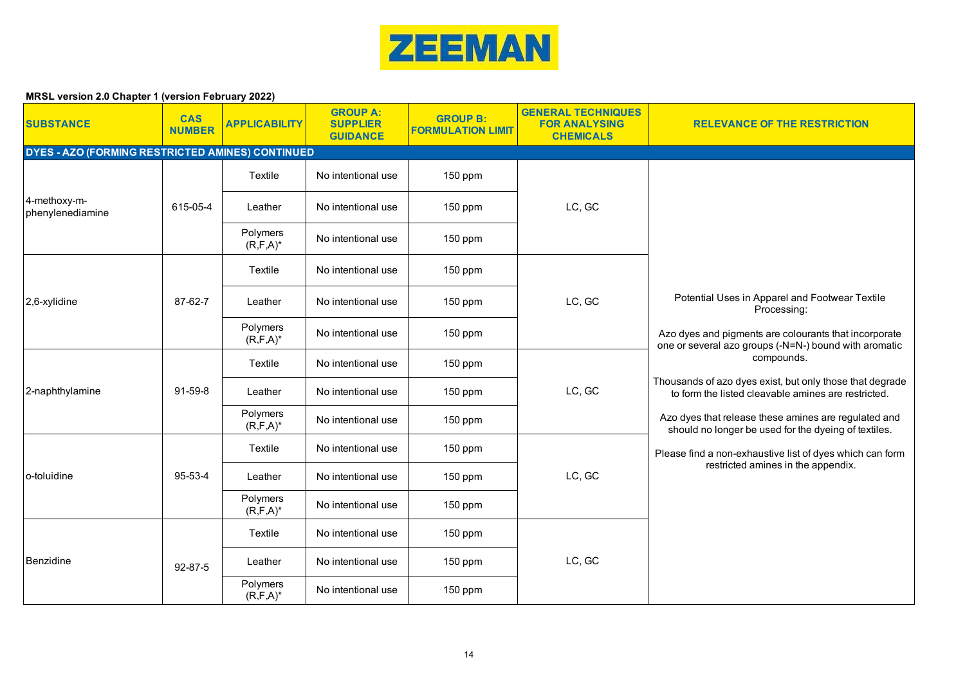

| <b>SUBSTANCE</b>                                 | <b>CAS</b><br><b>NUMBER</b> | <b>APPLICABILITY</b>      | <b>GROUP A:</b><br><b>SUPPLIER</b><br><b>GUIDANCE</b> | <b>GROUP B:</b><br><b>FORMULATION LIMIT</b> | <b>GENERAL TECHNIQUES</b><br><b>FOR ANALYSING</b><br><b>CHEMICALS</b> | <b>RELEVANCE OF THE RESTRICTION</b>                                                                                                                                                                                                                                                                                                             |
|--------------------------------------------------|-----------------------------|---------------------------|-------------------------------------------------------|---------------------------------------------|-----------------------------------------------------------------------|-------------------------------------------------------------------------------------------------------------------------------------------------------------------------------------------------------------------------------------------------------------------------------------------------------------------------------------------------|
| DYES - AZO (FORMING RESTRICTED AMINES) CONTINUED |                             |                           |                                                       |                                             |                                                                       |                                                                                                                                                                                                                                                                                                                                                 |
|                                                  |                             | Textile                   | No intentional use                                    | 150 ppm                                     |                                                                       |                                                                                                                                                                                                                                                                                                                                                 |
| 4-methoxy-m-<br>phenylenediamine                 | 615-05-4                    | Leather                   | No intentional use                                    | $150$ ppm                                   | LC, GC                                                                |                                                                                                                                                                                                                                                                                                                                                 |
|                                                  |                             | Polymers<br>$(R, F, A)^*$ | No intentional use                                    | 150 ppm                                     |                                                                       |                                                                                                                                                                                                                                                                                                                                                 |
|                                                  |                             | Textile                   | No intentional use                                    | 150 ppm                                     |                                                                       |                                                                                                                                                                                                                                                                                                                                                 |
| 2,6-xylidine                                     | 87-62-7                     | Leather                   | No intentional use                                    | $150$ ppm                                   | LC, GC                                                                | Potential Uses in Apparel and Footwear Textile<br>Processing:                                                                                                                                                                                                                                                                                   |
|                                                  |                             | Polymers<br>$(R, F, A)^*$ | No intentional use                                    | 150 ppm                                     |                                                                       | Azo dyes and pigments are colourants that incorporate<br>one or several azo groups (-N=N-) bound with aromatic                                                                                                                                                                                                                                  |
|                                                  | $91-59-8$                   | Textile                   | No intentional use                                    | 150 ppm                                     | LC, GC                                                                | compounds.<br>Thousands of azo dyes exist, but only those that degrade<br>to form the listed cleavable amines are restricted.<br>Azo dyes that release these amines are regulated and<br>should no longer be used for the dyeing of textiles.<br>Please find a non-exhaustive list of dyes which can form<br>restricted amines in the appendix. |
| 2-naphthylamine                                  |                             | Leather                   | No intentional use                                    | 150 ppm                                     |                                                                       |                                                                                                                                                                                                                                                                                                                                                 |
|                                                  |                             | Polymers<br>$(R, F, A)^*$ | No intentional use                                    | 150 ppm                                     |                                                                       |                                                                                                                                                                                                                                                                                                                                                 |
|                                                  |                             | Textile                   | No intentional use                                    | 150 ppm                                     |                                                                       |                                                                                                                                                                                                                                                                                                                                                 |
| lo-toluidine                                     | 95-53-4                     | Leather                   | No intentional use                                    | $150$ ppm                                   | LC, GC                                                                |                                                                                                                                                                                                                                                                                                                                                 |
|                                                  |                             | Polymers<br>$(R, F, A)^*$ | No intentional use                                    | 150 ppm                                     |                                                                       |                                                                                                                                                                                                                                                                                                                                                 |
|                                                  |                             | Textile                   | No intentional use                                    | 150 ppm                                     |                                                                       |                                                                                                                                                                                                                                                                                                                                                 |
| Benzidine                                        | 92-87-5                     | Leather                   | No intentional use                                    | 150 ppm                                     | LC, GC                                                                |                                                                                                                                                                                                                                                                                                                                                 |
|                                                  |                             | Polymers<br>$(R, F, A)^*$ | No intentional use                                    | 150 ppm                                     |                                                                       |                                                                                                                                                                                                                                                                                                                                                 |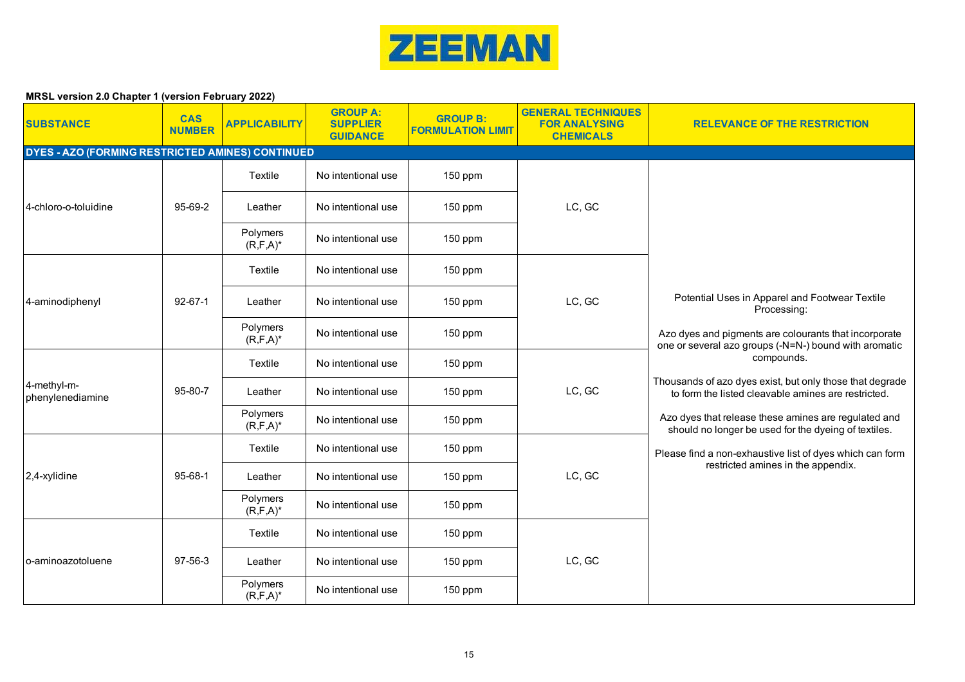

| <b>SUBSTANCE</b>                                 | <b>CAS</b><br><b>NUMBER</b> | <b>APPLICABILITY</b>      | <b>GROUP A:</b><br><b>SUPPLIER</b><br><b>GUIDANCE</b> | <b>GROUP B:</b><br><b>FORMULATION LIMIT</b> | <b>GENERAL TECHNIQUES</b><br><b>FOR ANALYSING</b><br><b>CHEMICALS</b> | <b>RELEVANCE OF THE RESTRICTION</b>                                                                                                                                                                                                                                                                                                             |
|--------------------------------------------------|-----------------------------|---------------------------|-------------------------------------------------------|---------------------------------------------|-----------------------------------------------------------------------|-------------------------------------------------------------------------------------------------------------------------------------------------------------------------------------------------------------------------------------------------------------------------------------------------------------------------------------------------|
| DYES - AZO (FORMING RESTRICTED AMINES) CONTINUED |                             |                           |                                                       |                                             |                                                                       |                                                                                                                                                                                                                                                                                                                                                 |
|                                                  |                             | Textile                   | No intentional use                                    | 150 ppm                                     |                                                                       |                                                                                                                                                                                                                                                                                                                                                 |
| 4-chloro-o-toluidine                             | 95-69-2                     | Leather                   | No intentional use                                    | $150$ ppm                                   | LC, GC                                                                |                                                                                                                                                                                                                                                                                                                                                 |
|                                                  |                             | Polymers<br>$(R, F, A)^*$ | No intentional use                                    | 150 ppm                                     |                                                                       |                                                                                                                                                                                                                                                                                                                                                 |
|                                                  |                             | Textile                   | No intentional use                                    | 150 ppm                                     |                                                                       |                                                                                                                                                                                                                                                                                                                                                 |
| 4-aminodiphenyl                                  | $92 - 67 - 1$               | Leather                   | No intentional use                                    | $150$ ppm                                   | LC, GC                                                                | Potential Uses in Apparel and Footwear Textile<br>Processing:                                                                                                                                                                                                                                                                                   |
|                                                  |                             | Polymers<br>$(R, F, A)^*$ | No intentional use                                    | 150 ppm                                     |                                                                       | Azo dyes and pigments are colourants that incorporate<br>one or several azo groups (-N=N-) bound with aromatic                                                                                                                                                                                                                                  |
|                                                  | 95-80-7                     | Textile                   | No intentional use                                    | 150 ppm                                     | LC, GC                                                                | compounds.<br>Thousands of azo dyes exist, but only those that degrade<br>to form the listed cleavable amines are restricted.<br>Azo dyes that release these amines are regulated and<br>should no longer be used for the dyeing of textiles.<br>Please find a non-exhaustive list of dyes which can form<br>restricted amines in the appendix. |
| 4-methyl-m-<br>phenylenediamine                  |                             | Leather                   | No intentional use                                    | 150 ppm                                     |                                                                       |                                                                                                                                                                                                                                                                                                                                                 |
|                                                  |                             | Polymers<br>$(R, F, A)^*$ | No intentional use                                    | 150 ppm                                     |                                                                       |                                                                                                                                                                                                                                                                                                                                                 |
|                                                  |                             | Textile                   | No intentional use                                    | 150 ppm                                     |                                                                       |                                                                                                                                                                                                                                                                                                                                                 |
| $2,4$ -xylidine                                  | $95 - 68 - 1$               | Leather                   | No intentional use                                    | 150 ppm                                     | LC, GC                                                                |                                                                                                                                                                                                                                                                                                                                                 |
|                                                  |                             | Polymers<br>$(R, F, A)^*$ | No intentional use                                    | 150 ppm                                     |                                                                       |                                                                                                                                                                                                                                                                                                                                                 |
|                                                  |                             | Textile                   | No intentional use                                    | 150 ppm                                     |                                                                       |                                                                                                                                                                                                                                                                                                                                                 |
| o-aminoazotoluene                                | 97-56-3                     | Leather                   | No intentional use                                    | 150 ppm                                     | LC, GC                                                                |                                                                                                                                                                                                                                                                                                                                                 |
|                                                  |                             | Polymers<br>$(R, F, A)^*$ | No intentional use                                    | 150 ppm                                     |                                                                       |                                                                                                                                                                                                                                                                                                                                                 |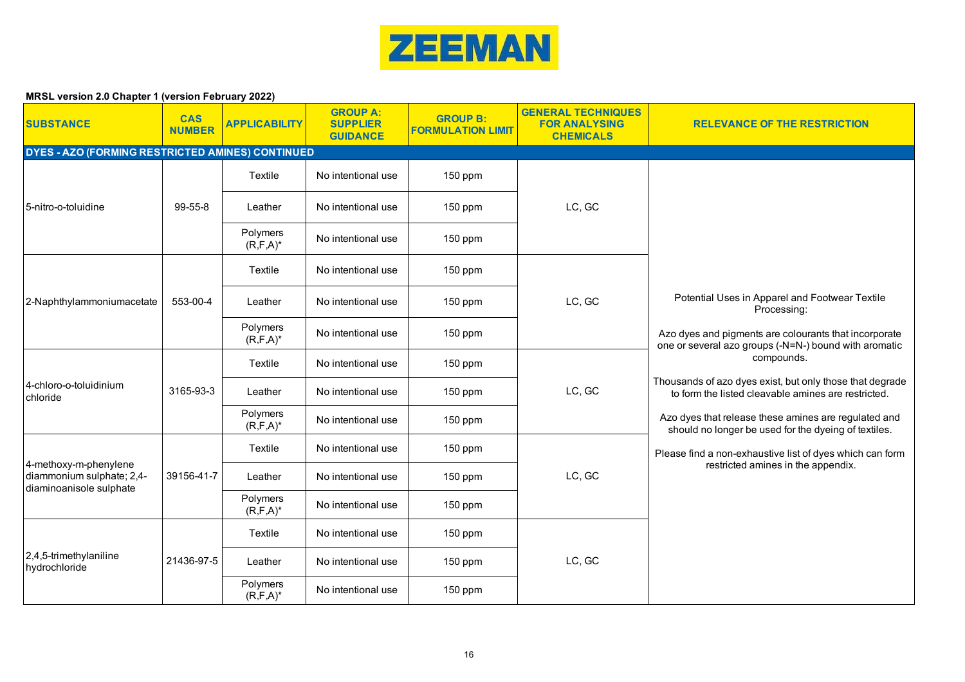

| <b>SUBSTANCE</b>                                     | <b>CAS</b><br><b>NUMBER</b> | <b>APPLICABILITY</b>      | <b>GROUP A:</b><br><b>SUPPLIER</b><br><b>GUIDANCE</b> | <b>GROUP B:</b><br><b>FORMULATION LIMIT</b> | <b>GENERAL TECHNIQUES</b><br><b>FOR ANALYSING</b><br><b>CHEMICALS</b> | <b>RELEVANCE OF THE RESTRICTION</b>                                                                                                                                                                                                                                                                                                             |
|------------------------------------------------------|-----------------------------|---------------------------|-------------------------------------------------------|---------------------------------------------|-----------------------------------------------------------------------|-------------------------------------------------------------------------------------------------------------------------------------------------------------------------------------------------------------------------------------------------------------------------------------------------------------------------------------------------|
| DYES - AZO (FORMING RESTRICTED AMINES) CONTINUED     |                             |                           |                                                       |                                             |                                                                       |                                                                                                                                                                                                                                                                                                                                                 |
|                                                      |                             | Textile                   | No intentional use                                    | 150 ppm                                     |                                                                       |                                                                                                                                                                                                                                                                                                                                                 |
| 5-nitro-o-toluidine                                  | 99-55-8                     | Leather                   | No intentional use                                    | $150$ ppm                                   | LC, GC                                                                |                                                                                                                                                                                                                                                                                                                                                 |
|                                                      |                             | Polymers<br>$(R, F, A)^*$ | No intentional use                                    | $150$ ppm                                   |                                                                       |                                                                                                                                                                                                                                                                                                                                                 |
|                                                      |                             | Textile                   | No intentional use                                    | 150 ppm                                     |                                                                       |                                                                                                                                                                                                                                                                                                                                                 |
| 2-Naphthylammoniumacetate                            | 553-00-4                    | Leather                   | No intentional use                                    | $150$ ppm                                   | LC, GC                                                                | Potential Uses in Apparel and Footwear Textile<br>Processing:                                                                                                                                                                                                                                                                                   |
|                                                      |                             | Polymers<br>$(R, F, A)^*$ | No intentional use                                    | 150 ppm                                     |                                                                       | Azo dyes and pigments are colourants that incorporate<br>one or several azo groups (-N=N-) bound with aromatic                                                                                                                                                                                                                                  |
|                                                      | 3165-93-3                   | Textile                   | No intentional use                                    | $150$ ppm                                   | LC, GC                                                                | compounds.<br>Thousands of azo dyes exist, but only those that degrade<br>to form the listed cleavable amines are restricted.<br>Azo dyes that release these amines are regulated and<br>should no longer be used for the dyeing of textiles.<br>Please find a non-exhaustive list of dyes which can form<br>restricted amines in the appendix. |
| 4-chloro-o-toluidinium<br>chloride                   |                             | Leather                   | No intentional use                                    | 150 ppm                                     |                                                                       |                                                                                                                                                                                                                                                                                                                                                 |
|                                                      |                             | Polymers<br>$(R, F, A)^*$ | No intentional use                                    | 150 ppm                                     |                                                                       |                                                                                                                                                                                                                                                                                                                                                 |
| 4-methoxy-m-phenylene                                |                             | Textile                   | No intentional use                                    | 150 ppm                                     |                                                                       |                                                                                                                                                                                                                                                                                                                                                 |
| diammonium sulphate; 2,4-<br>diaminoanisole sulphate | 39156-41-7                  | Leather                   | No intentional use                                    | $150$ ppm                                   | LC, GC                                                                |                                                                                                                                                                                                                                                                                                                                                 |
|                                                      |                             | Polymers<br>$(R, F, A)^*$ | No intentional use                                    | 150 ppm                                     |                                                                       |                                                                                                                                                                                                                                                                                                                                                 |
|                                                      |                             | Textile                   | No intentional use                                    | 150 ppm                                     |                                                                       |                                                                                                                                                                                                                                                                                                                                                 |
| 2,4,5-trimethylaniline<br>hydrochloride              | 21436-97-5                  | Leather                   | No intentional use                                    | $150$ ppm                                   | LC, GC                                                                |                                                                                                                                                                                                                                                                                                                                                 |
|                                                      |                             | Polymers<br>$(R, F, A)^*$ | No intentional use                                    | $150$ ppm                                   |                                                                       |                                                                                                                                                                                                                                                                                                                                                 |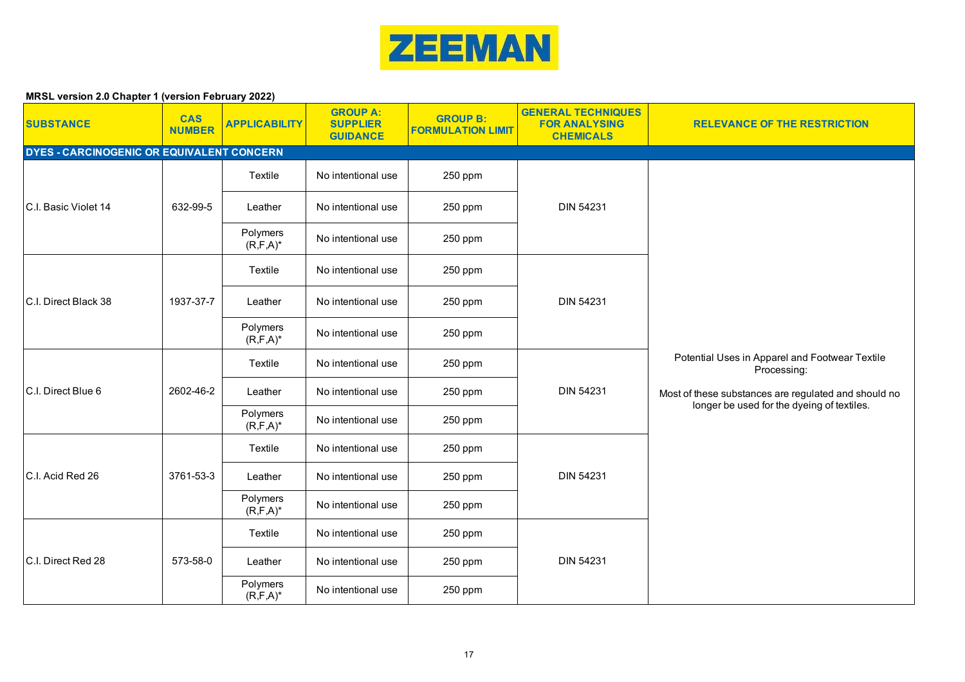

| <b>SUBSTANCE</b>                          | <b>CAS</b><br><b>NUMBER</b> | <b>APPLICABILITY</b>      | <b>GROUP A:</b><br><b>SUPPLIER</b><br><b>GUIDANCE</b> | <b>GROUP B:</b><br><b>FORMULATION LIMIT</b> | <b>GENERAL TECHNIQUES</b><br><b>FOR ANALYSING</b><br><b>CHEMICALS</b> | <b>RELEVANCE OF THE RESTRICTION</b>                                                                                                                                 |
|-------------------------------------------|-----------------------------|---------------------------|-------------------------------------------------------|---------------------------------------------|-----------------------------------------------------------------------|---------------------------------------------------------------------------------------------------------------------------------------------------------------------|
| DYES - CARCINOGENIC OR EQUIVALENT CONCERN |                             |                           |                                                       |                                             |                                                                       |                                                                                                                                                                     |
|                                           |                             | Textile                   | No intentional use                                    | 250 ppm                                     |                                                                       |                                                                                                                                                                     |
| C.I. Basic Violet 14                      | 632-99-5                    | Leather                   | No intentional use                                    | 250 ppm                                     | DIN 54231                                                             |                                                                                                                                                                     |
|                                           |                             | Polymers<br>$(R, F, A)^*$ | No intentional use                                    | 250 ppm                                     |                                                                       |                                                                                                                                                                     |
|                                           |                             | Textile                   | No intentional use                                    | 250 ppm                                     |                                                                       |                                                                                                                                                                     |
| <b>C.I. Direct Black 38</b>               | 1937-37-7                   | Leather                   | No intentional use                                    | 250 ppm                                     | <b>DIN 54231</b>                                                      |                                                                                                                                                                     |
|                                           |                             | Polymers<br>$(R, F, A)^*$ | No intentional use                                    | 250 ppm                                     |                                                                       | Potential Uses in Apparel and Footwear Textile<br>Processing:<br>Most of these substances are regulated and should no<br>longer be used for the dyeing of textiles. |
|                                           |                             | Textile                   | No intentional use                                    | 250 ppm                                     | <b>DIN 54231</b>                                                      |                                                                                                                                                                     |
| C.I. Direct Blue 6                        | 2602-46-2                   | Leather                   | No intentional use                                    | 250 ppm                                     |                                                                       |                                                                                                                                                                     |
|                                           |                             | Polymers<br>$(R, F, A)^*$ | No intentional use                                    | 250 ppm                                     |                                                                       |                                                                                                                                                                     |
|                                           |                             | Textile                   | No intentional use                                    | 250 ppm                                     |                                                                       |                                                                                                                                                                     |
| C.I. Acid Red 26                          | 3761-53-3                   | Leather                   | No intentional use                                    | 250 ppm                                     | <b>DIN 54231</b>                                                      |                                                                                                                                                                     |
|                                           |                             | Polymers<br>$(R, F, A)^*$ | No intentional use                                    | 250 ppm                                     |                                                                       |                                                                                                                                                                     |
|                                           |                             | Textile                   | No intentional use                                    | 250 ppm                                     |                                                                       |                                                                                                                                                                     |
| C.I. Direct Red 28                        | 573-58-0                    | Leather                   | No intentional use                                    | 250 ppm                                     | <b>DIN 54231</b>                                                      |                                                                                                                                                                     |
|                                           |                             | Polymers<br>$(R, F, A)^*$ | No intentional use                                    | 250 ppm                                     |                                                                       |                                                                                                                                                                     |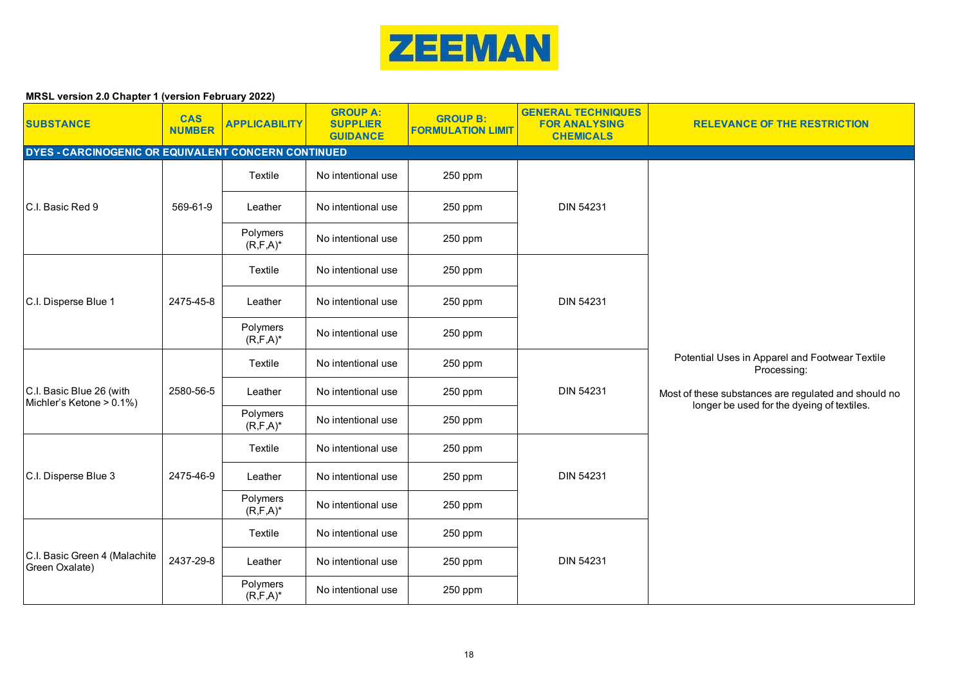

| <b>SUBSTANCE</b>                                     | <b>CAS</b><br><b>NUMBER</b> | <b>APPLICABILITY</b>      | <b>GROUP A:</b><br><b>SUPPLIER</b><br><b>GUIDANCE</b> | <b>GROUP B:</b><br><b>FORMULATION LIMIT</b> | <b>GENERAL TECHNIQUES</b><br><b>FOR ANALYSING</b><br><b>CHEMICALS</b> | <b>RELEVANCE OF THE RESTRICTION</b>                                                                |
|------------------------------------------------------|-----------------------------|---------------------------|-------------------------------------------------------|---------------------------------------------|-----------------------------------------------------------------------|----------------------------------------------------------------------------------------------------|
| DYES - CARCINOGENIC OR EQUIVALENT CONCERN CONTINUED  |                             |                           |                                                       |                                             |                                                                       |                                                                                                    |
|                                                      |                             | Textile                   | No intentional use                                    | 250 ppm                                     |                                                                       |                                                                                                    |
| C.I. Basic Red 9                                     | 569-61-9                    | Leather                   | No intentional use                                    | 250 ppm                                     | <b>DIN 54231</b>                                                      |                                                                                                    |
|                                                      |                             | Polymers<br>$(R, F, A)^*$ | No intentional use                                    | 250 ppm                                     |                                                                       |                                                                                                    |
|                                                      |                             | Textile                   | No intentional use                                    | 250 ppm                                     |                                                                       |                                                                                                    |
| C.I. Disperse Blue 1                                 | 2475-45-8                   | Leather                   | No intentional use                                    | 250 ppm                                     | <b>DIN 54231</b>                                                      |                                                                                                    |
|                                                      |                             | Polymers<br>$(R, F, A)^*$ | No intentional use                                    | 250 ppm                                     |                                                                       |                                                                                                    |
|                                                      |                             | Textile                   | No intentional use                                    | 250 ppm                                     |                                                                       | Potential Uses in Apparel and Footwear Textile<br>Processing:                                      |
| C.I. Basic Blue 26 (with<br>Michler's Ketone > 0.1%) | 2580-56-5                   | Leather                   | No intentional use                                    | 250 ppm                                     | <b>DIN 54231</b>                                                      | Most of these substances are regulated and should no<br>longer be used for the dyeing of textiles. |
|                                                      |                             | Polymers<br>$(R, F, A)^*$ | No intentional use                                    | 250 ppm                                     |                                                                       |                                                                                                    |
|                                                      |                             | Textile                   | No intentional use                                    | 250 ppm                                     |                                                                       |                                                                                                    |
| C.I. Disperse Blue 3                                 | 2475-46-9                   | Leather                   | No intentional use                                    | 250 ppm                                     | <b>DIN 54231</b>                                                      |                                                                                                    |
|                                                      |                             | Polymers<br>$(R, F, A)^*$ | No intentional use                                    | 250 ppm                                     |                                                                       |                                                                                                    |
|                                                      |                             | Textile                   | No intentional use                                    | 250 ppm                                     |                                                                       |                                                                                                    |
| C.I. Basic Green 4 (Malachite<br>Green Oxalate)      | 2437-29-8                   | Leather                   | No intentional use                                    | 250 ppm                                     | <b>DIN 54231</b>                                                      |                                                                                                    |
|                                                      |                             | Polymers<br>$(R, F, A)^*$ | No intentional use                                    | 250 ppm                                     |                                                                       |                                                                                                    |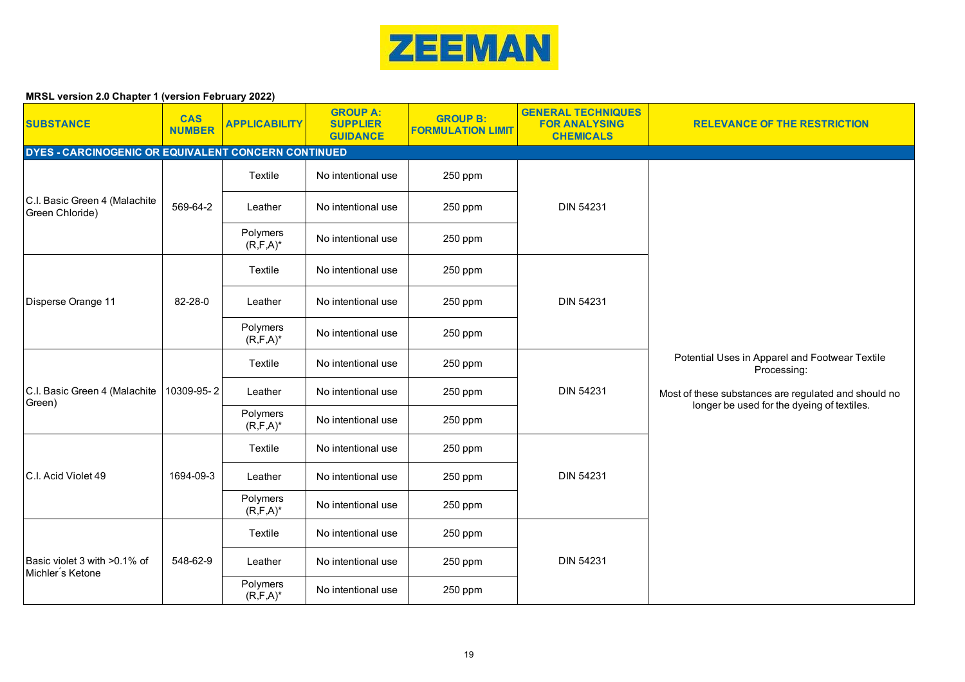

| <b>SUBSTANCE</b>                                     | <b>CAS</b><br><b>NUMBER</b> | <b>APPLICABILITY</b>      | <b>GROUP A:</b><br><b>SUPPLIER</b><br><b>GUIDANCE</b> | <b>GROUP B:</b><br><b>FORMULATION LIMIT</b> | <b>GENERAL TECHNIQUES</b><br><b>FOR ANALYSING</b><br><b>CHEMICALS</b> | <b>RELEVANCE OF THE RESTRICTION</b>                                                                |  |  |  |  |
|------------------------------------------------------|-----------------------------|---------------------------|-------------------------------------------------------|---------------------------------------------|-----------------------------------------------------------------------|----------------------------------------------------------------------------------------------------|--|--|--|--|
| DYES - CARCINOGENIC OR EQUIVALENT CONCERN CONTINUED  |                             |                           |                                                       |                                             |                                                                       |                                                                                                    |  |  |  |  |
|                                                      |                             | Textile                   | No intentional use                                    | 250 ppm                                     |                                                                       |                                                                                                    |  |  |  |  |
| C.I. Basic Green 4 (Malachite<br>Green Chloride)     | 569-64-2                    | Leather                   | No intentional use                                    | 250 ppm                                     | <b>DIN 54231</b>                                                      |                                                                                                    |  |  |  |  |
|                                                      |                             | Polymers<br>$(R, F, A)^*$ | No intentional use                                    | 250 ppm                                     |                                                                       |                                                                                                    |  |  |  |  |
|                                                      |                             | Textile                   | No intentional use                                    | 250 ppm                                     |                                                                       |                                                                                                    |  |  |  |  |
| Disperse Orange 11                                   | 82-28-0                     | Leather                   | No intentional use                                    | 250 ppm                                     | <b>DIN 54231</b>                                                      |                                                                                                    |  |  |  |  |
|                                                      |                             | Polymers<br>$(R, F, A)^*$ | No intentional use                                    | 250 ppm                                     |                                                                       |                                                                                                    |  |  |  |  |
|                                                      |                             | Textile                   | No intentional use                                    | 250 ppm                                     |                                                                       | Potential Uses in Apparel and Footwear Textile<br>Processing:                                      |  |  |  |  |
| C.I. Basic Green 4 (Malachite   10309-95-2<br>Green) |                             | Leather                   | No intentional use                                    | 250 ppm                                     | <b>DIN 54231</b>                                                      | Most of these substances are regulated and should no<br>longer be used for the dyeing of textiles. |  |  |  |  |
|                                                      |                             | Polymers<br>$(R, F, A)^*$ | No intentional use                                    | 250 ppm                                     |                                                                       |                                                                                                    |  |  |  |  |
|                                                      |                             | Textile                   | No intentional use                                    | 250 ppm                                     |                                                                       |                                                                                                    |  |  |  |  |
| C.I. Acid Violet 49                                  | 1694-09-3                   | Leather                   | No intentional use                                    | 250 ppm                                     | <b>DIN 54231</b>                                                      |                                                                                                    |  |  |  |  |
|                                                      |                             | Polymers<br>$(R, F, A)^*$ | No intentional use                                    | 250 ppm                                     |                                                                       |                                                                                                    |  |  |  |  |
|                                                      |                             | Textile                   | No intentional use                                    | 250 ppm                                     |                                                                       |                                                                                                    |  |  |  |  |
| Basic violet 3 with >0.1% of<br>Michler's Ketone     | 548-62-9                    | Leather                   | No intentional use                                    | 250 ppm                                     | <b>DIN 54231</b>                                                      |                                                                                                    |  |  |  |  |
|                                                      |                             | Polymers<br>$(R, F, A)^*$ | No intentional use                                    | 250 ppm                                     |                                                                       |                                                                                                    |  |  |  |  |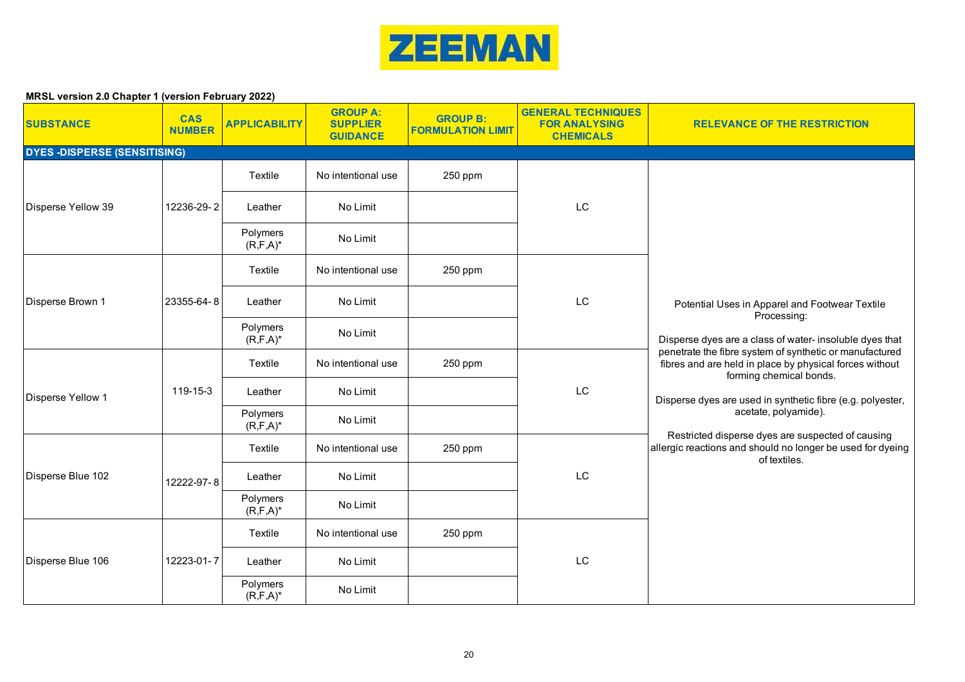

| <b>SUBSTANCE</b>                   | <b>CAS</b><br><b>NUMBER</b> | <b>APPLICABILITY</b>      | <b>GROUP A:</b><br><b>SUPPLIER</b><br><b>GUIDANCE</b> | <b>GROUP B:</b><br><b>FORMULATION LIMIT</b> | <b>GENERAL TECHNIQUES</b><br><b>FOR ANALYSING</b><br><b>CHEMICALS</b> | <b>RELEVANCE OF THE RESTRICTION</b>                                                                                                                                                                                                                                                                                                                                                                                                                                                                |
|------------------------------------|-----------------------------|---------------------------|-------------------------------------------------------|---------------------------------------------|-----------------------------------------------------------------------|----------------------------------------------------------------------------------------------------------------------------------------------------------------------------------------------------------------------------------------------------------------------------------------------------------------------------------------------------------------------------------------------------------------------------------------------------------------------------------------------------|
| <b>DYES-DISPERSE (SENSITISING)</b> |                             |                           |                                                       |                                             |                                                                       |                                                                                                                                                                                                                                                                                                                                                                                                                                                                                                    |
|                                    |                             | <b>Textile</b>            | No intentional use                                    | 250 ppm                                     |                                                                       |                                                                                                                                                                                                                                                                                                                                                                                                                                                                                                    |
| Disperse Yellow 39                 | 12236-29-2                  | Leather                   | No Limit                                              |                                             | LC                                                                    |                                                                                                                                                                                                                                                                                                                                                                                                                                                                                                    |
|                                    |                             | Polymers<br>$(R, F, A)^*$ | No Limit                                              |                                             |                                                                       |                                                                                                                                                                                                                                                                                                                                                                                                                                                                                                    |
|                                    |                             | <b>Textile</b>            | No intentional use                                    | 250 ppm                                     |                                                                       |                                                                                                                                                                                                                                                                                                                                                                                                                                                                                                    |
| Disperse Brown 1                   | 23355-64-8                  | Leather                   | No Limit                                              |                                             | LC                                                                    | Potential Uses in Apparel and Footwear Textile<br>Processing:<br>Disperse dyes are a class of water- insoluble dyes that<br>penetrate the fibre system of synthetic or manufactured<br>fibres and are held in place by physical forces without<br>forming chemical bonds.<br>Disperse dyes are used in synthetic fibre (e.g. polyester,<br>acetate, polyamide).<br>Restricted disperse dyes are suspected of causing<br>allergic reactions and should no longer be used for dyeing<br>of textiles. |
|                                    |                             | Polymers<br>$(R, F, A)^*$ | No Limit                                              |                                             |                                                                       |                                                                                                                                                                                                                                                                                                                                                                                                                                                                                                    |
|                                    | 119-15-3                    | Textile                   | No intentional use                                    | 250 ppm                                     | LC                                                                    |                                                                                                                                                                                                                                                                                                                                                                                                                                                                                                    |
| <b>Disperse Yellow 1</b>           |                             | Leather                   | No Limit                                              |                                             |                                                                       |                                                                                                                                                                                                                                                                                                                                                                                                                                                                                                    |
|                                    |                             | Polymers<br>$(R, F, A)^*$ | No Limit                                              |                                             |                                                                       |                                                                                                                                                                                                                                                                                                                                                                                                                                                                                                    |
|                                    |                             | Textile                   | No intentional use                                    | 250 ppm                                     |                                                                       |                                                                                                                                                                                                                                                                                                                                                                                                                                                                                                    |
| Disperse Blue 102                  | 12222-97-8                  | Leather                   | No Limit                                              |                                             | LC                                                                    |                                                                                                                                                                                                                                                                                                                                                                                                                                                                                                    |
|                                    |                             | Polymers<br>$(R, F, A)^*$ | No Limit                                              |                                             |                                                                       |                                                                                                                                                                                                                                                                                                                                                                                                                                                                                                    |
|                                    |                             | Textile                   | No intentional use                                    | 250 ppm                                     |                                                                       |                                                                                                                                                                                                                                                                                                                                                                                                                                                                                                    |
| Disperse Blue 106                  | 12223-01-7                  | Leather                   | No Limit                                              |                                             | LC                                                                    |                                                                                                                                                                                                                                                                                                                                                                                                                                                                                                    |
|                                    |                             | Polymers<br>$(R, F, A)^*$ | No Limit                                              |                                             |                                                                       |                                                                                                                                                                                                                                                                                                                                                                                                                                                                                                    |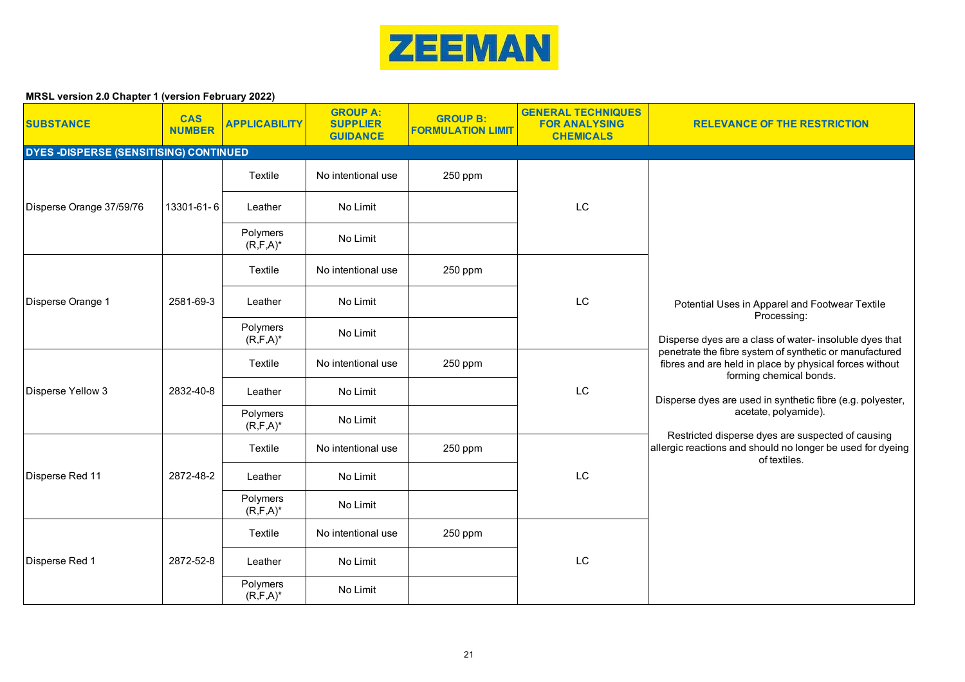

| <b>SUBSTANCE</b>                              | <b>CAS</b><br><b>NUMBER</b> | <b>APPLICABILITY</b>      | <b>GROUP A:</b><br><b>SUPPLIER</b><br><b>GUIDANCE</b> | <b>GROUP B:</b><br><b>FORMULATION LIMIT</b> | <b>GENERAL TECHNIQUES</b><br><b>FOR ANALYSING</b><br><b>CHEMICALS</b> | <b>RELEVANCE OF THE RESTRICTION</b>                                                                                                                                                                                                                                                                                                                                                                                                                                                                |
|-----------------------------------------------|-----------------------------|---------------------------|-------------------------------------------------------|---------------------------------------------|-----------------------------------------------------------------------|----------------------------------------------------------------------------------------------------------------------------------------------------------------------------------------------------------------------------------------------------------------------------------------------------------------------------------------------------------------------------------------------------------------------------------------------------------------------------------------------------|
| <b>DYES -DISPERSE (SENSITISING) CONTINUED</b> |                             |                           |                                                       |                                             |                                                                       |                                                                                                                                                                                                                                                                                                                                                                                                                                                                                                    |
|                                               |                             | Textile                   | No intentional use                                    | 250 ppm                                     |                                                                       |                                                                                                                                                                                                                                                                                                                                                                                                                                                                                                    |
| Disperse Orange 37/59/76                      | 13301-61-6                  | Leather                   | No Limit                                              |                                             | LC                                                                    |                                                                                                                                                                                                                                                                                                                                                                                                                                                                                                    |
|                                               |                             | Polymers<br>$(R, F, A)^*$ | No Limit                                              |                                             |                                                                       |                                                                                                                                                                                                                                                                                                                                                                                                                                                                                                    |
|                                               |                             | Textile                   | No intentional use                                    | 250 ppm                                     |                                                                       |                                                                                                                                                                                                                                                                                                                                                                                                                                                                                                    |
| Disperse Orange 1                             | 2581-69-3                   | Leather                   | No Limit                                              |                                             | LC                                                                    | Potential Uses in Apparel and Footwear Textile<br>Processing:<br>Disperse dyes are a class of water- insoluble dyes that<br>penetrate the fibre system of synthetic or manufactured<br>fibres and are held in place by physical forces without<br>forming chemical bonds.<br>Disperse dyes are used in synthetic fibre (e.g. polyester,<br>acetate, polyamide).<br>Restricted disperse dyes are suspected of causing<br>allergic reactions and should no longer be used for dyeing<br>of textiles. |
|                                               |                             | Polymers<br>$(R, F, A)^*$ | No Limit                                              |                                             |                                                                       |                                                                                                                                                                                                                                                                                                                                                                                                                                                                                                    |
|                                               |                             | Textile                   | No intentional use                                    | 250 ppm                                     | $\mathsf{L}\mathsf{C}$                                                |                                                                                                                                                                                                                                                                                                                                                                                                                                                                                                    |
| Disperse Yellow 3                             | 2832-40-8                   | Leather                   | No Limit                                              |                                             |                                                                       |                                                                                                                                                                                                                                                                                                                                                                                                                                                                                                    |
|                                               |                             | Polymers<br>$(R, F, A)^*$ | No Limit                                              |                                             |                                                                       |                                                                                                                                                                                                                                                                                                                                                                                                                                                                                                    |
|                                               |                             | Textile                   | No intentional use                                    | 250 ppm                                     |                                                                       |                                                                                                                                                                                                                                                                                                                                                                                                                                                                                                    |
| Disperse Red 11                               | 2872-48-2                   | Leather                   | No Limit                                              |                                             | LC                                                                    |                                                                                                                                                                                                                                                                                                                                                                                                                                                                                                    |
|                                               |                             | Polymers<br>$(R, F, A)^*$ | No Limit                                              |                                             |                                                                       |                                                                                                                                                                                                                                                                                                                                                                                                                                                                                                    |
|                                               |                             | Textile                   | No intentional use                                    | 250 ppm                                     |                                                                       |                                                                                                                                                                                                                                                                                                                                                                                                                                                                                                    |
| Disperse Red 1                                | 2872-52-8                   | Leather                   | No Limit                                              |                                             | LC                                                                    |                                                                                                                                                                                                                                                                                                                                                                                                                                                                                                    |
|                                               |                             | Polymers<br>$(R, F, A)^*$ | No Limit                                              |                                             |                                                                       |                                                                                                                                                                                                                                                                                                                                                                                                                                                                                                    |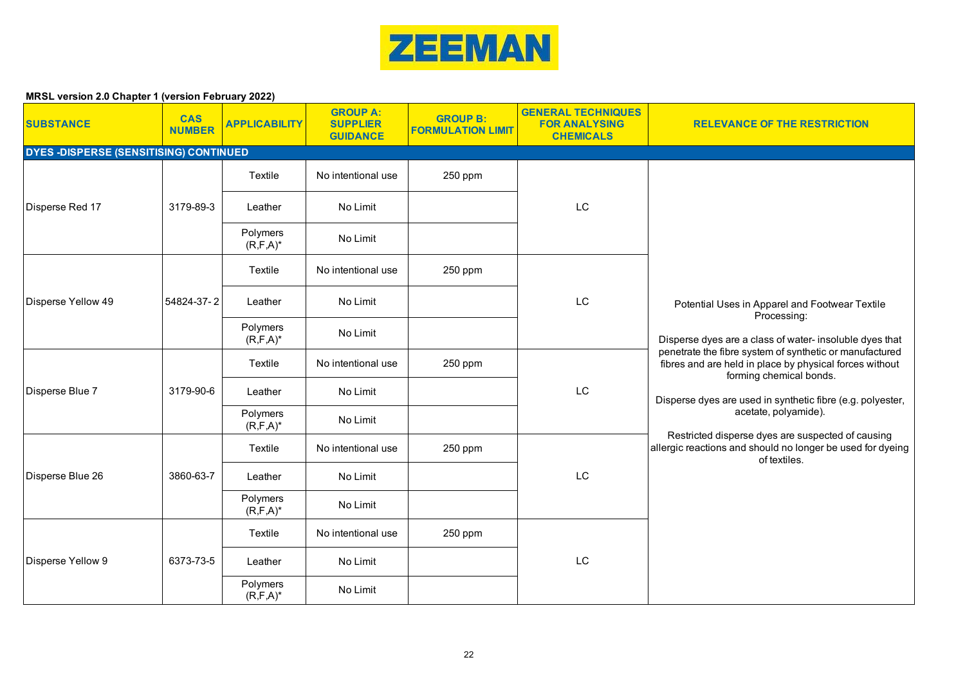

| <b>SUBSTANCE</b>                              | <b>CAS</b><br><b>NUMBER</b> | <b>APPLICABILITY</b>      | <b>GROUP A:</b><br><b>SUPPLIER</b><br><b>GUIDANCE</b> | <b>GROUP B:</b><br><b>FORMULATION LIMIT</b> | <b>GENERAL TECHNIQUES</b><br><b>FOR ANALYSING</b><br><b>CHEMICALS</b> | <b>RELEVANCE OF THE RESTRICTION</b>                                                                                                                                                                                                                                                                                                                                                                                                                                                                |
|-----------------------------------------------|-----------------------------|---------------------------|-------------------------------------------------------|---------------------------------------------|-----------------------------------------------------------------------|----------------------------------------------------------------------------------------------------------------------------------------------------------------------------------------------------------------------------------------------------------------------------------------------------------------------------------------------------------------------------------------------------------------------------------------------------------------------------------------------------|
| <b>DYES -DISPERSE (SENSITISING) CONTINUED</b> |                             |                           |                                                       |                                             |                                                                       |                                                                                                                                                                                                                                                                                                                                                                                                                                                                                                    |
|                                               |                             | Textile                   | No intentional use                                    | 250 ppm                                     |                                                                       |                                                                                                                                                                                                                                                                                                                                                                                                                                                                                                    |
| Disperse Red 17                               | 3179-89-3                   | Leather                   | No Limit                                              |                                             | LC                                                                    |                                                                                                                                                                                                                                                                                                                                                                                                                                                                                                    |
|                                               |                             | Polymers<br>$(R, F, A)^*$ | No Limit                                              |                                             |                                                                       |                                                                                                                                                                                                                                                                                                                                                                                                                                                                                                    |
|                                               |                             | Textile                   | No intentional use                                    | 250 ppm                                     |                                                                       |                                                                                                                                                                                                                                                                                                                                                                                                                                                                                                    |
| Disperse Yellow 49                            | 54824-37-2                  | Leather                   | No Limit                                              |                                             | LC                                                                    | Potential Uses in Apparel and Footwear Textile<br>Processing:<br>Disperse dyes are a class of water- insoluble dyes that<br>penetrate the fibre system of synthetic or manufactured<br>fibres and are held in place by physical forces without<br>forming chemical bonds.<br>Disperse dyes are used in synthetic fibre (e.g. polyester,<br>acetate, polyamide).<br>Restricted disperse dyes are suspected of causing<br>allergic reactions and should no longer be used for dyeing<br>of textiles. |
|                                               |                             | Polymers<br>$(R, F, A)^*$ | No Limit                                              |                                             |                                                                       |                                                                                                                                                                                                                                                                                                                                                                                                                                                                                                    |
|                                               | 3179-90-6                   | Textile                   | No intentional use                                    | 250 ppm                                     | $\mathsf{L}\mathsf{C}$                                                |                                                                                                                                                                                                                                                                                                                                                                                                                                                                                                    |
| Disperse Blue 7                               |                             | Leather                   | No Limit                                              |                                             |                                                                       |                                                                                                                                                                                                                                                                                                                                                                                                                                                                                                    |
|                                               |                             | Polymers<br>$(R, F, A)^*$ | No Limit                                              |                                             |                                                                       |                                                                                                                                                                                                                                                                                                                                                                                                                                                                                                    |
|                                               |                             | Textile                   | No intentional use                                    | 250 ppm                                     |                                                                       |                                                                                                                                                                                                                                                                                                                                                                                                                                                                                                    |
| Disperse Blue 26                              | 3860-63-7                   | Leather                   | No Limit                                              |                                             | LC                                                                    |                                                                                                                                                                                                                                                                                                                                                                                                                                                                                                    |
|                                               |                             | Polymers<br>$(R, F, A)^*$ | No Limit                                              |                                             |                                                                       |                                                                                                                                                                                                                                                                                                                                                                                                                                                                                                    |
|                                               |                             | Textile                   | No intentional use                                    | 250 ppm                                     |                                                                       |                                                                                                                                                                                                                                                                                                                                                                                                                                                                                                    |
| Disperse Yellow 9                             | 6373-73-5                   | Leather                   | No Limit                                              |                                             | LC                                                                    |                                                                                                                                                                                                                                                                                                                                                                                                                                                                                                    |
|                                               |                             | Polymers<br>$(R, F, A)^*$ | No Limit                                              |                                             |                                                                       |                                                                                                                                                                                                                                                                                                                                                                                                                                                                                                    |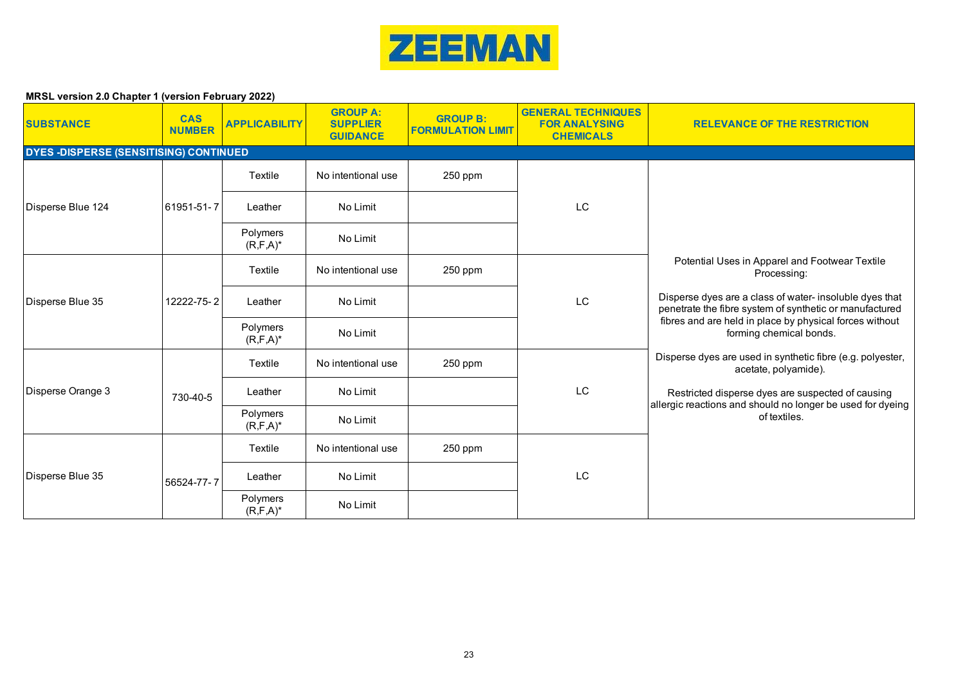

| <b>SUBSTANCE</b>                             | <b>CAS</b><br><b>NUMBER</b> | <b>APPLICABILITY</b>      | <b>GROUP A:</b><br><b>SUPPLIER</b><br><b>GUIDANCE</b> | <b>GROUP B:</b><br><b>FORMULATION LIMIT</b> | <b>GENERAL TECHNIQUES</b><br><b>FOR ANALYSING</b><br><b>CHEMICALS</b> | <b>RELEVANCE OF THE RESTRICTION</b>                                                                                                                                                                                                                                                                                                                                                                               |
|----------------------------------------------|-----------------------------|---------------------------|-------------------------------------------------------|---------------------------------------------|-----------------------------------------------------------------------|-------------------------------------------------------------------------------------------------------------------------------------------------------------------------------------------------------------------------------------------------------------------------------------------------------------------------------------------------------------------------------------------------------------------|
| <b>DYES-DISPERSE (SENSITISING) CONTINUED</b> |                             |                           |                                                       |                                             |                                                                       |                                                                                                                                                                                                                                                                                                                                                                                                                   |
|                                              |                             | Textile                   | No intentional use                                    | 250 ppm                                     |                                                                       |                                                                                                                                                                                                                                                                                                                                                                                                                   |
| Disperse Blue 124                            | 61951-51-7                  | Leather                   | No Limit                                              |                                             | LC                                                                    |                                                                                                                                                                                                                                                                                                                                                                                                                   |
|                                              |                             | Polymers<br>$(R, F, A)^*$ | No Limit                                              |                                             |                                                                       |                                                                                                                                                                                                                                                                                                                                                                                                                   |
| Disperse Blue 35                             | 12222-75-2                  | Textile                   | No intentional use                                    | 250 ppm                                     | <b>LC</b>                                                             | Potential Uses in Apparel and Footwear Textile<br>Processing:                                                                                                                                                                                                                                                                                                                                                     |
|                                              |                             | Leather                   | No Limit                                              |                                             |                                                                       | Disperse dyes are a class of water- insoluble dyes that<br>penetrate the fibre system of synthetic or manufactured<br>fibres and are held in place by physical forces without<br>forming chemical bonds.<br>Disperse dyes are used in synthetic fibre (e.g. polyester,<br>acetate, polyamide).<br>Restricted disperse dyes are suspected of causing<br>allergic reactions and should no longer be used for dyeing |
|                                              |                             | Polymers<br>$(R, F, A)^*$ | No Limit                                              |                                             |                                                                       |                                                                                                                                                                                                                                                                                                                                                                                                                   |
|                                              |                             | Textile                   | No intentional use                                    | 250 ppm                                     |                                                                       |                                                                                                                                                                                                                                                                                                                                                                                                                   |
| Disperse Orange 3                            | 730-40-5                    | Leather                   | No Limit                                              |                                             | LC                                                                    |                                                                                                                                                                                                                                                                                                                                                                                                                   |
|                                              |                             | Polymers<br>$(R, F, A)^*$ | No Limit                                              |                                             |                                                                       | of textiles.                                                                                                                                                                                                                                                                                                                                                                                                      |
|                                              |                             | Textile                   | No intentional use                                    | 250 ppm                                     | LC                                                                    |                                                                                                                                                                                                                                                                                                                                                                                                                   |
| Disperse Blue 35                             | 56524-77-7                  | Leather                   | No Limit                                              |                                             |                                                                       |                                                                                                                                                                                                                                                                                                                                                                                                                   |
|                                              |                             | Polymers<br>$(R, F, A)^*$ | No Limit                                              |                                             |                                                                       |                                                                                                                                                                                                                                                                                                                                                                                                                   |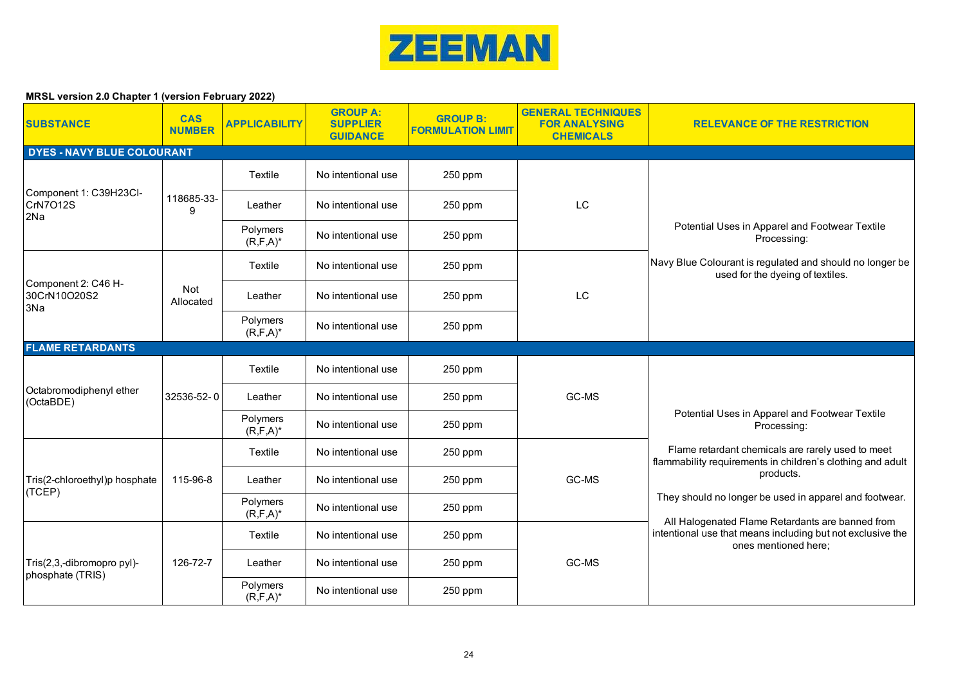

| <b>SUBSTANCE</b>                               | <b>CAS</b><br><b>NUMBER</b> | <b>APPLICABILITY</b>      | <b>GROUP A:</b><br><b>SUPPLIER</b><br><b>GUIDANCE</b> | <b>GROUP B:</b><br><b>FORMULATION LIMIT</b> | <b>GENERAL TECHNIQUES</b><br><b>FOR ANALYSING</b><br><b>CHEMICALS</b> | <b>RELEVANCE OF THE RESTRICTION</b>                                                                             |
|------------------------------------------------|-----------------------------|---------------------------|-------------------------------------------------------|---------------------------------------------|-----------------------------------------------------------------------|-----------------------------------------------------------------------------------------------------------------|
| DYES - NAVY BLUE COLOURANT                     |                             |                           |                                                       |                                             |                                                                       |                                                                                                                 |
|                                                |                             | Textile                   | No intentional use                                    | 250 ppm                                     |                                                                       |                                                                                                                 |
| Component 1: C39H23Cl-<br>CrN7O12S<br>2Na      | 118685-33-<br>9             | Leather                   | No intentional use                                    | 250 ppm                                     | LC                                                                    |                                                                                                                 |
|                                                |                             | Polymers<br>$(R, F, A)^*$ | No intentional use                                    | 250 ppm                                     |                                                                       | Potential Uses in Apparel and Footwear Textile<br>Processing:                                                   |
|                                                |                             | Textile                   | No intentional use                                    | 250 ppm                                     | LC                                                                    | Navy Blue Colourant is regulated and should no longer be<br>used for the dyeing of textiles.                    |
| Component 2: C46 H-<br>30CrN10O20S2<br>3Na     | Not<br>Allocated            | Leather                   | No intentional use                                    | 250 ppm                                     |                                                                       |                                                                                                                 |
|                                                |                             | Polymers<br>$(R, F, A)^*$ | No intentional use                                    | 250 ppm                                     |                                                                       |                                                                                                                 |
| <b>FLAME RETARDANTS</b>                        |                             |                           |                                                       |                                             |                                                                       |                                                                                                                 |
|                                                |                             | Textile                   | No intentional use                                    | 250 ppm                                     | GC-MS                                                                 |                                                                                                                 |
| Octabromodiphenyl ether<br>(OctaBDE)           | 32536-52-0                  | Leather                   | No intentional use                                    | 250 ppm                                     |                                                                       | Potential Uses in Apparel and Footwear Textile<br>Processing:                                                   |
|                                                |                             | Polymers<br>$(R, F, A)^*$ | No intentional use                                    | 250 ppm                                     |                                                                       |                                                                                                                 |
|                                                |                             | Textile                   | No intentional use                                    | 250 ppm                                     |                                                                       | Flame retardant chemicals are rarely used to meet<br>flammability requirements in children's clothing and adult |
| Tris(2-chloroethyl)p hosphate<br>(TCEP)        | 115-96-8                    | Leather                   | No intentional use                                    | 250 ppm                                     | GC-MS                                                                 | products.                                                                                                       |
|                                                |                             | Polymers<br>$(R, F, A)^*$ | No intentional use                                    | 250 ppm                                     |                                                                       | They should no longer be used in apparel and footwear.<br>All Halogenated Flame Retardants are banned from      |
|                                                |                             | Textile                   | No intentional use                                    | 250 ppm                                     | GC-MS                                                                 | intentional use that means including but not exclusive the<br>ones mentioned here;                              |
| Tris(2,3,-dibromopro pyl)-<br>phosphate (TRIS) | 126-72-7                    | Leather                   | No intentional use                                    | 250 ppm                                     |                                                                       |                                                                                                                 |
|                                                |                             | Polymers<br>$(R, F, A)^*$ | No intentional use                                    | 250 ppm                                     |                                                                       |                                                                                                                 |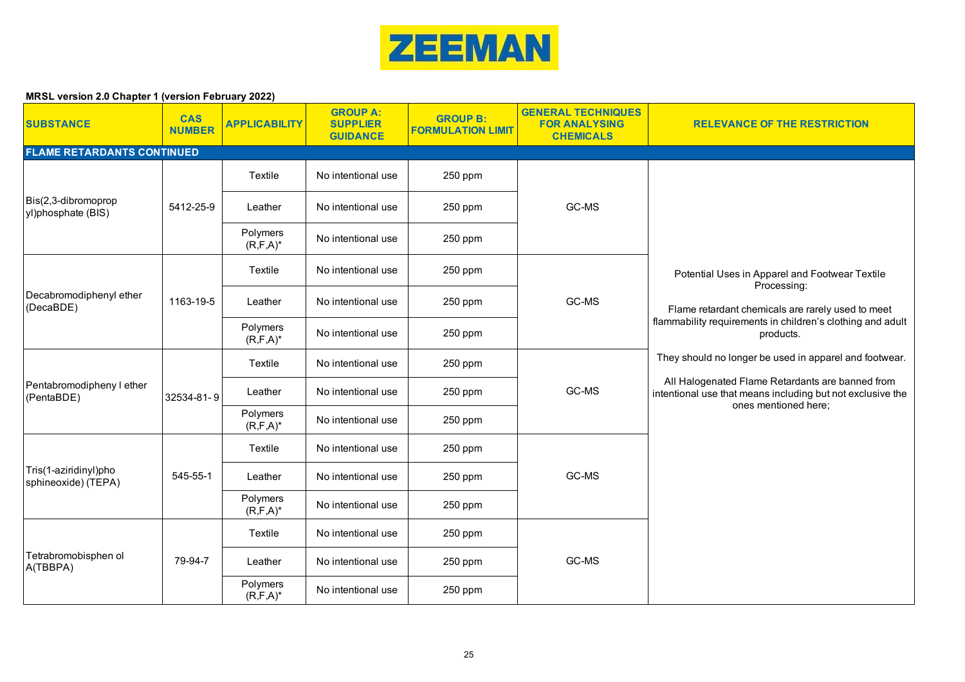

| <b>SUBSTANCE</b>                             | <b>CAS</b><br><b>NUMBER</b> | <b>APPLICABILITY</b>      | <b>GROUP A:</b><br><b>SUPPLIER</b><br><b>GUIDANCE</b> | <b>GROUP B:</b><br><b>FORMULATION LIMIT</b> | <b>GENERAL TECHNIQUES</b><br><b>FOR ANALYSING</b><br><b>CHEMICALS</b> | <b>RELEVANCE OF THE RESTRICTION</b>                                                                                                                                                                                                                                                                                              |
|----------------------------------------------|-----------------------------|---------------------------|-------------------------------------------------------|---------------------------------------------|-----------------------------------------------------------------------|----------------------------------------------------------------------------------------------------------------------------------------------------------------------------------------------------------------------------------------------------------------------------------------------------------------------------------|
| <b>FLAME RETARDANTS CONTINUED</b>            |                             |                           |                                                       |                                             |                                                                       |                                                                                                                                                                                                                                                                                                                                  |
|                                              |                             | Textile                   | No intentional use                                    | 250 ppm                                     |                                                                       |                                                                                                                                                                                                                                                                                                                                  |
| Bis(2,3-dibromoprop<br>yl)phosphate (BIS)    | 5412-25-9                   | Leather                   | No intentional use                                    | 250 ppm                                     | GC-MS                                                                 |                                                                                                                                                                                                                                                                                                                                  |
|                                              |                             | Polymers<br>$(R, F, A)^*$ | No intentional use                                    | 250 ppm                                     |                                                                       |                                                                                                                                                                                                                                                                                                                                  |
|                                              |                             | Textile                   | No intentional use                                    | 250 ppm                                     |                                                                       | Potential Uses in Apparel and Footwear Textile<br>Processing:                                                                                                                                                                                                                                                                    |
| Decabromodiphenyl ether<br>(DecaBDE)         | 1163-19-5                   | Leather                   | No intentional use                                    | 250 ppm                                     | GC-MS                                                                 | Flame retardant chemicals are rarely used to meet<br>flammability requirements in children's clothing and adult<br>products.<br>They should no longer be used in apparel and footwear.<br>All Halogenated Flame Retardants are banned from<br>intentional use that means including but not exclusive the<br>ones mentioned here; |
|                                              |                             | Polymers<br>$(R, F, A)^*$ | No intentional use                                    | 250 ppm                                     |                                                                       |                                                                                                                                                                                                                                                                                                                                  |
|                                              |                             | Textile                   | No intentional use                                    | 250 ppm                                     | GC-MS                                                                 |                                                                                                                                                                                                                                                                                                                                  |
| Pentabromodipheny I ether<br>(PentaBDE)      | 32534-81-9                  | Leather                   | No intentional use                                    | 250 ppm                                     |                                                                       |                                                                                                                                                                                                                                                                                                                                  |
|                                              |                             | Polymers<br>$(R, F, A)^*$ | No intentional use                                    | 250 ppm                                     |                                                                       |                                                                                                                                                                                                                                                                                                                                  |
|                                              |                             | Textile                   | No intentional use                                    | 250 ppm                                     |                                                                       |                                                                                                                                                                                                                                                                                                                                  |
| Tris(1-aziridinyl)pho<br>sphineoxide) (TEPA) | 545-55-1                    | Leather                   | No intentional use                                    | 250 ppm                                     | GC-MS                                                                 |                                                                                                                                                                                                                                                                                                                                  |
|                                              |                             | Polymers<br>$(R, F, A)^*$ | No intentional use                                    | 250 ppm                                     |                                                                       |                                                                                                                                                                                                                                                                                                                                  |
|                                              |                             | Textile                   | No intentional use                                    | 250 ppm                                     |                                                                       |                                                                                                                                                                                                                                                                                                                                  |
| Tetrabromobisphen ol<br>A(TBBPA)             | 79-94-7                     | Leather                   | No intentional use                                    | 250 ppm                                     | GC-MS                                                                 |                                                                                                                                                                                                                                                                                                                                  |
|                                              |                             | Polymers<br>$(R, F, A)^*$ | No intentional use                                    | 250 ppm                                     |                                                                       |                                                                                                                                                                                                                                                                                                                                  |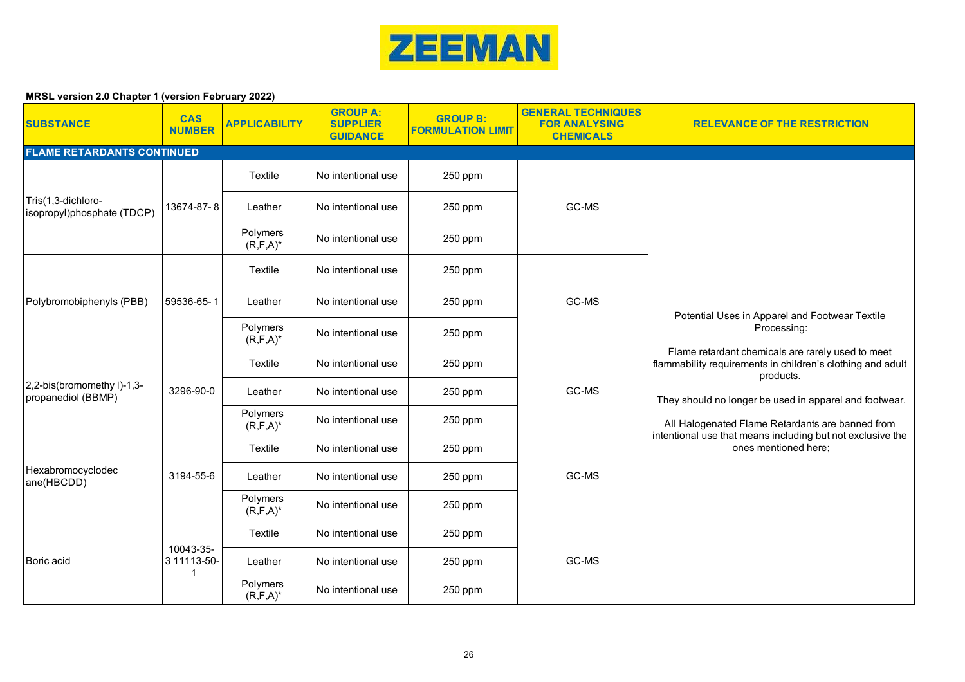

| <b>SUBSTANCE</b>                                 | <b>CAS</b><br><b>NUMBER</b> | <b>APPLICABILITY</b>      | <b>GROUP A:</b><br><b>SUPPLIER</b><br><b>GUIDANCE</b> | <b>GROUP B:</b><br><b>FORMULATION LIMIT</b> | <b>GENERAL TECHNIQUES</b><br><b>FOR ANALYSING</b><br><b>CHEMICALS</b> | <b>RELEVANCE OF THE RESTRICTION</b>                                                                                                                                                                                                                                                                                                                                                               |
|--------------------------------------------------|-----------------------------|---------------------------|-------------------------------------------------------|---------------------------------------------|-----------------------------------------------------------------------|---------------------------------------------------------------------------------------------------------------------------------------------------------------------------------------------------------------------------------------------------------------------------------------------------------------------------------------------------------------------------------------------------|
| <b>FLAME RETARDANTS CONTINUED</b>                |                             |                           |                                                       |                                             |                                                                       |                                                                                                                                                                                                                                                                                                                                                                                                   |
|                                                  |                             | Textile                   | No intentional use                                    | 250 ppm                                     |                                                                       |                                                                                                                                                                                                                                                                                                                                                                                                   |
| Tris(1,3-dichloro-<br>isopropyl)phosphate (TDCP) | 13674-87-8                  | Leather                   | No intentional use                                    | 250 ppm                                     | GC-MS                                                                 |                                                                                                                                                                                                                                                                                                                                                                                                   |
|                                                  |                             | Polymers<br>$(R, F, A)^*$ | No intentional use                                    | 250 ppm                                     |                                                                       |                                                                                                                                                                                                                                                                                                                                                                                                   |
|                                                  |                             | Textile                   | No intentional use                                    | 250 ppm                                     |                                                                       |                                                                                                                                                                                                                                                                                                                                                                                                   |
| Polybromobiphenyls (PBB)                         | 59536-65-1                  | Leather                   | No intentional use                                    | 250 ppm                                     | GC-MS                                                                 | Potential Uses in Apparel and Footwear Textile<br>Processing:<br>Flame retardant chemicals are rarely used to meet<br>flammability requirements in children's clothing and adult<br>products.<br>They should no longer be used in apparel and footwear.<br>All Halogenated Flame Retardants are banned from<br>intentional use that means including but not exclusive the<br>ones mentioned here; |
|                                                  |                             | Polymers<br>$(R, F, A)^*$ | No intentional use                                    | 250 ppm                                     |                                                                       |                                                                                                                                                                                                                                                                                                                                                                                                   |
|                                                  | 3296-90-0                   | Textile                   | No intentional use                                    | 250 ppm                                     | GC-MS                                                                 |                                                                                                                                                                                                                                                                                                                                                                                                   |
| 2,2-bis(bromomethy I)-1,3-<br>propanediol (BBMP) |                             | Leather                   | No intentional use                                    | 250 ppm                                     |                                                                       |                                                                                                                                                                                                                                                                                                                                                                                                   |
|                                                  |                             | Polymers<br>$(R, F, A)^*$ | No intentional use                                    | 250 ppm                                     |                                                                       |                                                                                                                                                                                                                                                                                                                                                                                                   |
|                                                  |                             | Textile                   | No intentional use                                    | 250 ppm                                     |                                                                       |                                                                                                                                                                                                                                                                                                                                                                                                   |
| Hexabromocyclodec<br>ane(HBCDD)                  | 3194-55-6                   | Leather                   | No intentional use                                    | 250 ppm                                     | GC-MS                                                                 |                                                                                                                                                                                                                                                                                                                                                                                                   |
|                                                  |                             | Polymers<br>$(R, F, A)^*$ | No intentional use                                    | 250 ppm                                     |                                                                       |                                                                                                                                                                                                                                                                                                                                                                                                   |
|                                                  | 10043-35-                   | Textile                   | No intentional use                                    | 250 ppm                                     | GC-MS                                                                 |                                                                                                                                                                                                                                                                                                                                                                                                   |
| Boric acid                                       | 3 11113-50-<br>$\mathbf 1$  | Leather                   | No intentional use                                    | 250 ppm                                     |                                                                       |                                                                                                                                                                                                                                                                                                                                                                                                   |
|                                                  |                             | Polymers<br>$(R, F, A)^*$ | No intentional use                                    | 250 ppm                                     |                                                                       |                                                                                                                                                                                                                                                                                                                                                                                                   |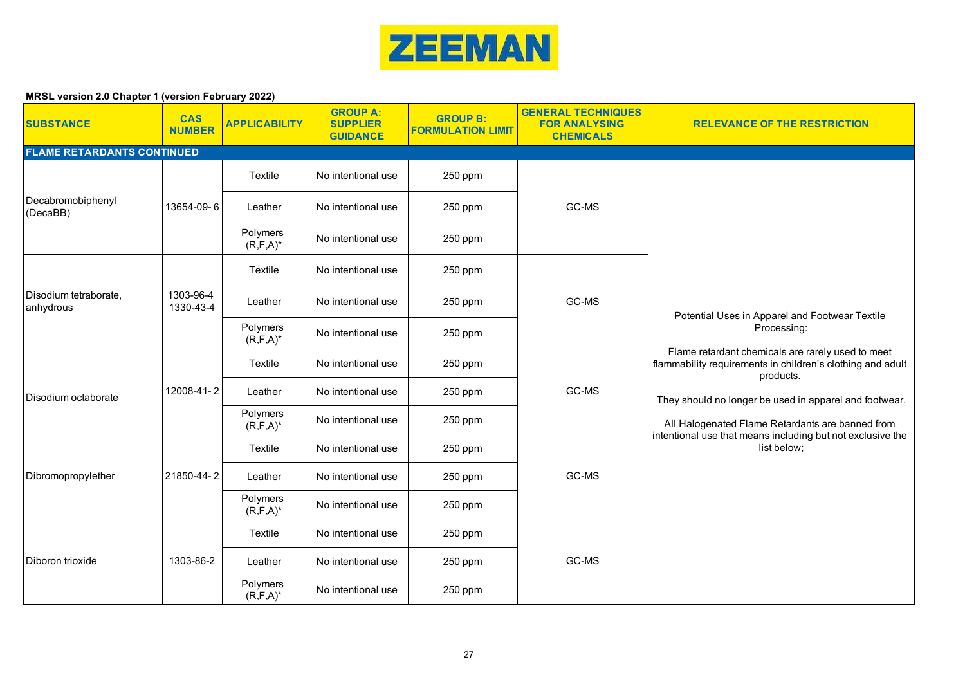

| <b>SUBSTANCE</b>                   | <b>CAS</b><br><b>NUMBER</b> | <b>APPLICABILITY</b>      | <b>GROUP A:</b><br><b>SUPPLIER</b><br><b>GUIDANCE</b> | <b>GROUP B:</b><br><b>FORMULATION LIMIT</b> | <b>GENERAL TECHNIQUES</b><br><b>FOR ANALYSING</b><br><b>CHEMICALS</b> | <b>RELEVANCE OF THE RESTRICTION</b>                                                                                                                                                                                                                                                                                                                                                      |
|------------------------------------|-----------------------------|---------------------------|-------------------------------------------------------|---------------------------------------------|-----------------------------------------------------------------------|------------------------------------------------------------------------------------------------------------------------------------------------------------------------------------------------------------------------------------------------------------------------------------------------------------------------------------------------------------------------------------------|
| <b>FLAME RETARDANTS CONTINUED</b>  |                             |                           |                                                       |                                             |                                                                       |                                                                                                                                                                                                                                                                                                                                                                                          |
|                                    |                             | Textile                   | No intentional use                                    | 250 ppm                                     |                                                                       |                                                                                                                                                                                                                                                                                                                                                                                          |
| Decabromobiphenyl<br>(DecaBB)      | 13654-09-6                  | Leather                   | No intentional use                                    | 250 ppm                                     | GC-MS                                                                 |                                                                                                                                                                                                                                                                                                                                                                                          |
|                                    |                             | Polymers<br>$(R, F, A)^*$ | No intentional use                                    | 250 ppm                                     |                                                                       |                                                                                                                                                                                                                                                                                                                                                                                          |
|                                    |                             | Textile                   | No intentional use                                    | 250 ppm                                     |                                                                       |                                                                                                                                                                                                                                                                                                                                                                                          |
| Disodium tetraborate,<br>anhydrous | 1303-96-4<br>1330-43-4      | Leather                   | No intentional use                                    | 250 ppm                                     | GC-MS                                                                 | Potential Uses in Apparel and Footwear Textile<br>Processing:<br>Flame retardant chemicals are rarely used to meet<br>flammability requirements in children's clothing and adult<br>products.<br>They should no longer be used in apparel and footwear.<br>All Halogenated Flame Retardants are banned from<br>intentional use that means including but not exclusive the<br>list below; |
|                                    |                             | Polymers<br>$(R, F, A)^*$ | No intentional use                                    | 250 ppm                                     |                                                                       |                                                                                                                                                                                                                                                                                                                                                                                          |
|                                    | 12008-41-2                  | Textile                   | No intentional use                                    | 250 ppm                                     | GC-MS                                                                 |                                                                                                                                                                                                                                                                                                                                                                                          |
| Disodium octaborate                |                             | Leather                   | No intentional use                                    | 250 ppm                                     |                                                                       |                                                                                                                                                                                                                                                                                                                                                                                          |
|                                    |                             | Polymers<br>$(R, F, A)^*$ | No intentional use                                    | 250 ppm                                     |                                                                       |                                                                                                                                                                                                                                                                                                                                                                                          |
|                                    |                             | Textile                   | No intentional use                                    | 250 ppm                                     |                                                                       |                                                                                                                                                                                                                                                                                                                                                                                          |
| Dibromopropylether                 | 21850-44-2                  | Leather                   | No intentional use                                    | 250 ppm                                     | GC-MS                                                                 |                                                                                                                                                                                                                                                                                                                                                                                          |
|                                    |                             | Polymers<br>$(R, F, A)^*$ | No intentional use                                    | 250 ppm                                     |                                                                       |                                                                                                                                                                                                                                                                                                                                                                                          |
|                                    |                             | Textile                   | No intentional use                                    | 250 ppm                                     |                                                                       |                                                                                                                                                                                                                                                                                                                                                                                          |
| Diboron trioxide                   | 1303-86-2                   | Leather                   | No intentional use                                    | 250 ppm                                     | GC-MS                                                                 |                                                                                                                                                                                                                                                                                                                                                                                          |
|                                    |                             | Polymers<br>$(R, F, A)^*$ | No intentional use                                    | 250 ppm                                     |                                                                       |                                                                                                                                                                                                                                                                                                                                                                                          |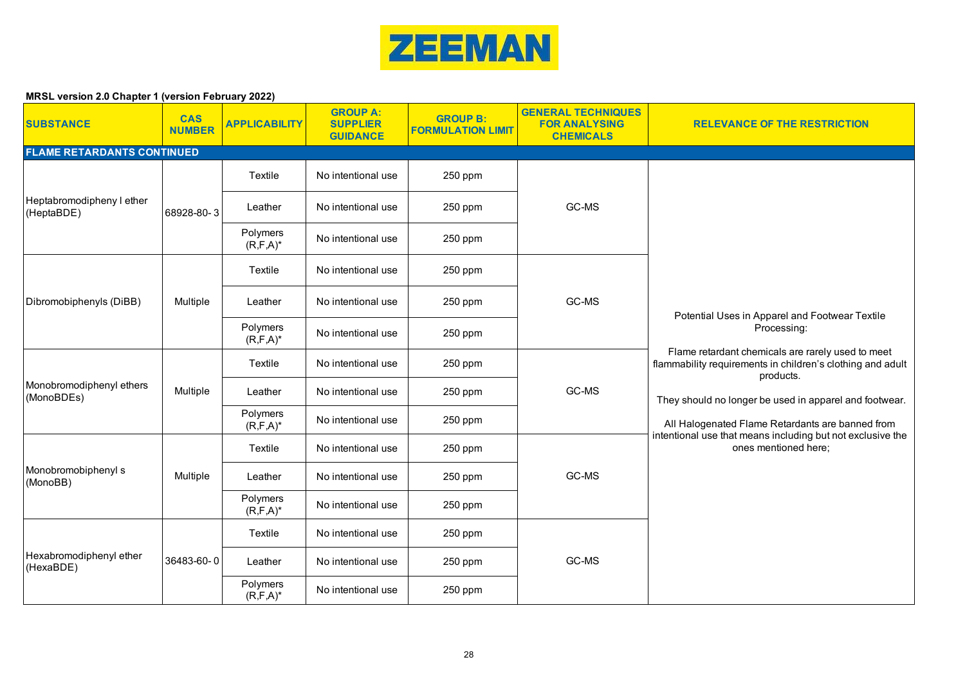

| <b>SUBSTANCE</b>                        | <b>CAS</b><br><b>NUMBER</b> | <b>APPLICABILITY</b>      | <b>GROUP A:</b><br><b>SUPPLIER</b><br><b>GUIDANCE</b> | <b>GROUP B:</b><br><b>FORMULATION LIMIT</b> | <b>GENERAL TECHNIQUES</b><br><b>FOR ANALYSING</b><br><b>CHEMICALS</b> | <b>RELEVANCE OF THE RESTRICTION</b>                                                                                                                                                                                                                                                                                                                                                               |
|-----------------------------------------|-----------------------------|---------------------------|-------------------------------------------------------|---------------------------------------------|-----------------------------------------------------------------------|---------------------------------------------------------------------------------------------------------------------------------------------------------------------------------------------------------------------------------------------------------------------------------------------------------------------------------------------------------------------------------------------------|
| <b>FLAME RETARDANTS CONTINUED</b>       |                             |                           |                                                       |                                             |                                                                       |                                                                                                                                                                                                                                                                                                                                                                                                   |
|                                         |                             | Textile                   | No intentional use                                    | 250 ppm                                     | GC-MS                                                                 |                                                                                                                                                                                                                                                                                                                                                                                                   |
| Heptabromodipheny I ether<br>(HeptaBDE) | 68928-80-3                  | Leather                   | No intentional use                                    | 250 ppm                                     |                                                                       |                                                                                                                                                                                                                                                                                                                                                                                                   |
|                                         |                             | Polymers<br>$(R, F, A)^*$ | No intentional use                                    | 250 ppm                                     |                                                                       |                                                                                                                                                                                                                                                                                                                                                                                                   |
|                                         |                             | Textile                   | No intentional use                                    | 250 ppm                                     | GC-MS                                                                 |                                                                                                                                                                                                                                                                                                                                                                                                   |
| Dibromobiphenyls (DiBB)                 | Multiple                    | Leather                   | No intentional use                                    | 250 ppm                                     |                                                                       | Potential Uses in Apparel and Footwear Textile<br>Processing:<br>Flame retardant chemicals are rarely used to meet<br>flammability requirements in children's clothing and adult<br>products.<br>They should no longer be used in apparel and footwear.<br>All Halogenated Flame Retardants are banned from<br>intentional use that means including but not exclusive the<br>ones mentioned here; |
|                                         |                             | Polymers<br>$(R, F, A)^*$ | No intentional use                                    | 250 ppm                                     |                                                                       |                                                                                                                                                                                                                                                                                                                                                                                                   |
|                                         | Multiple                    | Textile                   | No intentional use                                    | 250 ppm                                     | GC-MS                                                                 |                                                                                                                                                                                                                                                                                                                                                                                                   |
| Monobromodiphenyl ethers<br>(MonoBDEs)  |                             | Leather                   | No intentional use                                    | 250 ppm                                     |                                                                       |                                                                                                                                                                                                                                                                                                                                                                                                   |
|                                         |                             | Polymers<br>$(R, F, A)^*$ | No intentional use                                    | 250 ppm                                     |                                                                       |                                                                                                                                                                                                                                                                                                                                                                                                   |
|                                         |                             | Textile                   | No intentional use                                    | 250 ppm                                     |                                                                       |                                                                                                                                                                                                                                                                                                                                                                                                   |
| Monobromobiphenyl s<br>(MonoBB)         | Multiple                    | Leather                   | No intentional use                                    | 250 ppm                                     | GC-MS                                                                 |                                                                                                                                                                                                                                                                                                                                                                                                   |
|                                         |                             | Polymers<br>$(R, F, A)^*$ | No intentional use                                    | 250 ppm                                     |                                                                       |                                                                                                                                                                                                                                                                                                                                                                                                   |
|                                         |                             | Textile                   | No intentional use                                    | 250 ppm                                     | GC-MS                                                                 |                                                                                                                                                                                                                                                                                                                                                                                                   |
| Hexabromodiphenyl ether<br>(HexaBDE)    | 36483-60-0                  | Leather                   | No intentional use                                    | 250 ppm                                     |                                                                       |                                                                                                                                                                                                                                                                                                                                                                                                   |
|                                         |                             | Polymers<br>$(R, F, A)^*$ | No intentional use                                    | 250 ppm                                     |                                                                       |                                                                                                                                                                                                                                                                                                                                                                                                   |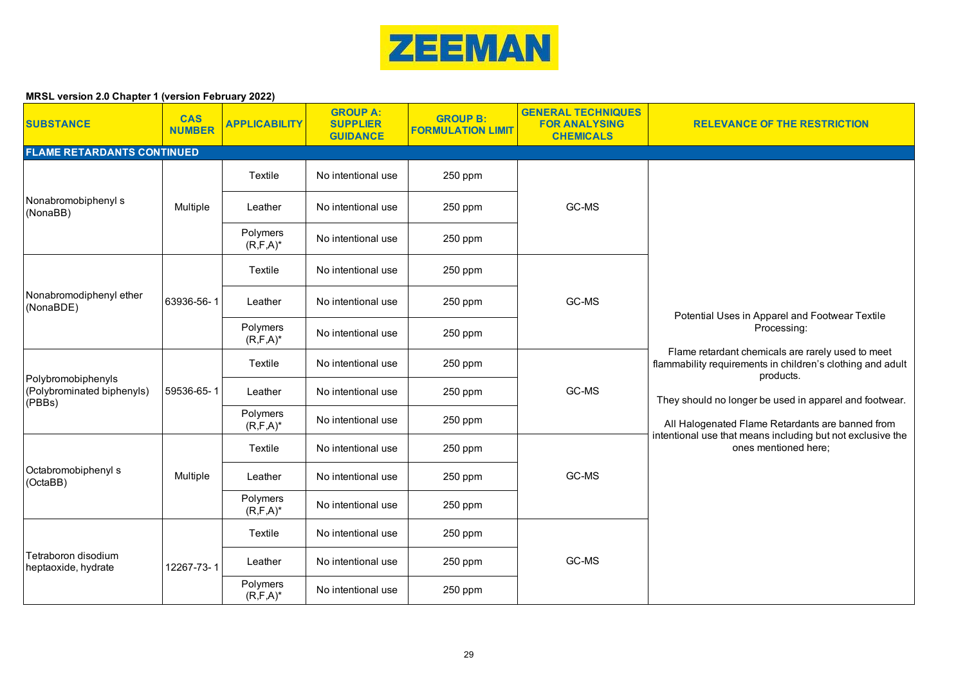

| <b>SUBSTANCE</b>                           | <b>CAS</b><br><b>NUMBER</b> | <b>APPLICABILITY</b>      | <b>GROUP A:</b><br><b>SUPPLIER</b><br><b>GUIDANCE</b> | <b>GROUP B:</b><br><b>FORMULATION LIMIT</b> | <b>GENERAL TECHNIQUES</b><br><b>FOR ANALYSING</b><br><b>CHEMICALS</b> | <b>RELEVANCE OF THE RESTRICTION</b>                                                                                                                                                                                                                                                                                                                                                               |
|--------------------------------------------|-----------------------------|---------------------------|-------------------------------------------------------|---------------------------------------------|-----------------------------------------------------------------------|---------------------------------------------------------------------------------------------------------------------------------------------------------------------------------------------------------------------------------------------------------------------------------------------------------------------------------------------------------------------------------------------------|
| <b>FLAME RETARDANTS CONTINUED</b>          |                             |                           |                                                       |                                             |                                                                       |                                                                                                                                                                                                                                                                                                                                                                                                   |
|                                            |                             | Textile                   | No intentional use                                    | 250 ppm                                     |                                                                       |                                                                                                                                                                                                                                                                                                                                                                                                   |
| Nonabromobiphenyl s<br>(NonaBB)            | Multiple                    | Leather                   | No intentional use                                    | 250 ppm                                     | GC-MS                                                                 |                                                                                                                                                                                                                                                                                                                                                                                                   |
|                                            |                             | Polymers<br>$(R, F, A)^*$ | No intentional use                                    | 250 ppm                                     |                                                                       |                                                                                                                                                                                                                                                                                                                                                                                                   |
|                                            |                             | Textile                   | No intentional use                                    | 250 ppm                                     |                                                                       |                                                                                                                                                                                                                                                                                                                                                                                                   |
| Nonabromodiphenyl ether<br>(NonaBDE)       | 63936-56-1                  | Leather                   | No intentional use                                    | 250 ppm                                     | GC-MS                                                                 | Potential Uses in Apparel and Footwear Textile<br>Processing:<br>Flame retardant chemicals are rarely used to meet<br>flammability requirements in children's clothing and adult<br>products.<br>They should no longer be used in apparel and footwear.<br>All Halogenated Flame Retardants are banned from<br>intentional use that means including but not exclusive the<br>ones mentioned here; |
|                                            |                             | Polymers<br>$(R, F, A)^*$ | No intentional use                                    | 250 ppm                                     |                                                                       |                                                                                                                                                                                                                                                                                                                                                                                                   |
| Polybromobiphenyls                         | 59536-65-1                  | Textile                   | No intentional use                                    | 250 ppm                                     | GC-MS                                                                 |                                                                                                                                                                                                                                                                                                                                                                                                   |
| (Polybrominated biphenyls)<br>(PBBs)       |                             | Leather                   | No intentional use                                    | 250 ppm                                     |                                                                       |                                                                                                                                                                                                                                                                                                                                                                                                   |
|                                            |                             | Polymers<br>$(R, F, A)^*$ | No intentional use                                    | 250 ppm                                     |                                                                       |                                                                                                                                                                                                                                                                                                                                                                                                   |
|                                            |                             | Textile                   | No intentional use                                    | 250 ppm                                     |                                                                       |                                                                                                                                                                                                                                                                                                                                                                                                   |
| Octabromobiphenyl s<br>(OctaBB)            | Multiple                    | Leather                   | No intentional use                                    | 250 ppm                                     | GC-MS                                                                 |                                                                                                                                                                                                                                                                                                                                                                                                   |
|                                            |                             | Polymers<br>$(R, F, A)^*$ | No intentional use                                    | 250 ppm                                     |                                                                       |                                                                                                                                                                                                                                                                                                                                                                                                   |
|                                            |                             | Textile                   | No intentional use                                    | 250 ppm                                     | GC-MS                                                                 |                                                                                                                                                                                                                                                                                                                                                                                                   |
| Tetraboron disodium<br>heptaoxide, hydrate | 12267-73-1                  | Leather                   | No intentional use                                    | 250 ppm                                     |                                                                       |                                                                                                                                                                                                                                                                                                                                                                                                   |
|                                            |                             | Polymers<br>$(R, F, A)^*$ | No intentional use                                    | 250 ppm                                     |                                                                       |                                                                                                                                                                                                                                                                                                                                                                                                   |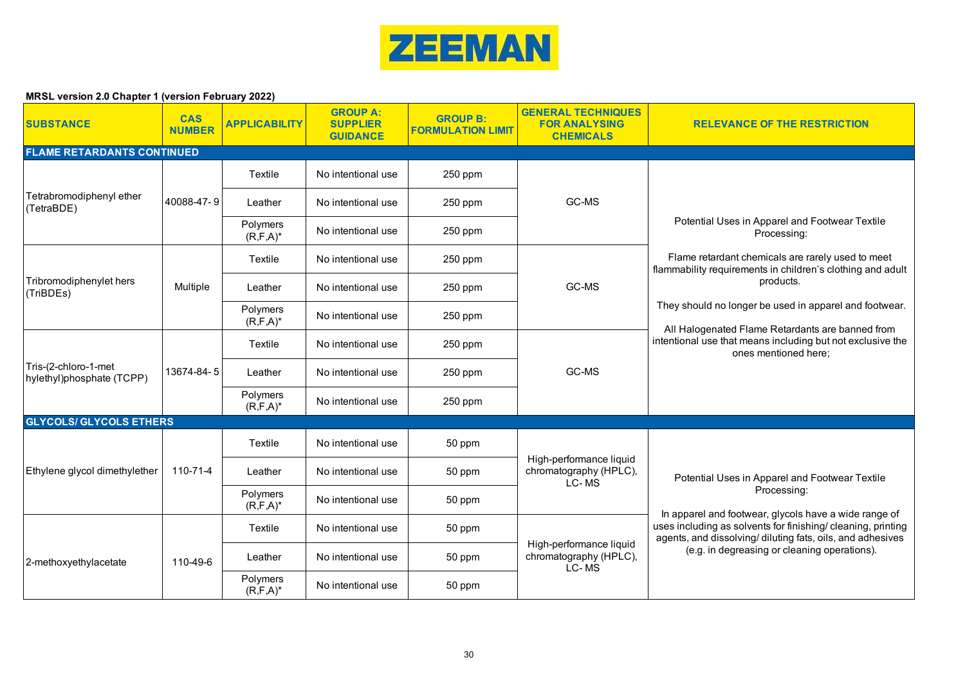

| <b>SUBSTANCE</b>                                  | <b>CAS</b><br><b>NUMBER</b> | <b>APPLICABILITY</b>      | <b>GROUP A:</b><br><b>SUPPLIER</b><br><b>GUIDANCE</b> | <b>GROUP B:</b><br><b>FORMULATION LIMIT</b> | <b>GENERAL TECHNIQUES</b><br><b>FOR ANALYSING</b><br><b>CHEMICALS</b> | <b>RELEVANCE OF THE RESTRICTION</b>                                                                                                                                                                                                                 |  |
|---------------------------------------------------|-----------------------------|---------------------------|-------------------------------------------------------|---------------------------------------------|-----------------------------------------------------------------------|-----------------------------------------------------------------------------------------------------------------------------------------------------------------------------------------------------------------------------------------------------|--|
| <b>FLAME RETARDANTS CONTINUED</b>                 |                             |                           |                                                       |                                             |                                                                       |                                                                                                                                                                                                                                                     |  |
|                                                   |                             | Textile                   | No intentional use                                    | 250 ppm                                     |                                                                       |                                                                                                                                                                                                                                                     |  |
| Tetrabromodiphenyl ether<br>(TetraBDE)            | 40088-47-9                  | Leather                   | No intentional use                                    | 250 ppm                                     | GC-MS                                                                 |                                                                                                                                                                                                                                                     |  |
|                                                   |                             | Polymers<br>$(R, F, A)^*$ | No intentional use                                    | 250 ppm                                     |                                                                       | Potential Uses in Apparel and Footwear Textile<br>Processing:                                                                                                                                                                                       |  |
|                                                   |                             | Textile                   | No intentional use                                    | 250 ppm                                     | GC-MS                                                                 | Flame retardant chemicals are rarely used to meet<br>flammability requirements in children's clothing and adult                                                                                                                                     |  |
| Tribromodiphenylet hers<br>(TriBDEs)              | Multiple                    | Leather                   | No intentional use                                    | 250 ppm                                     |                                                                       | products.                                                                                                                                                                                                                                           |  |
|                                                   |                             | Polymers<br>$(R, F, A)^*$ | No intentional use                                    | 250 ppm                                     |                                                                       | They should no longer be used in apparel and footwear.<br>All Halogenated Flame Retardants are banned from                                                                                                                                          |  |
|                                                   | 13674-84-5                  | Textile                   | No intentional use                                    | 250 ppm                                     | GC-MS                                                                 | intentional use that means including but not exclusive the<br>ones mentioned here;                                                                                                                                                                  |  |
| Tris-(2-chloro-1-met<br>hylethyl)phosphate (TCPP) |                             | Leather                   | No intentional use                                    | 250 ppm                                     |                                                                       |                                                                                                                                                                                                                                                     |  |
|                                                   |                             | Polymers<br>$(R, F, A)^*$ | No intentional use                                    | 250 ppm                                     |                                                                       |                                                                                                                                                                                                                                                     |  |
| <b>GLYCOLS/ GLYCOLS ETHERS</b>                    |                             |                           |                                                       |                                             |                                                                       |                                                                                                                                                                                                                                                     |  |
|                                                   |                             | Textile                   | No intentional use                                    | 50 ppm                                      |                                                                       |                                                                                                                                                                                                                                                     |  |
| Ethylene glycol dimethylether                     | 110-71-4                    | Leather                   | No intentional use                                    | 50 ppm                                      | High-performance liquid<br>chromatography (HPLC),<br>LC-MS            | Potential Uses in Apparel and Footwear Textile<br>Processing:<br>In apparel and footwear, glycols have a wide range of<br>uses including as solvents for finishing/ cleaning, printing<br>agents, and dissolving/diluting fats, oils, and adhesives |  |
|                                                   |                             | Polymers<br>$(R, F, A)^*$ | No intentional use                                    | 50 ppm                                      |                                                                       |                                                                                                                                                                                                                                                     |  |
|                                                   |                             | Textile                   | No intentional use                                    | 50 ppm                                      | High-performance liquid<br>chromatography (HPLC),<br>LC-MS            |                                                                                                                                                                                                                                                     |  |
| 2-methoxyethylacetate                             | 110-49-6                    | Leather                   | No intentional use                                    | 50 ppm                                      |                                                                       | (e.g. in degreasing or cleaning operations).                                                                                                                                                                                                        |  |
|                                                   |                             | Polymers<br>$(R, F, A)^*$ | No intentional use                                    | 50 ppm                                      |                                                                       |                                                                                                                                                                                                                                                     |  |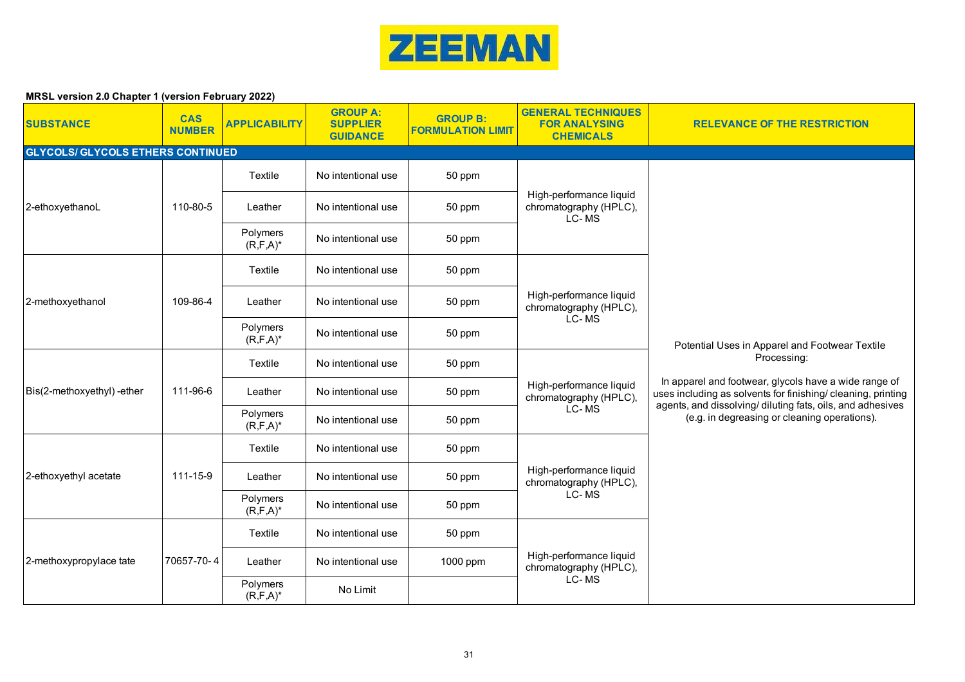

| <b>SUBSTANCE</b>                         | <b>CAS</b><br><b>NUMBER</b> | <b>APPLICABILITY</b>      | <b>GROUP A:</b><br><b>SUPPLIER</b><br><b>GUIDANCE</b> | <b>GROUP B:</b><br><b>FORMULATION LIMIT</b> | <b>GENERAL TECHNIQUES</b><br><b>FOR ANALYSING</b><br><b>CHEMICALS</b> | <b>RELEVANCE OF THE RESTRICTION</b>                                                                                                                                                                                                 |
|------------------------------------------|-----------------------------|---------------------------|-------------------------------------------------------|---------------------------------------------|-----------------------------------------------------------------------|-------------------------------------------------------------------------------------------------------------------------------------------------------------------------------------------------------------------------------------|
| <b>GLYCOLS/ GLYCOLS ETHERS CONTINUED</b> |                             |                           |                                                       |                                             |                                                                       |                                                                                                                                                                                                                                     |
|                                          |                             | Textile                   | No intentional use                                    | 50 ppm                                      | High-performance liquid<br>chromatography (HPLC),<br>LC-MS            |                                                                                                                                                                                                                                     |
| 2-ethoxyethanoL                          | 110-80-5                    | Leather                   | No intentional use                                    | 50 ppm                                      |                                                                       |                                                                                                                                                                                                                                     |
|                                          |                             | Polymers<br>$(R, F, A)^*$ | No intentional use                                    | 50 ppm                                      |                                                                       |                                                                                                                                                                                                                                     |
|                                          |                             | Textile                   | No intentional use                                    | 50 ppm                                      |                                                                       |                                                                                                                                                                                                                                     |
| 2-methoxyethanol                         | 109-86-4                    | Leather                   | No intentional use                                    | 50 ppm                                      | High-performance liquid<br>chromatography (HPLC),<br>LC-MS            | Potential Uses in Apparel and Footwear Textile                                                                                                                                                                                      |
|                                          |                             | Polymers<br>$(R, F, A)^*$ | No intentional use                                    | 50 ppm                                      |                                                                       |                                                                                                                                                                                                                                     |
|                                          |                             | Textile                   | No intentional use                                    | 50 ppm                                      | High-performance liquid<br>chromatography (HPLC),<br>LC-MS            | Processing:                                                                                                                                                                                                                         |
| Bis(2-methoxyethyl)-ether                | 111-96-6                    | Leather                   | No intentional use                                    | 50 ppm                                      |                                                                       | In apparel and footwear, glycols have a wide range of<br>uses including as solvents for finishing/ cleaning, printing<br>agents, and dissolving/ diluting fats, oils, and adhesives<br>(e.g. in degreasing or cleaning operations). |
|                                          |                             | Polymers<br>$(R, F, A)^*$ | No intentional use                                    | 50 ppm                                      |                                                                       |                                                                                                                                                                                                                                     |
|                                          |                             | Textile                   | No intentional use                                    | 50 ppm                                      |                                                                       |                                                                                                                                                                                                                                     |
| 2-ethoxyethyl acetate                    | 111-15-9                    | Leather                   | No intentional use                                    | 50 ppm                                      | High-performance liquid<br>chromatography (HPLC),                     |                                                                                                                                                                                                                                     |
|                                          |                             | Polymers<br>$(R, F, A)^*$ | No intentional use                                    | 50 ppm                                      | LC-MS                                                                 |                                                                                                                                                                                                                                     |
|                                          |                             | Textile                   | No intentional use                                    | 50 ppm                                      | High-performance liquid<br>chromatography (HPLC),<br>LC-MS            |                                                                                                                                                                                                                                     |
| 2-methoxypropylace tate                  | 70657-70-4                  | Leather                   | No intentional use                                    | 1000 ppm                                    |                                                                       |                                                                                                                                                                                                                                     |
|                                          |                             | Polymers<br>$(R, F, A)^*$ | No Limit                                              |                                             |                                                                       |                                                                                                                                                                                                                                     |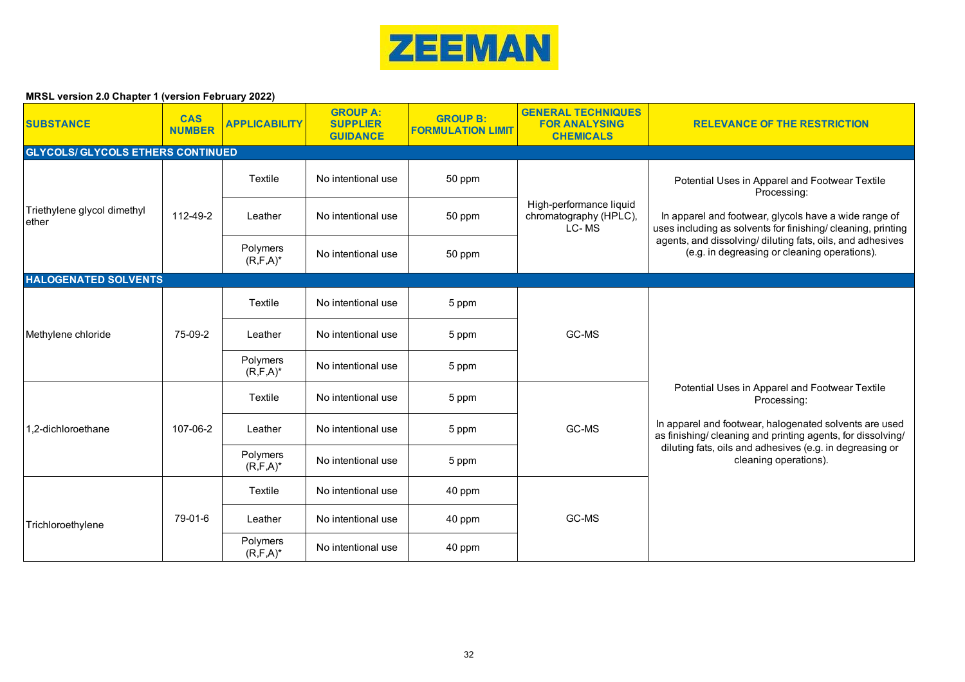

| <b>SUBSTANCE</b>                         | <b>CAS</b><br><b>NUMBER</b> | <b>APPLICABILITY</b>      | <b>GROUP A:</b><br><b>SUPPLIER</b><br><b>GUIDANCE</b> | <b>GROUP B:</b><br><b>FORMULATION LIMIT</b> | <b>GENERAL TECHNIQUES</b><br><b>FOR ANALYSING</b><br><b>CHEMICALS</b> | <b>RELEVANCE OF THE RESTRICTION</b>                                                                                                                                                                                                                                         |
|------------------------------------------|-----------------------------|---------------------------|-------------------------------------------------------|---------------------------------------------|-----------------------------------------------------------------------|-----------------------------------------------------------------------------------------------------------------------------------------------------------------------------------------------------------------------------------------------------------------------------|
| <b>GLYCOLS/ GLYCOLS ETHERS CONTINUED</b> |                             |                           |                                                       |                                             |                                                                       |                                                                                                                                                                                                                                                                             |
|                                          |                             | Textile                   | No intentional use                                    | 50 ppm                                      |                                                                       | Potential Uses in Apparel and Footwear Textile<br>Processing:                                                                                                                                                                                                               |
| Triethylene glycol dimethyl<br>ether     | 112-49-2                    | Leather                   | No intentional use                                    | 50 ppm                                      | High-performance liquid<br>chromatography (HPLC),<br>LC-MS            | In apparel and footwear, glycols have a wide range of<br>uses including as solvents for finishing/ cleaning, printing                                                                                                                                                       |
|                                          |                             | Polymers<br>$(R, F, A)^*$ | No intentional use                                    | 50 ppm                                      |                                                                       | agents, and dissolving/ diluting fats, oils, and adhesives<br>(e.g. in degreasing or cleaning operations).                                                                                                                                                                  |
| <b>HALOGENATED SOLVENTS</b>              |                             |                           |                                                       |                                             |                                                                       |                                                                                                                                                                                                                                                                             |
|                                          | 75-09-2                     | Textile                   | No intentional use                                    | 5 ppm                                       | GC-MS                                                                 | Potential Uses in Apparel and Footwear Textile<br>Processing:<br>In apparel and footwear, halogenated solvents are used<br>as finishing/ cleaning and printing agents, for dissolving/<br>diluting fats, oils and adhesives (e.g. in degreasing or<br>cleaning operations). |
| Methylene chloride                       |                             | Leather                   | No intentional use                                    | 5 ppm                                       |                                                                       |                                                                                                                                                                                                                                                                             |
|                                          |                             | Polymers<br>$(R, F, A)^*$ | No intentional use                                    | 5 ppm                                       |                                                                       |                                                                                                                                                                                                                                                                             |
|                                          |                             | Textile                   | No intentional use                                    | 5 ppm                                       |                                                                       |                                                                                                                                                                                                                                                                             |
| 1.2-dichloroethane                       | 107-06-2                    | Leather                   | No intentional use                                    | 5 ppm                                       | GC-MS                                                                 |                                                                                                                                                                                                                                                                             |
|                                          |                             | Polymers<br>$(R, F, A)^*$ | No intentional use                                    | 5 ppm                                       |                                                                       |                                                                                                                                                                                                                                                                             |
|                                          |                             | Textile                   | No intentional use                                    | 40 ppm                                      | GC-MS                                                                 |                                                                                                                                                                                                                                                                             |
| Trichloroethylene                        | 79-01-6                     | Leather                   | No intentional use                                    | 40 ppm                                      |                                                                       |                                                                                                                                                                                                                                                                             |
|                                          |                             | Polymers<br>$(R, F, A)^*$ | No intentional use                                    | 40 ppm                                      |                                                                       |                                                                                                                                                                                                                                                                             |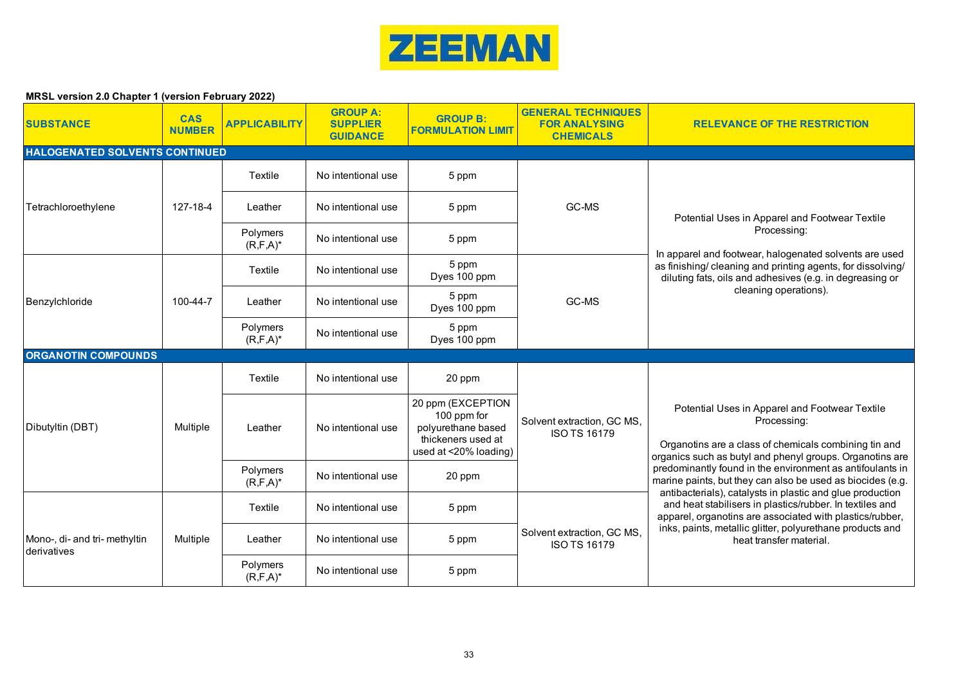

| <b>SUBSTANCE</b>                             | <b>CAS</b><br><b>NUMBER</b> | <b>APPLICABILITY</b>      | <b>GROUP A:</b><br><b>SUPPLIER</b><br><b>GUIDANCE</b> | <b>GROUP B:</b><br><b>FORMULATION LIMIT</b>                                                           | <b>GENERAL TECHNIQUES</b><br><b>FOR ANALYSING</b><br><b>CHEMICALS</b> | <b>RELEVANCE OF THE RESTRICTION</b>                                                                                                                                                |
|----------------------------------------------|-----------------------------|---------------------------|-------------------------------------------------------|-------------------------------------------------------------------------------------------------------|-----------------------------------------------------------------------|------------------------------------------------------------------------------------------------------------------------------------------------------------------------------------|
| HALOGENATED SOLVENTS CONTINUED               |                             |                           |                                                       |                                                                                                       |                                                                       |                                                                                                                                                                                    |
|                                              |                             | Textile                   | No intentional use                                    | 5 ppm                                                                                                 |                                                                       |                                                                                                                                                                                    |
| Tetrachloroethylene                          | 127-18-4                    | Leather                   | No intentional use                                    | 5 ppm                                                                                                 | GC-MS                                                                 | Potential Uses in Apparel and Footwear Textile                                                                                                                                     |
|                                              |                             | Polymers<br>$(R, F, A)^*$ | No intentional use                                    | 5 ppm                                                                                                 |                                                                       | Processing:                                                                                                                                                                        |
| Benzylchloride                               |                             | Textile                   | No intentional use                                    | 5 ppm<br>Dyes 100 ppm                                                                                 | GC-MS                                                                 | In apparel and footwear, halogenated solvents are used<br>as finishing/ cleaning and printing agents, for dissolving/<br>diluting fats, oils and adhesives (e.g. in degreasing or  |
|                                              | 100-44-7                    | Leather                   | No intentional use                                    | 5 ppm<br>Dyes 100 ppm                                                                                 |                                                                       | cleaning operations).                                                                                                                                                              |
|                                              |                             | Polymers<br>$(R, F, A)^*$ | No intentional use                                    | 5 ppm<br>Dyes 100 ppm                                                                                 |                                                                       |                                                                                                                                                                                    |
| <b>ORGANOTIN COMPOUNDS</b>                   |                             |                           |                                                       |                                                                                                       |                                                                       |                                                                                                                                                                                    |
|                                              |                             | Textile                   | No intentional use                                    | 20 ppm                                                                                                |                                                                       |                                                                                                                                                                                    |
| Dibutyltin (DBT)                             | Multiple                    | Leather                   | No intentional use                                    | 20 ppm (EXCEPTION<br>100 ppm for<br>polyurethane based<br>thickeners used at<br>used at <20% loading) | Solvent extraction, GC MS,<br><b>ISO TS 16179</b>                     | Potential Uses in Apparel and Footwear Textile<br>Processing:<br>Organotins are a class of chemicals combining tin and<br>organics such as butyl and phenyl groups. Organotins are |
|                                              |                             | Polymers<br>$(R, F, A)^*$ | No intentional use                                    | 20 ppm                                                                                                |                                                                       | predominantly found in the environment as antifoulants in<br>marine paints, but they can also be used as biocides (e.g.                                                            |
|                                              |                             | Textile                   | No intentional use                                    | 5 ppm                                                                                                 |                                                                       | antibacterials), catalysts in plastic and glue production<br>and heat stabilisers in plastics/rubber. In textiles and<br>apparel, organotins are associated with plastics/rubber,  |
| Mono-, di- and tri- methyltin<br>derivatives | Multiple                    | Leather                   | No intentional use                                    | 5 ppm                                                                                                 | Solvent extraction, GC MS,<br><b>ISO TS 16179</b>                     | inks, paints, metallic glitter, polyurethane products and<br>heat transfer material.                                                                                               |
|                                              |                             | Polymers<br>$(R, F, A)^*$ | No intentional use                                    | 5 ppm                                                                                                 |                                                                       |                                                                                                                                                                                    |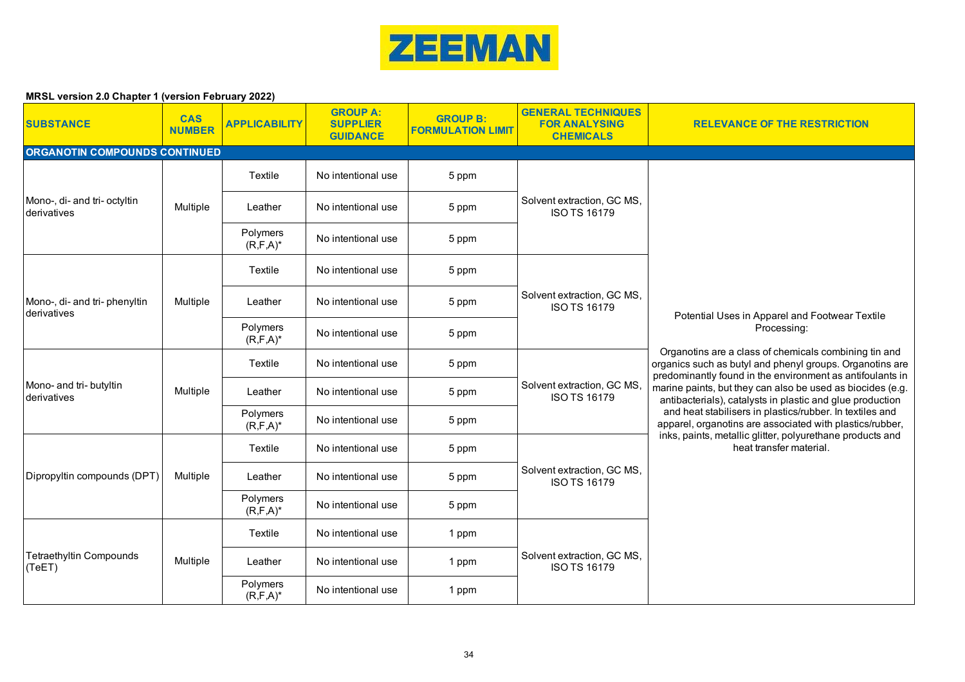

| <b>SUBSTANCE</b>                            | <b>CAS</b><br><b>NUMBER</b> | <b>APPLICABILITY</b>      | <b>GROUP A:</b><br><b>SUPPLIER</b><br><b>GUIDANCE</b> | <b>GROUP B:</b><br><b>FORMULATION LIMIT</b> | <b>GENERAL TECHNIQUES</b><br><b>FOR ANALYSING</b><br><b>CHEMICALS</b> | <b>RELEVANCE OF THE RESTRICTION</b>                                                                                                                                                                                                                                                                                                                                                                                                                                                                                                                                                        |
|---------------------------------------------|-----------------------------|---------------------------|-------------------------------------------------------|---------------------------------------------|-----------------------------------------------------------------------|--------------------------------------------------------------------------------------------------------------------------------------------------------------------------------------------------------------------------------------------------------------------------------------------------------------------------------------------------------------------------------------------------------------------------------------------------------------------------------------------------------------------------------------------------------------------------------------------|
| ORGANOTIN COMPOUNDS CONTINUED               |                             |                           |                                                       |                                             |                                                                       |                                                                                                                                                                                                                                                                                                                                                                                                                                                                                                                                                                                            |
|                                             |                             | <b>Textile</b>            | No intentional use                                    | 5 ppm                                       |                                                                       |                                                                                                                                                                                                                                                                                                                                                                                                                                                                                                                                                                                            |
| Mono-, di- and tri- octyltin<br>derivatives | Multiple                    | Leather                   | No intentional use                                    | 5 ppm                                       | Solvent extraction, GC MS,<br><b>ISO TS 16179</b>                     |                                                                                                                                                                                                                                                                                                                                                                                                                                                                                                                                                                                            |
|                                             |                             | Polymers<br>$(R, F, A)^*$ | No intentional use                                    | 5 ppm                                       |                                                                       |                                                                                                                                                                                                                                                                                                                                                                                                                                                                                                                                                                                            |
|                                             |                             | Textile                   | No intentional use                                    | 5 ppm                                       |                                                                       |                                                                                                                                                                                                                                                                                                                                                                                                                                                                                                                                                                                            |
| Mono-, di- and tri-phenyltin<br>derivatives | Multiple                    | Leather                   | No intentional use                                    | 5 ppm                                       | Solvent extraction, GC MS,<br><b>ISO TS 16179</b>                     | Potential Uses in Apparel and Footwear Textile<br>Processing:<br>Organotins are a class of chemicals combining tin and<br>organics such as butyl and phenyl groups. Organotins are<br>predominantly found in the environment as antifoulants in<br>marine paints, but they can also be used as biocides (e.g.<br>antibacterials), catalysts in plastic and glue production<br>and heat stabilisers in plastics/rubber. In textiles and<br>apparel, organotins are associated with plastics/rubber,<br>inks, paints, metallic glitter, polyurethane products and<br>heat transfer material. |
|                                             |                             | Polymers<br>$(R, F, A)^*$ | No intentional use                                    | 5 ppm                                       |                                                                       |                                                                                                                                                                                                                                                                                                                                                                                                                                                                                                                                                                                            |
|                                             | Multiple                    | Textile                   | No intentional use                                    | 5 ppm                                       | Solvent extraction, GC MS,<br><b>ISO TS 16179</b>                     |                                                                                                                                                                                                                                                                                                                                                                                                                                                                                                                                                                                            |
| Mono- and tri- butyltin<br>derivatives      |                             | Leather                   | No intentional use                                    | 5 ppm                                       |                                                                       |                                                                                                                                                                                                                                                                                                                                                                                                                                                                                                                                                                                            |
|                                             |                             | Polymers<br>$(R, F, A)^*$ | No intentional use                                    | 5 ppm                                       |                                                                       |                                                                                                                                                                                                                                                                                                                                                                                                                                                                                                                                                                                            |
|                                             |                             | Textile                   | No intentional use                                    | 5 ppm                                       |                                                                       |                                                                                                                                                                                                                                                                                                                                                                                                                                                                                                                                                                                            |
| Dipropyltin compounds (DPT)                 | Multiple                    | Leather                   | No intentional use                                    | 5 ppm                                       | Solvent extraction, GC MS,<br><b>ISO TS 16179</b>                     |                                                                                                                                                                                                                                                                                                                                                                                                                                                                                                                                                                                            |
|                                             |                             | Polymers<br>$(R, F, A)^*$ | No intentional use                                    | 5 ppm                                       |                                                                       |                                                                                                                                                                                                                                                                                                                                                                                                                                                                                                                                                                                            |
|                                             |                             | Textile                   | No intentional use                                    | 1 ppm                                       | Solvent extraction, GC MS,<br><b>ISO TS 16179</b>                     |                                                                                                                                                                                                                                                                                                                                                                                                                                                                                                                                                                                            |
| <b>Tetraethyltin Compounds</b><br>(TeET)    | Multiple                    | Leather                   | No intentional use                                    | 1 ppm                                       |                                                                       |                                                                                                                                                                                                                                                                                                                                                                                                                                                                                                                                                                                            |
|                                             |                             | Polymers<br>$(R, F, A)^*$ | No intentional use                                    | 1 ppm                                       |                                                                       |                                                                                                                                                                                                                                                                                                                                                                                                                                                                                                                                                                                            |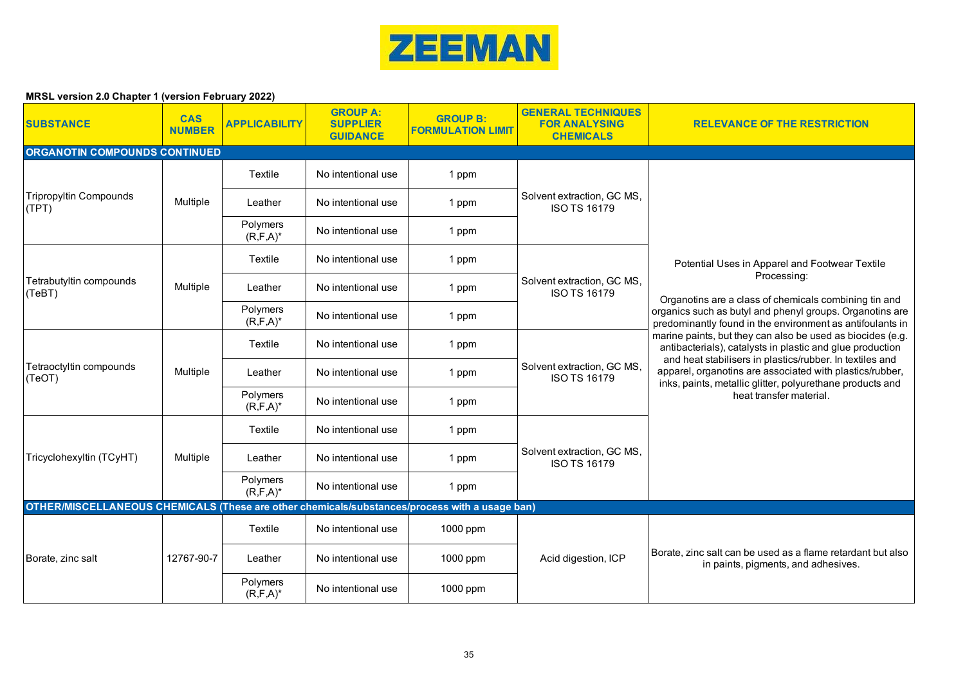

| <b>SUBSTANCE</b>                                                                              | <b>CAS</b><br><b>NUMBER</b> | <b>APPLICABILITY</b>      | <b>GROUP A:</b><br><b>SUPPLIER</b><br><b>GUIDANCE</b> | <b>GROUP B:</b><br><b>FORMULATION LIMIT</b> | <b>GENERAL TECHNIQUES</b><br><b>FOR ANALYSING</b><br><b>CHEMICALS</b> | <b>RELEVANCE OF THE RESTRICTION</b>                                                                                                                                                                                                                                                                                                                                                                                                                                                                                                      |  |
|-----------------------------------------------------------------------------------------------|-----------------------------|---------------------------|-------------------------------------------------------|---------------------------------------------|-----------------------------------------------------------------------|------------------------------------------------------------------------------------------------------------------------------------------------------------------------------------------------------------------------------------------------------------------------------------------------------------------------------------------------------------------------------------------------------------------------------------------------------------------------------------------------------------------------------------------|--|
| ORGANOTIN COMPOUNDS CONTINUED                                                                 |                             |                           |                                                       |                                             |                                                                       |                                                                                                                                                                                                                                                                                                                                                                                                                                                                                                                                          |  |
|                                                                                               |                             | Textile                   | No intentional use                                    | 1 ppm                                       | Solvent extraction, GC MS,<br><b>ISO TS 16179</b>                     |                                                                                                                                                                                                                                                                                                                                                                                                                                                                                                                                          |  |
| <b>Tripropyltin Compounds</b><br>(TPT)                                                        | Multiple                    | Leather                   | No intentional use                                    | 1 ppm                                       |                                                                       |                                                                                                                                                                                                                                                                                                                                                                                                                                                                                                                                          |  |
|                                                                                               |                             | Polymers<br>$(R, F, A)^*$ | No intentional use                                    | 1 ppm                                       |                                                                       |                                                                                                                                                                                                                                                                                                                                                                                                                                                                                                                                          |  |
|                                                                                               |                             | Textile                   | No intentional use                                    | 1 ppm                                       |                                                                       | Potential Uses in Apparel and Footwear Textile                                                                                                                                                                                                                                                                                                                                                                                                                                                                                           |  |
| Tetrabutyltin compounds<br>(TeBT)                                                             | Multiple                    | Leather                   | No intentional use                                    | 1 ppm                                       | Solvent extraction, GC MS,<br><b>ISO TS 16179</b>                     | Processing:<br>Organotins are a class of chemicals combining tin and<br>organics such as butyl and phenyl groups. Organotins are<br>predominantly found in the environment as antifoulants in<br>marine paints, but they can also be used as biocides (e.g.<br>antibacterials), catalysts in plastic and glue production<br>and heat stabilisers in plastics/rubber. In textiles and<br>apparel, organotins are associated with plastics/rubber,<br>inks, paints, metallic glitter, polyurethane products and<br>heat transfer material. |  |
|                                                                                               |                             | Polymers<br>$(R, F, A)^*$ | No intentional use                                    | 1 ppm                                       |                                                                       |                                                                                                                                                                                                                                                                                                                                                                                                                                                                                                                                          |  |
|                                                                                               | Multiple                    | Textile                   | No intentional use                                    | 1 ppm                                       | Solvent extraction, GC MS,<br><b>ISO TS 16179</b>                     |                                                                                                                                                                                                                                                                                                                                                                                                                                                                                                                                          |  |
| Tetraoctyltin compounds<br>(TeOT)                                                             |                             | Leather                   | No intentional use                                    | 1 ppm                                       |                                                                       |                                                                                                                                                                                                                                                                                                                                                                                                                                                                                                                                          |  |
|                                                                                               |                             | Polymers<br>$(R, F, A)^*$ | No intentional use                                    | 1 ppm                                       |                                                                       |                                                                                                                                                                                                                                                                                                                                                                                                                                                                                                                                          |  |
|                                                                                               |                             | Textile                   | No intentional use                                    | 1 ppm                                       |                                                                       |                                                                                                                                                                                                                                                                                                                                                                                                                                                                                                                                          |  |
| Tricyclohexyltin (TCyHT)                                                                      | Multiple                    | Leather                   | No intentional use                                    | 1 ppm                                       | Solvent extraction, GC MS,<br><b>ISO TS 16179</b>                     |                                                                                                                                                                                                                                                                                                                                                                                                                                                                                                                                          |  |
|                                                                                               |                             | Polymers<br>$(R, F, A)^*$ | No intentional use                                    | 1 ppm                                       |                                                                       |                                                                                                                                                                                                                                                                                                                                                                                                                                                                                                                                          |  |
| OTHER/MISCELLANEOUS CHEMICALS (These are other chemicals/substances/process with a usage ban) |                             |                           |                                                       |                                             |                                                                       |                                                                                                                                                                                                                                                                                                                                                                                                                                                                                                                                          |  |
| Borate, zinc salt                                                                             | 12767-90-7                  | Textile                   | No intentional use                                    | 1000 ppm                                    | Acid digestion, ICP                                                   |                                                                                                                                                                                                                                                                                                                                                                                                                                                                                                                                          |  |
|                                                                                               |                             | Leather                   | No intentional use                                    | 1000 ppm                                    |                                                                       | Borate, zinc salt can be used as a flame retardant but also<br>in paints, pigments, and adhesives.                                                                                                                                                                                                                                                                                                                                                                                                                                       |  |
|                                                                                               |                             | Polymers<br>$(R, F, A)^*$ | No intentional use                                    | 1000 ppm                                    |                                                                       |                                                                                                                                                                                                                                                                                                                                                                                                                                                                                                                                          |  |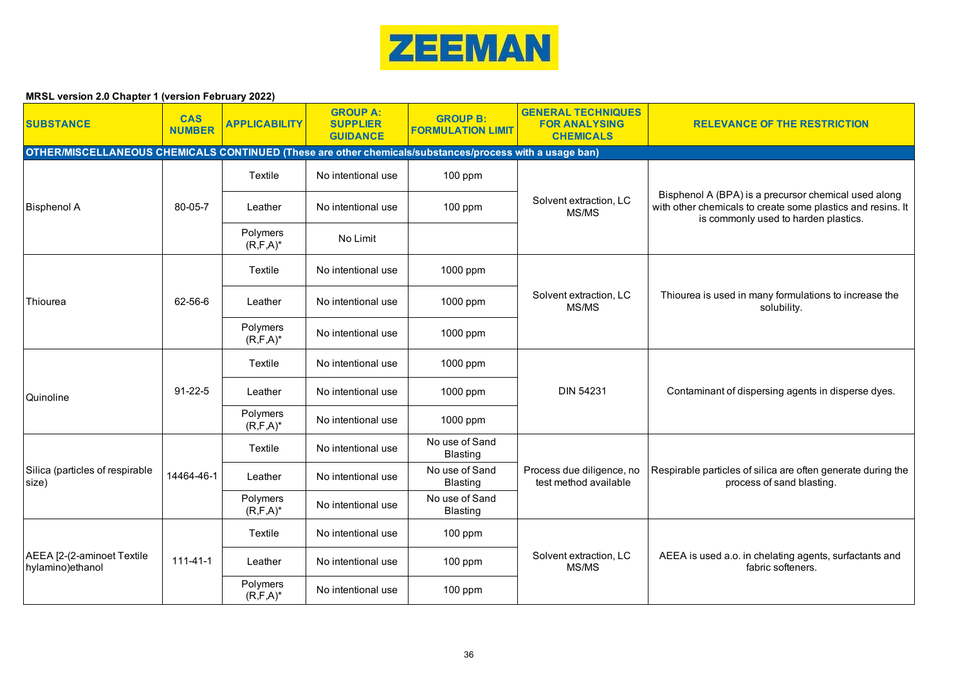

| <b>SUBSTANCE</b>                                                                                        | <b>CAS</b><br><b>NUMBER</b> | <b>APPLICABILITY</b>      | <b>GROUP A:</b><br><b>SUPPLIER</b><br><b>GUIDANCE</b> | <b>GROUP B:</b><br><b>FORMULATION LIMIT</b> | <b>GENERAL TECHNIQUES</b><br><b>FOR ANALYSING</b><br><b>CHEMICALS</b> | <b>RELEVANCE OF THE RESTRICTION</b>                                                                                                                         |  |  |  |  |
|---------------------------------------------------------------------------------------------------------|-----------------------------|---------------------------|-------------------------------------------------------|---------------------------------------------|-----------------------------------------------------------------------|-------------------------------------------------------------------------------------------------------------------------------------------------------------|--|--|--|--|
| OTHER/MISCELLANEOUS CHEMICALS CONTINUED (These are other chemicals/substances/process with a usage ban) |                             |                           |                                                       |                                             |                                                                       |                                                                                                                                                             |  |  |  |  |
|                                                                                                         |                             | Textile                   | No intentional use                                    | $100$ ppm                                   |                                                                       |                                                                                                                                                             |  |  |  |  |
| <b>Bisphenol A</b>                                                                                      | 80-05-7                     | Leather                   | No intentional use                                    | $100$ ppm                                   | Solvent extraction, LC<br>MS/MS                                       | Bisphenol A (BPA) is a precursor chemical used along<br>with other chemicals to create some plastics and resins. It<br>is commonly used to harden plastics. |  |  |  |  |
|                                                                                                         |                             | Polymers<br>$(R, F, A)^*$ | No Limit                                              |                                             |                                                                       |                                                                                                                                                             |  |  |  |  |
|                                                                                                         |                             | Textile                   | No intentional use                                    | 1000 ppm                                    |                                                                       |                                                                                                                                                             |  |  |  |  |
| Thiourea                                                                                                | 62-56-6                     | Leather                   | No intentional use                                    | 1000 ppm                                    | Solvent extraction, LC<br>MS/MS                                       | Thiourea is used in many formulations to increase the<br>solubility.                                                                                        |  |  |  |  |
|                                                                                                         |                             | Polymers<br>$(R, F, A)^*$ | No intentional use                                    | 1000 ppm                                    |                                                                       |                                                                                                                                                             |  |  |  |  |
|                                                                                                         |                             | Textile                   | No intentional use                                    | 1000 ppm                                    |                                                                       |                                                                                                                                                             |  |  |  |  |
| Quinoline                                                                                               | $91 - 22 - 5$               | Leather                   | No intentional use                                    | 1000 ppm                                    | <b>DIN 54231</b>                                                      | Contaminant of dispersing agents in disperse dyes.                                                                                                          |  |  |  |  |
|                                                                                                         |                             | Polymers<br>$(R, F, A)^*$ | No intentional use                                    | 1000 ppm                                    |                                                                       |                                                                                                                                                             |  |  |  |  |
|                                                                                                         |                             | Textile                   | No intentional use                                    | No use of Sand<br><b>Blasting</b>           |                                                                       |                                                                                                                                                             |  |  |  |  |
| Silica (particles of respirable<br>size)                                                                | 14464-46-1                  | Leather                   | No intentional use                                    | No use of Sand<br><b>Blasting</b>           | Process due diligence, no<br>test method available                    | Respirable particles of silica are often generate during the<br>process of sand blasting.                                                                   |  |  |  |  |
|                                                                                                         |                             | Polymers<br>$(R, F, A)^*$ | No intentional use                                    | No use of Sand<br><b>Blasting</b>           |                                                                       |                                                                                                                                                             |  |  |  |  |
|                                                                                                         |                             | Textile                   | No intentional use                                    | $100$ ppm                                   |                                                                       |                                                                                                                                                             |  |  |  |  |
| AEEA [2-(2-aminoet Textile<br>hylamino) ethanol                                                         | $111 - 41 - 1$              | Leather                   | No intentional use                                    | $100$ ppm                                   | Solvent extraction, LC<br>MS/MS                                       | AEEA is used a.o. in chelating agents, surfactants and<br>fabric softeners.                                                                                 |  |  |  |  |
|                                                                                                         |                             | Polymers<br>$(R, F, A)^*$ | No intentional use                                    | $100$ ppm                                   |                                                                       |                                                                                                                                                             |  |  |  |  |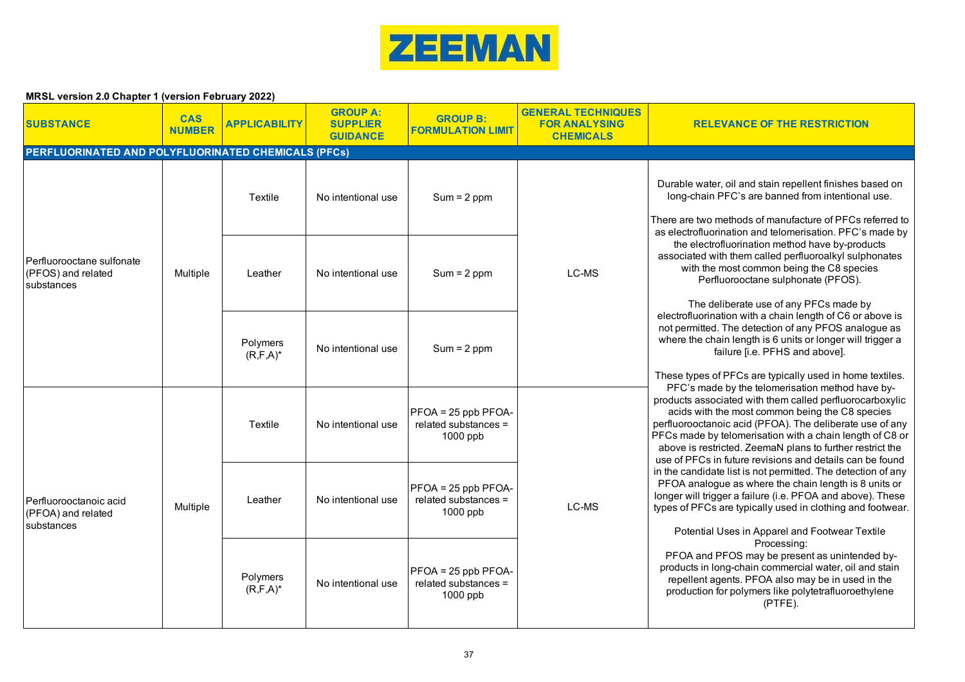

| <b>SUBSTANCE</b>                                              | <b>CAS</b><br><b>NUMBER</b> | <b>APPLICABILITY</b>      | <b>GROUP A:</b><br><b>SUPPLIER</b><br><b>GUIDANCE</b> | <b>GROUP B:</b><br><b>FORMULATION LIMIT</b>                 | <b>GENERAL TECHNIQUES</b><br><b>FOR ANALYSING</b><br><b>CHEMICALS</b> | <b>RELEVANCE OF THE RESTRICTION</b>                                                                                                                                                                                                                                                                                                                                                                                                                                                                                                                                                                                                                                                                                                                              |
|---------------------------------------------------------------|-----------------------------|---------------------------|-------------------------------------------------------|-------------------------------------------------------------|-----------------------------------------------------------------------|------------------------------------------------------------------------------------------------------------------------------------------------------------------------------------------------------------------------------------------------------------------------------------------------------------------------------------------------------------------------------------------------------------------------------------------------------------------------------------------------------------------------------------------------------------------------------------------------------------------------------------------------------------------------------------------------------------------------------------------------------------------|
| <b>PERFLUORINATED AND POLYFLUORINATED CHEMICALS (PFCs)</b>    |                             |                           |                                                       |                                                             |                                                                       |                                                                                                                                                                                                                                                                                                                                                                                                                                                                                                                                                                                                                                                                                                                                                                  |
| Perfluorooctane sulfonate<br>(PFOS) and related<br>substances |                             | Textile                   | No intentional use                                    | $Sum = 2 ppm$                                               | LC-MS                                                                 | Durable water, oil and stain repellent finishes based on<br>long-chain PFC's are banned from intentional use.<br>There are two methods of manufacture of PFCs referred to<br>as electrofluorination and telomerisation. PFC's made by<br>the electrofluorination method have by-products<br>associated with them called perfluoroalkyl sulphonates<br>with the most common being the C8 species<br>Perfluorooctane sulphonate (PFOS).<br>The deliberate use of any PFCs made by<br>electrofluorination with a chain length of C6 or above is<br>not permitted. The detection of any PFOS analogue as<br>where the chain length is 6 units or longer will trigger a<br>failure [i.e. PFHS and above].<br>These types of PFCs are typically used in home textiles. |
|                                                               | Multiple                    | Leather                   | No intentional use                                    | $Sum = 2 ppm$                                               |                                                                       |                                                                                                                                                                                                                                                                                                                                                                                                                                                                                                                                                                                                                                                                                                                                                                  |
|                                                               |                             | Polymers<br>$(R, F, A)^*$ | No intentional use                                    | $Sum = 2 ppm$                                               |                                                                       |                                                                                                                                                                                                                                                                                                                                                                                                                                                                                                                                                                                                                                                                                                                                                                  |
| Perfluorooctanoic acid<br>(PFOA) and related<br>substances    | Multiple                    | Textile                   | No intentional use                                    | $PFOA = 25$ ppb PFOA-<br>related substances $=$<br>1000 ppb | LC-MS                                                                 | PFC's made by the telomerisation method have by-<br>products associated with them called perfluorocarboxylic<br>acids with the most common being the C8 species<br>perfluorooctanoic acid (PFOA). The deliberate use of any<br>PFCs made by telomerisation with a chain length of C8 or<br>above is restricted. ZeemaN plans to further restrict the<br>use of PFCs in future revisions and details can be found                                                                                                                                                                                                                                                                                                                                                 |
|                                                               |                             | Leather                   | No intentional use                                    | $PFOA = 25$ ppb PFOA-<br>related substances =<br>1000 ppb   |                                                                       | in the candidate list is not permitted. The detection of any<br>PFOA analogue as where the chain length is 8 units or<br>longer will trigger a failure (i.e. PFOA and above). These<br>types of PFCs are typically used in clothing and footwear.<br>Potential Uses in Apparel and Footwear Textile<br>Processing:<br>PFOA and PFOS may be present as unintended by-<br>products in long-chain commercial water, oil and stain<br>repellent agents. PFOA also may be in used in the<br>production for polymers like polytetrafluoroethylene<br>$(PTFE)$ .                                                                                                                                                                                                        |
|                                                               |                             | Polymers<br>$(R, F, A)^*$ | No intentional use                                    | $PFOA = 25$ ppb PFOA-<br>related substances =<br>1000 ppb   |                                                                       |                                                                                                                                                                                                                                                                                                                                                                                                                                                                                                                                                                                                                                                                                                                                                                  |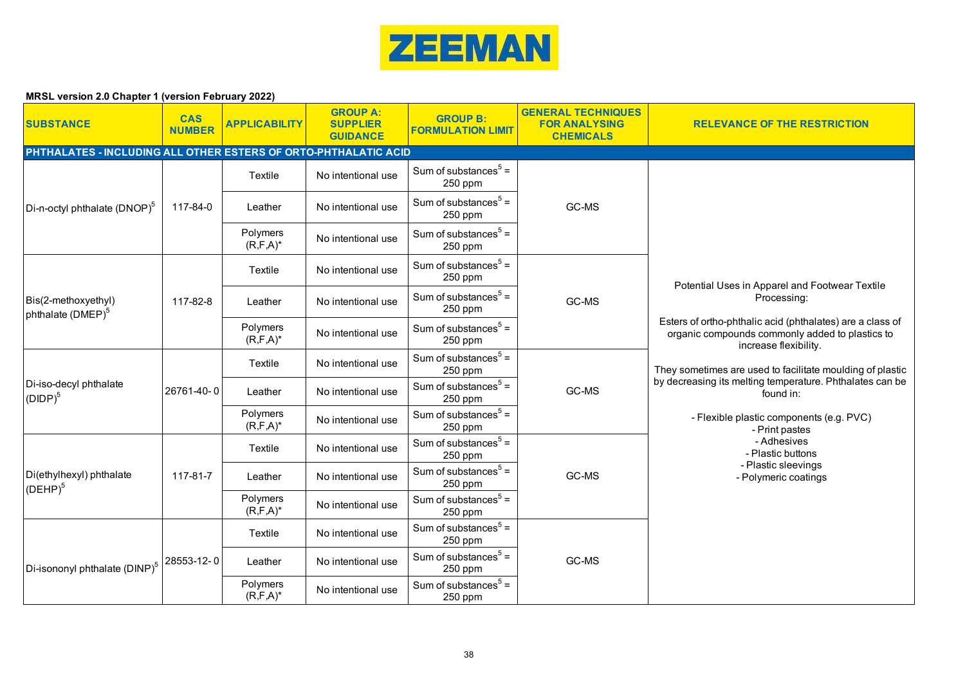

| <b>SUBSTANCE</b>                                                | <b>CAS</b><br><b>NUMBER</b> | <b>APPLICABILITY</b>      | <b>GROUP A:</b><br><b>SUPPLIER</b><br><b>GUIDANCE</b> | <b>GROUP B:</b><br><b>FORMULATION LIMIT</b> | <b>GENERAL TECHNIQUES</b><br><b>FOR ANALYSING</b><br><b>CHEMICALS</b> | <b>RELEVANCE OF THE RESTRICTION</b>                                                                                                                                                                                                                                                                                                                                           |
|-----------------------------------------------------------------|-----------------------------|---------------------------|-------------------------------------------------------|---------------------------------------------|-----------------------------------------------------------------------|-------------------------------------------------------------------------------------------------------------------------------------------------------------------------------------------------------------------------------------------------------------------------------------------------------------------------------------------------------------------------------|
| PHTHALATES - INCLUDING ALL OTHER ESTERS OF ORTO-PHTHALATIC ACID |                             |                           |                                                       |                                             |                                                                       |                                                                                                                                                                                                                                                                                                                                                                               |
|                                                                 |                             | Textile                   | No intentional use                                    | Sum of substances $5 =$<br>250 ppm          |                                                                       |                                                                                                                                                                                                                                                                                                                                                                               |
| Di-n-octyl phthalate (DNOP) <sup>5</sup>                        | 117-84-0                    | Leather                   | No intentional use                                    | Sum of substances $5 =$<br>250 ppm          | GC-MS                                                                 |                                                                                                                                                                                                                                                                                                                                                                               |
|                                                                 |                             | Polymers<br>$(R, F, A)^*$ | No intentional use                                    | Sum of substances $5 =$<br>250 ppm          |                                                                       |                                                                                                                                                                                                                                                                                                                                                                               |
|                                                                 |                             | Textile                   | No intentional use                                    | Sum of substances $5 =$<br>250 ppm          |                                                                       | Potential Uses in Apparel and Footwear Textile                                                                                                                                                                                                                                                                                                                                |
| Bis(2-methoxyethyl)<br>phthalate (DMEP) <sup>5</sup>            | 117-82-8                    | Leather                   | No intentional use                                    | Sum of substances $5 =$<br>250 ppm          | GC-MS                                                                 | Processing:                                                                                                                                                                                                                                                                                                                                                                   |
|                                                                 |                             | Polymers<br>$(R, F, A)^*$ | No intentional use                                    | Sum of substances $5 =$<br>250 ppm          |                                                                       | Esters of ortho-phthalic acid (phthalates) are a class of<br>organic compounds commonly added to plastics to<br>increase flexibility.<br>They sometimes are used to facilitate moulding of plastic<br>by decreasing its melting temperature. Phthalates can be<br>found in:<br>- Flexible plastic components (e.g. PVC)<br>- Print pastes<br>- Adhesives<br>- Plastic buttons |
|                                                                 | 26761-40-0                  | Textile                   | No intentional use                                    | Sum of substances $5 =$<br>250 ppm          | GC-MS                                                                 |                                                                                                                                                                                                                                                                                                                                                                               |
| Di-iso-decyl phthalate<br>$(DIDP)^5$                            |                             | Leather                   | No intentional use                                    | Sum of substances $5 =$<br>250 ppm          |                                                                       |                                                                                                                                                                                                                                                                                                                                                                               |
|                                                                 |                             | Polymers<br>$(R, F, A)^*$ | No intentional use                                    | Sum of substances $5 =$<br>250 ppm          |                                                                       |                                                                                                                                                                                                                                                                                                                                                                               |
|                                                                 |                             | Textile                   | No intentional use                                    | Sum of substances $5 =$<br>250 ppm          |                                                                       |                                                                                                                                                                                                                                                                                                                                                                               |
| Di(ethylhexyl) phthalate<br>(DEHP) <sup>5</sup>                 | 117-81-7                    | Leather                   | No intentional use                                    | Sum of substances $5 =$<br>250 ppm          | GC-MS                                                                 | - Plastic sleevings<br>- Polymeric coatings                                                                                                                                                                                                                                                                                                                                   |
|                                                                 |                             | Polymers<br>$(R, F, A)^*$ | No intentional use                                    | Sum of substances $5 =$<br>250 ppm          |                                                                       |                                                                                                                                                                                                                                                                                                                                                                               |
|                                                                 |                             | Textile                   | No intentional use                                    | Sum of substances $5 =$<br>250 ppm          |                                                                       |                                                                                                                                                                                                                                                                                                                                                                               |
| Di-isononyl phthalate (DINP) <sup>5</sup>                       | 28553-12-0                  | Leather                   | No intentional use                                    | Sum of substances $5 =$<br>250 ppm          | GC-MS                                                                 |                                                                                                                                                                                                                                                                                                                                                                               |
|                                                                 |                             | Polymers<br>$(R, F, A)^*$ | No intentional use                                    | Sum of substances $5 =$<br>250 ppm          |                                                                       |                                                                                                                                                                                                                                                                                                                                                                               |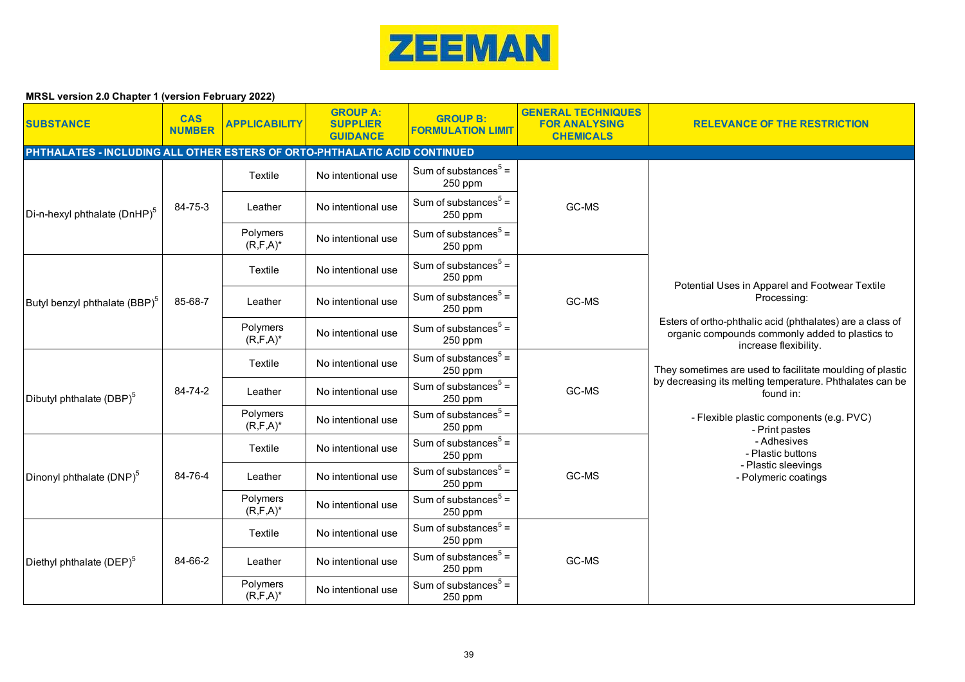

| <b>SUBSTANCE</b>                                                          | <b>CAS</b><br><b>NUMBER</b> | <b>APPLICABILITY</b>      | <b>GROUP A:</b><br><b>SUPPLIER</b><br><b>GUIDANCE</b> | <b>GROUP B:</b><br><b>FORMULATION LIMIT</b> | <b>GENERAL TECHNIQUES</b><br><b>FOR ANALYSING</b><br><b>CHEMICALS</b> | <b>RELEVANCE OF THE RESTRICTION</b>                                                                                                   |
|---------------------------------------------------------------------------|-----------------------------|---------------------------|-------------------------------------------------------|---------------------------------------------|-----------------------------------------------------------------------|---------------------------------------------------------------------------------------------------------------------------------------|
| PHTHALATES - INCLUDING ALL OTHER ESTERS OF ORTO-PHTHALATIC ACID CONTINUED |                             |                           |                                                       |                                             |                                                                       |                                                                                                                                       |
|                                                                           |                             | Textile                   | No intentional use                                    | Sum of substances $5 =$<br>250 ppm          |                                                                       |                                                                                                                                       |
| Di-n-hexyl phthalate (DnHP) <sup>5</sup>                                  | 84-75-3                     | Leather                   | No intentional use                                    | Sum of substances $5 =$<br>250 ppm          | GC-MS                                                                 |                                                                                                                                       |
|                                                                           |                             | Polymers<br>$(R, F, A)^*$ | No intentional use                                    | Sum of substances $5 =$<br>250 ppm          |                                                                       |                                                                                                                                       |
|                                                                           |                             | Textile                   | No intentional use                                    | Sum of substances $5 =$<br>250 ppm          |                                                                       | Potential Uses in Apparel and Footwear Textile                                                                                        |
| Butyl benzyl phthalate (BBP) <sup>5</sup>                                 | 85-68-7                     | Leather                   | No intentional use                                    | Sum of substances $5 =$<br>250 ppm          | GC-MS                                                                 | Processing:                                                                                                                           |
|                                                                           |                             | Polymers<br>$(R, F, A)^*$ | No intentional use                                    | Sum of substances $5 =$<br>250 ppm          |                                                                       | Esters of ortho-phthalic acid (phthalates) are a class of<br>organic compounds commonly added to plastics to<br>increase flexibility. |
|                                                                           |                             | Textile                   | No intentional use                                    | Sum of substances $5 =$<br>250 ppm          |                                                                       | They sometimes are used to facilitate moulding of plastic                                                                             |
| Dibutyl phthalate (DBP) <sup>5</sup>                                      | 84-74-2                     | Leather                   | No intentional use                                    | Sum of substances $5 =$<br>250 ppm          | GC-MS                                                                 | by decreasing its melting temperature. Phthalates can be<br>found in:                                                                 |
|                                                                           |                             | Polymers<br>$(R, F, A)^*$ | No intentional use                                    | Sum of substances $5 =$<br>250 ppm          |                                                                       | - Flexible plastic components (e.g. PVC)<br>- Print pastes                                                                            |
|                                                                           |                             | Textile                   | No intentional use                                    | Sum of substances $5 =$<br>250 ppm          |                                                                       | - Adhesives<br>- Plastic buttons<br>- Plastic sleevings                                                                               |
| Dinonyl phthalate (DNP) <sup>5</sup>                                      | 84-76-4                     | Leather                   | No intentional use                                    | Sum of substances $5 =$<br>250 ppm          | GC-MS                                                                 | - Polymeric coatings                                                                                                                  |
|                                                                           |                             | Polymers<br>$(R, F, A)^*$ | No intentional use                                    | Sum of substances $5 =$<br>250 ppm          |                                                                       |                                                                                                                                       |
|                                                                           |                             | Textile                   | No intentional use                                    | Sum of substances $5 =$<br>250 ppm          |                                                                       |                                                                                                                                       |
| Diethyl phthalate (DEP) <sup>5</sup>                                      | 84-66-2                     | Leather                   | No intentional use                                    | Sum of substances $5 =$<br>250 ppm          | GC-MS                                                                 |                                                                                                                                       |
|                                                                           |                             | Polymers<br>$(R, F, A)^*$ | No intentional use                                    | Sum of substances $5 =$<br>250 ppm          |                                                                       |                                                                                                                                       |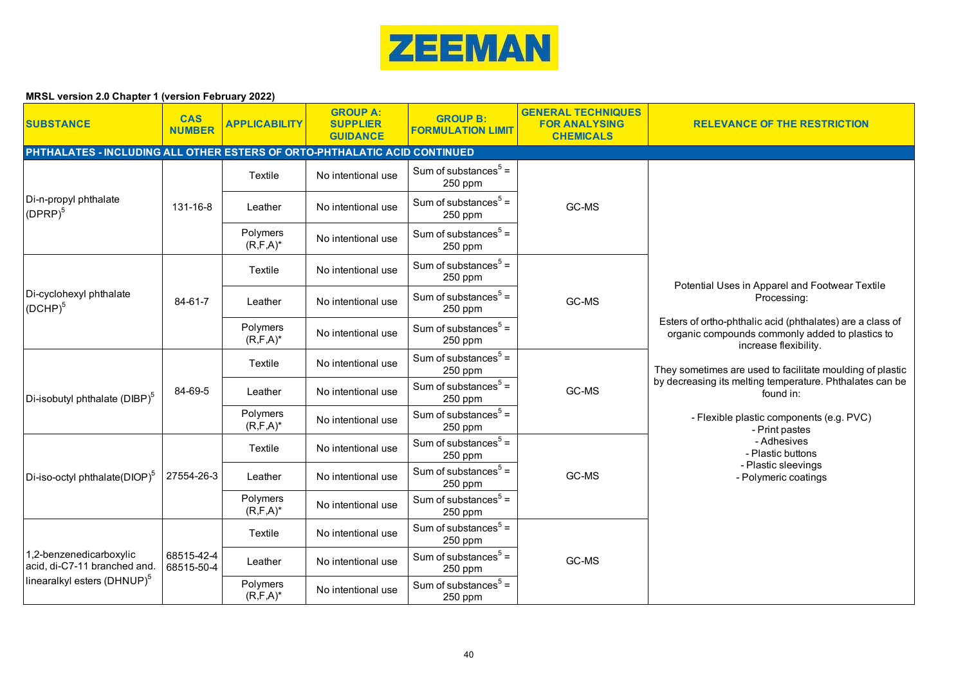

| <b>SUBSTANCE</b>                                        | <b>CAS</b><br><b>NUMBER</b>                                               | <b>APPLICABILITY</b>      | <b>GROUP A:</b><br><b>SUPPLIER</b><br><b>GUIDANCE</b> | <b>GROUP B:</b><br><b>FORMULATION LIMIT</b> | <b>GENERAL TECHNIQUES</b><br><b>FOR ANALYSING</b><br><b>CHEMICALS</b> | <b>RELEVANCE OF THE RESTRICTION</b>                                                                                                   |  |  |  |  |
|---------------------------------------------------------|---------------------------------------------------------------------------|---------------------------|-------------------------------------------------------|---------------------------------------------|-----------------------------------------------------------------------|---------------------------------------------------------------------------------------------------------------------------------------|--|--|--|--|
|                                                         | PHTHALATES - INCLUDING ALL OTHER ESTERS OF ORTO-PHTHALATIC ACID CONTINUED |                           |                                                       |                                             |                                                                       |                                                                                                                                       |  |  |  |  |
|                                                         |                                                                           | Textile                   | No intentional use                                    | Sum of substances $5 =$<br>250 ppm          |                                                                       |                                                                                                                                       |  |  |  |  |
| Di-n-propyl phthalate<br>(DPRP) <sup>5</sup>            | 131-16-8                                                                  | Leather                   | No intentional use                                    | Sum of substances $5 =$<br>250 ppm          | GC-MS                                                                 |                                                                                                                                       |  |  |  |  |
|                                                         |                                                                           | Polymers<br>$(R, F, A)^*$ | No intentional use                                    | Sum of substances $5 =$<br>250 ppm          |                                                                       |                                                                                                                                       |  |  |  |  |
|                                                         |                                                                           | Textile                   | No intentional use                                    | Sum of substances $5 =$<br>250 ppm          |                                                                       | Potential Uses in Apparel and Footwear Textile                                                                                        |  |  |  |  |
| Di-cyclohexyl phthalate<br>$\vert$ (DCHP) <sup>5</sup>  | 84-61-7                                                                   | Leather                   | No intentional use                                    | Sum of substances $5 =$<br>250 ppm          | GC-MS                                                                 | Processing:                                                                                                                           |  |  |  |  |
|                                                         |                                                                           | Polymers<br>$(R, F, A)^*$ | No intentional use                                    | Sum of substances $5 =$<br>250 ppm          |                                                                       | Esters of ortho-phthalic acid (phthalates) are a class of<br>organic compounds commonly added to plastics to<br>increase flexibility. |  |  |  |  |
|                                                         |                                                                           | Textile                   | No intentional use                                    | Sum of substances $5 =$<br>250 ppm          |                                                                       | They sometimes are used to facilitate moulding of plastic                                                                             |  |  |  |  |
| Di-isobutyl phthalate (DIBP) <sup>5</sup>               | 84-69-5                                                                   | Leather                   | No intentional use                                    | Sum of substances $5 =$<br>250 ppm          | GC-MS                                                                 | by decreasing its melting temperature. Phthalates can be<br>found in:                                                                 |  |  |  |  |
|                                                         |                                                                           | Polymers<br>$(R, F, A)^*$ | No intentional use                                    | Sum of substances $5 =$<br>250 ppm          |                                                                       | - Flexible plastic components (e.g. PVC)<br>- Print pastes                                                                            |  |  |  |  |
|                                                         |                                                                           | Textile                   | No intentional use                                    | Sum of substances $5 =$<br>250 ppm          |                                                                       | - Adhesives<br>- Plastic buttons<br>- Plastic sleevings                                                                               |  |  |  |  |
| Di-iso-octyl phthalate(DIOP) <sup>5</sup>               | 27554-26-3                                                                | Leather                   | No intentional use                                    | Sum of substances $5 =$<br>250 ppm          | GC-MS                                                                 | - Polymeric coatings                                                                                                                  |  |  |  |  |
|                                                         |                                                                           | Polymers<br>$(R, F, A)^*$ | No intentional use                                    | Sum of substances $5 =$<br>250 ppm          |                                                                       |                                                                                                                                       |  |  |  |  |
|                                                         |                                                                           | Textile                   | No intentional use                                    | Sum of substances $5 =$<br>250 ppm          |                                                                       |                                                                                                                                       |  |  |  |  |
| 1,2-benzenedicarboxylic<br>acid, di-C7-11 branched and. | 68515-42-4<br>68515-50-4                                                  | Leather                   | No intentional use                                    | Sum of substances $5 =$<br>250 ppm          | GC-MS                                                                 |                                                                                                                                       |  |  |  |  |
| linearalkyl esters (DHNUP) <sup>5</sup>                 |                                                                           | Polymers<br>$(R, F, A)^*$ | No intentional use                                    | Sum of substances $5 =$<br>250 ppm          |                                                                       |                                                                                                                                       |  |  |  |  |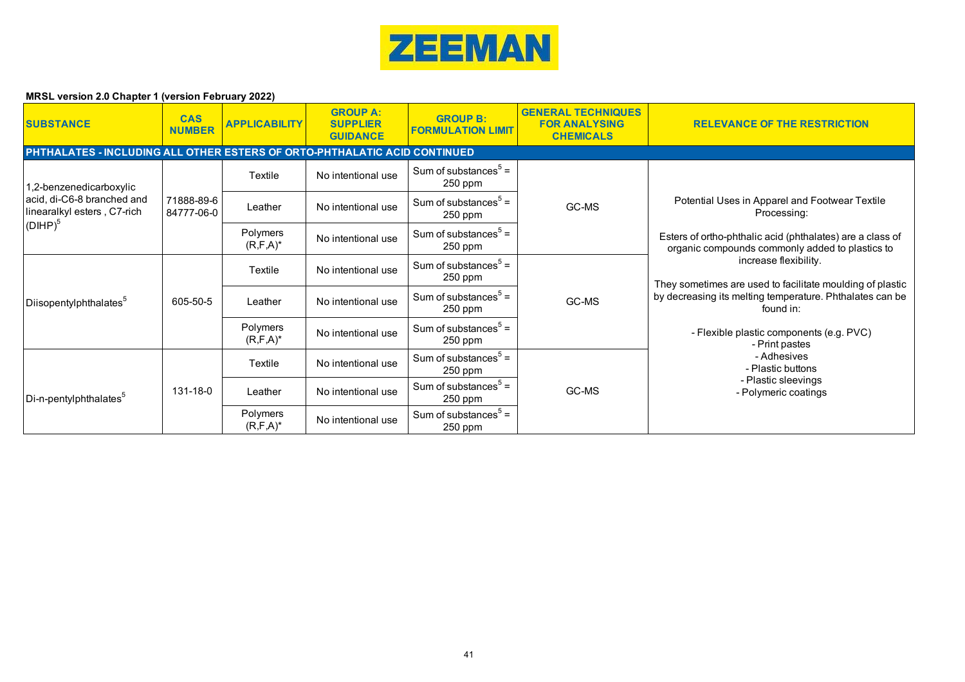

| <b>SUBSTANCE</b>                                                          | <b>CAS</b><br><b>NUMBER</b> | <b>APPLICABILITY</b>      | <b>GROUP A:</b><br><b>SUPPLIER</b><br><b>GUIDANCE</b> | <b>GROUP B:</b><br><b>FORMULATION LIMIT</b> | <b>GENERAL TECHNIQUES</b><br><b>FOR ANALYSING</b><br><b>CHEMICALS</b> | <b>RELEVANCE OF THE RESTRICTION</b>                                                                                                                                                                                                                                                                                                                                                                                          |  |  |  |
|---------------------------------------------------------------------------|-----------------------------|---------------------------|-------------------------------------------------------|---------------------------------------------|-----------------------------------------------------------------------|------------------------------------------------------------------------------------------------------------------------------------------------------------------------------------------------------------------------------------------------------------------------------------------------------------------------------------------------------------------------------------------------------------------------------|--|--|--|
| PHTHALATES - INCLUDING ALL OTHER ESTERS OF ORTO-PHTHALATIC ACID CONTINUED |                             |                           |                                                       |                                             |                                                                       |                                                                                                                                                                                                                                                                                                                                                                                                                              |  |  |  |
| 1,2-benzenedicarboxylic                                                   |                             | Textile                   | No intentional use                                    | Sum of substances $5 =$<br>250 ppm          | GC-MS                                                                 |                                                                                                                                                                                                                                                                                                                                                                                                                              |  |  |  |
| acid, di-C6-8 branched and<br>linearalkyl esters, C7-rich                 | 71888-89-6<br>84777-06-0    | Leather                   | No intentional use                                    | Sum of substances $5 =$<br>250 ppm          |                                                                       | Potential Uses in Apparel and Footwear Textile<br>Processing:                                                                                                                                                                                                                                                                                                                                                                |  |  |  |
| $(DIHP)^5$                                                                |                             | Polymers<br>$(R, F, A)^*$ | No intentional use                                    | Sum of substances $5 =$<br>250 ppm          |                                                                       | Esters of ortho-phthalic acid (phthalates) are a class of<br>organic compounds commonly added to plastics to<br>increase flexibility.<br>They sometimes are used to facilitate moulding of plastic<br>by decreasing its melting temperature. Phthalates can be<br>found in:<br>- Flexible plastic components (e.g. PVC)<br>- Print pastes<br>- Adhesives<br>- Plastic buttons<br>- Plastic sleevings<br>- Polymeric coatings |  |  |  |
|                                                                           | 605-50-5                    | Textile                   | No intentional use                                    | Sum of substances $5 =$<br>250 ppm          | GC-MS                                                                 |                                                                                                                                                                                                                                                                                                                                                                                                                              |  |  |  |
| Diisopentylphthalates <sup>5</sup>                                        |                             | Leather                   | No intentional use                                    | Sum of substances $5 =$<br>250 ppm          |                                                                       |                                                                                                                                                                                                                                                                                                                                                                                                                              |  |  |  |
|                                                                           |                             | Polymers<br>$(R, F, A)^*$ | No intentional use                                    | Sum of substances $5 =$<br>250 ppm          |                                                                       |                                                                                                                                                                                                                                                                                                                                                                                                                              |  |  |  |
| Di-n-pentylphthalates <sup>5</sup>                                        |                             | Textile                   | No intentional use                                    | Sum of substances $5 =$<br>250 ppm          | GC-MS                                                                 |                                                                                                                                                                                                                                                                                                                                                                                                                              |  |  |  |
|                                                                           | 131-18-0                    | Leather                   | No intentional use                                    | Sum of substances $5 =$<br>250 ppm          |                                                                       |                                                                                                                                                                                                                                                                                                                                                                                                                              |  |  |  |
|                                                                           |                             | Polymers<br>$(R, F, A)^*$ | No intentional use                                    | Sum of substances $5 =$<br>250 ppm          |                                                                       |                                                                                                                                                                                                                                                                                                                                                                                                                              |  |  |  |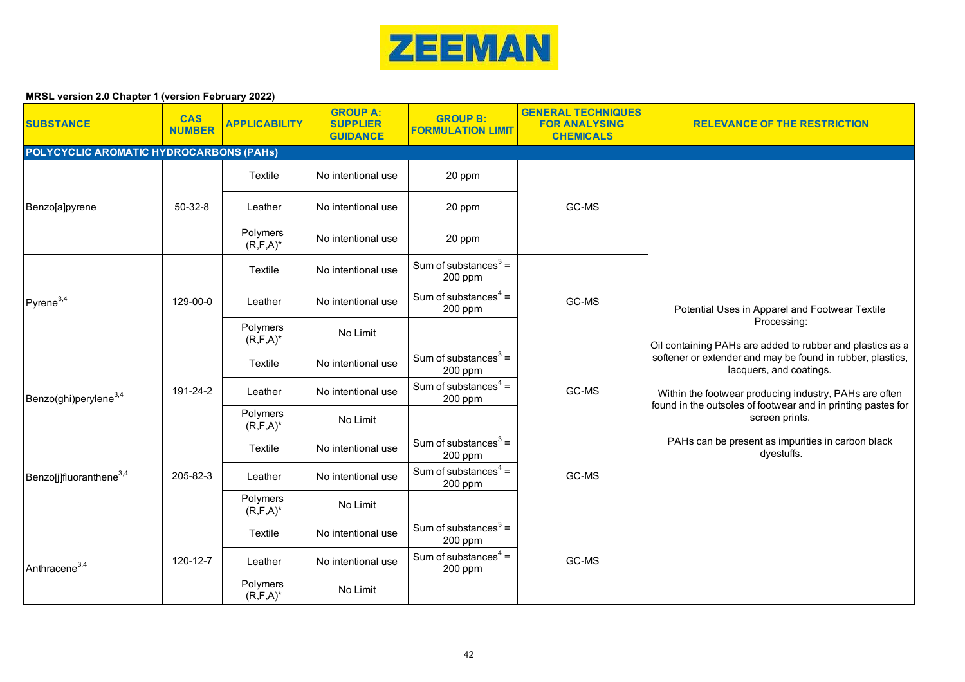

| <b>SUBSTANCE</b>                        | <b>CAS</b><br><b>NUMBER</b> | <b>APPLICABILITY</b>      | <b>GROUP A:</b><br><b>SUPPLIER</b><br><b>GUIDANCE</b> | <b>GROUP B:</b><br><b>FORMULATION LIMIT</b> | <b>GENERAL TECHNIQUES</b><br><b>FOR ANALYSING</b><br><b>CHEMICALS</b> | <b>RELEVANCE OF THE RESTRICTION</b>                                                                                                                                                                                                                                                                           |
|-----------------------------------------|-----------------------------|---------------------------|-------------------------------------------------------|---------------------------------------------|-----------------------------------------------------------------------|---------------------------------------------------------------------------------------------------------------------------------------------------------------------------------------------------------------------------------------------------------------------------------------------------------------|
| POLYCYCLIC AROMATIC HYDROCARBONS (PAHs) |                             |                           |                                                       |                                             |                                                                       |                                                                                                                                                                                                                                                                                                               |
|                                         |                             | Textile                   | No intentional use                                    | 20 ppm                                      |                                                                       |                                                                                                                                                                                                                                                                                                               |
| Benzo[a]pyrene                          | $50-32-8$                   | Leather                   | No intentional use                                    | 20 ppm                                      | GC-MS                                                                 |                                                                                                                                                                                                                                                                                                               |
|                                         |                             | Polymers<br>$(R, F, A)^*$ | No intentional use                                    | 20 ppm                                      |                                                                       |                                                                                                                                                                                                                                                                                                               |
|                                         |                             | Textile                   | No intentional use                                    | Sum of substances $3 =$<br>200 ppm          |                                                                       |                                                                                                                                                                                                                                                                                                               |
| $P$ yrene <sup>3,4</sup>                | 129-00-0                    | Leather                   | No intentional use                                    | Sum of substances $4 =$<br>200 ppm          | GC-MS                                                                 | Potential Uses in Apparel and Footwear Textile                                                                                                                                                                                                                                                                |
|                                         |                             | Polymers<br>$(R, F, A)^*$ | No Limit                                              |                                             |                                                                       | Processing:<br>Oil containing PAHs are added to rubber and plastics as a<br>softener or extender and may be found in rubber, plastics,<br>lacquers, and coatings.<br>Within the footwear producing industry, PAHs are often<br>found in the outsoles of footwear and in printing pastes for<br>screen prints. |
|                                         | 191-24-2                    | Textile                   | No intentional use                                    | Sum of substances $3 =$<br>200 ppm          | GC-MS                                                                 |                                                                                                                                                                                                                                                                                                               |
| Benzo(ghi)perylene <sup>3,4</sup>       |                             | Leather                   | No intentional use                                    | Sum of substances $4 =$<br>200 ppm          |                                                                       |                                                                                                                                                                                                                                                                                                               |
|                                         |                             | Polymers<br>$(R, F, A)^*$ | No Limit                                              |                                             |                                                                       |                                                                                                                                                                                                                                                                                                               |
|                                         |                             | Textile                   | No intentional use                                    | Sum of substances $3 =$<br>200 ppm          |                                                                       | PAHs can be present as impurities in carbon black<br>dyestuffs.                                                                                                                                                                                                                                               |
| Benzo[j]fluoranthene <sup>3,4</sup>     | 205-82-3                    | Leather                   | No intentional use                                    | Sum of substances $4 =$<br>200 ppm          | GC-MS                                                                 |                                                                                                                                                                                                                                                                                                               |
|                                         |                             | Polymers<br>$(R, F, A)^*$ | No Limit                                              |                                             |                                                                       |                                                                                                                                                                                                                                                                                                               |
|                                         |                             | Textile                   | No intentional use                                    | Sum of substances $3 =$<br>200 ppm          |                                                                       |                                                                                                                                                                                                                                                                                                               |
| Anthracene <sup>3,4</sup>               | 120-12-7                    | Leather                   | No intentional use                                    | Sum of substances $4 =$<br>200 ppm          | GC-MS                                                                 |                                                                                                                                                                                                                                                                                                               |
|                                         |                             | Polymers<br>$(R, F, A)^*$ | No Limit                                              |                                             |                                                                       |                                                                                                                                                                                                                                                                                                               |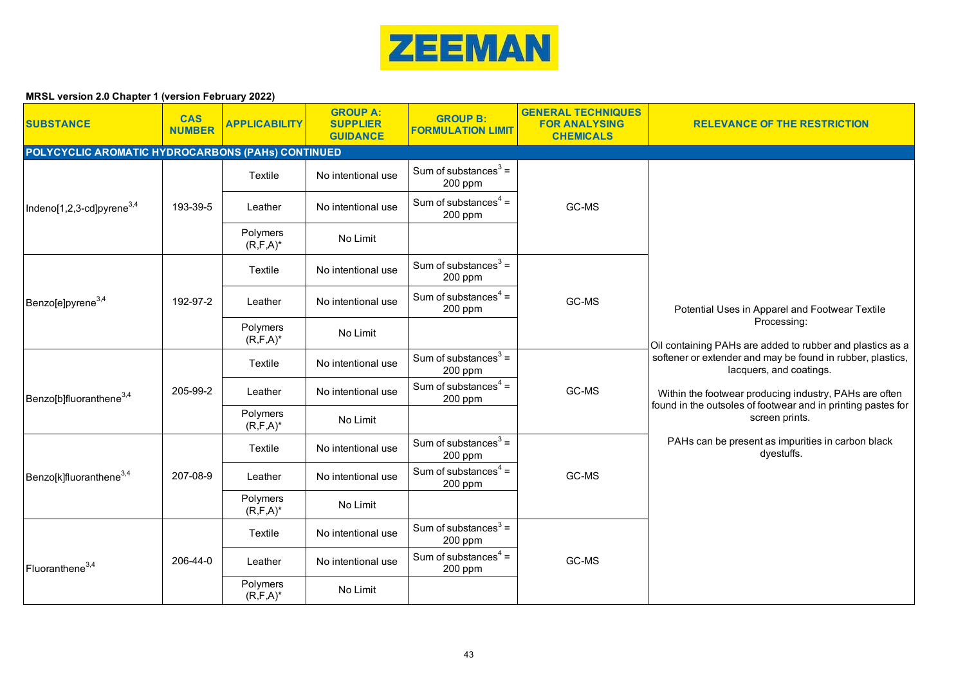

| <b>SUBSTANCE</b>                                  | <b>CAS</b><br><b>NUMBER</b> | <b>APPLICABILITY</b>      | <b>GROUP A:</b><br><b>SUPPLIER</b><br><b>GUIDANCE</b> | <b>GROUP B:</b><br><b>FORMULATION LIMIT</b> | <b>GENERAL TECHNIQUES</b><br><b>FOR ANALYSING</b><br><b>CHEMICALS</b> | <b>RELEVANCE OF THE RESTRICTION</b>                                                                                    |
|---------------------------------------------------|-----------------------------|---------------------------|-------------------------------------------------------|---------------------------------------------|-----------------------------------------------------------------------|------------------------------------------------------------------------------------------------------------------------|
| POLYCYCLIC AROMATIC HYDROCARBONS (PAHs) CONTINUED |                             |                           |                                                       |                                             |                                                                       |                                                                                                                        |
|                                                   |                             | Textile                   | No intentional use                                    | Sum of substances $3 =$<br>200 ppm          |                                                                       |                                                                                                                        |
| Indeno[1,2,3-cd]pyrene $^{3,4}$                   | 193-39-5                    | Leather                   | No intentional use                                    | Sum of substances $4 =$<br>200 ppm          | GC-MS                                                                 |                                                                                                                        |
|                                                   |                             | Polymers<br>$(R, F, A)^*$ | No Limit                                              |                                             |                                                                       |                                                                                                                        |
|                                                   |                             | Textile                   | No intentional use                                    | Sum of substances $3 =$<br>200 ppm          |                                                                       |                                                                                                                        |
| Benzo[e]pyrene <sup>3,4</sup>                     | 192-97-2                    | Leather                   | No intentional use                                    | Sum of substances $4 =$<br>200 ppm          | GC-MS                                                                 | Potential Uses in Apparel and Footwear Textile                                                                         |
|                                                   |                             | Polymers<br>$(R, F, A)^*$ | No Limit                                              |                                             |                                                                       | Processing:<br>Oil containing PAHs are added to rubber and plastics as a                                               |
|                                                   |                             | Textile                   | No intentional use                                    | Sum of substances $3 =$<br>200 ppm          |                                                                       | softener or extender and may be found in rubber, plastics,<br>lacquers, and coatings.                                  |
| Benzo[b]fluoranthene <sup>3,4</sup>               | 205-99-2                    | Leather                   | No intentional use                                    | Sum of substances $4 =$<br>200 ppm          | GC-MS                                                                 | Within the footwear producing industry, PAHs are often<br>found in the outsoles of footwear and in printing pastes for |
|                                                   |                             | Polymers<br>$(R, F, A)^*$ | No Limit                                              |                                             |                                                                       | screen prints.                                                                                                         |
|                                                   |                             | Textile                   | No intentional use                                    | Sum of substances $3 =$<br>200 ppm          |                                                                       | PAHs can be present as impurities in carbon black<br>dyestuffs.                                                        |
| Benzo[k]fluoranthene <sup>3,4</sup>               | 207-08-9                    | Leather                   | No intentional use                                    | Sum of substances $4 =$<br>200 ppm          | GC-MS                                                                 |                                                                                                                        |
|                                                   |                             | Polymers<br>$(R, F, A)^*$ | No Limit                                              |                                             |                                                                       |                                                                                                                        |
|                                                   |                             | Textile                   | No intentional use                                    | Sum of substances $3 =$<br>200 ppm          |                                                                       |                                                                                                                        |
| Fluoranthene <sup>3,4</sup>                       | 206-44-0                    | Leather                   | No intentional use                                    | Sum of substances $4 =$<br>200 ppm          | GC-MS                                                                 |                                                                                                                        |
|                                                   |                             | Polymers<br>$(R, F, A)^*$ | No Limit                                              |                                             |                                                                       |                                                                                                                        |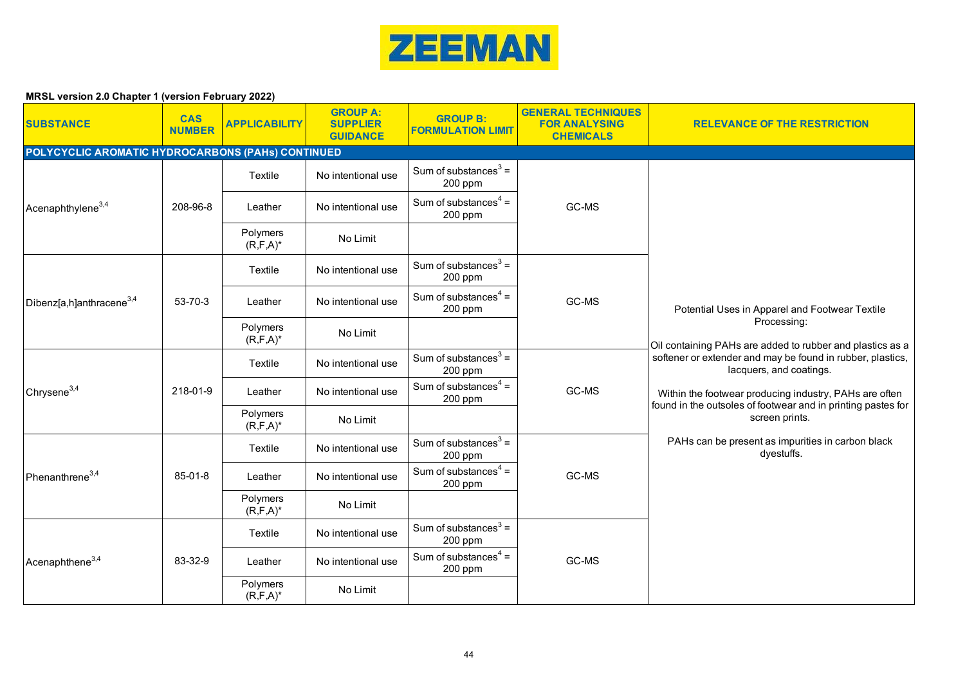

| <b>SUBSTANCE</b>                                  | <b>CAS</b><br><b>NUMBER</b> | <b>APPLICABILITY</b>      | <b>GROUP A:</b><br><b>SUPPLIER</b><br><b>GUIDANCE</b> | <b>GROUP B:</b><br><b>FORMULATION LIMIT</b> | <b>GENERAL TECHNIQUES</b><br><b>FOR ANALYSING</b><br><b>CHEMICALS</b> | <b>RELEVANCE OF THE RESTRICTION</b>                                                                                                                                                                                                                                                                                                                                              |
|---------------------------------------------------|-----------------------------|---------------------------|-------------------------------------------------------|---------------------------------------------|-----------------------------------------------------------------------|----------------------------------------------------------------------------------------------------------------------------------------------------------------------------------------------------------------------------------------------------------------------------------------------------------------------------------------------------------------------------------|
| POLYCYCLIC AROMATIC HYDROCARBONS (PAHs) CONTINUED |                             |                           |                                                       |                                             |                                                                       |                                                                                                                                                                                                                                                                                                                                                                                  |
|                                                   |                             | Textile                   | No intentional use                                    | Sum of substances $3 =$<br>200 ppm          |                                                                       |                                                                                                                                                                                                                                                                                                                                                                                  |
| Acenaphthylene <sup>3,4</sup>                     | 208-96-8                    | Leather                   | No intentional use                                    | Sum of substances $4 =$<br>200 ppm          | GC-MS                                                                 |                                                                                                                                                                                                                                                                                                                                                                                  |
|                                                   |                             | Polymers<br>$(R, F, A)^*$ | No Limit                                              |                                             |                                                                       |                                                                                                                                                                                                                                                                                                                                                                                  |
|                                                   |                             | Textile                   | No intentional use                                    | Sum of substances $3 =$<br>200 ppm          |                                                                       |                                                                                                                                                                                                                                                                                                                                                                                  |
| Dibenz[a,h]anthracene <sup>3,4</sup>              | 53-70-3                     | Leather                   | No intentional use                                    | Sum of substances $4 =$<br>200 ppm          | GC-MS                                                                 | Potential Uses in Apparel and Footwear Textile                                                                                                                                                                                                                                                                                                                                   |
|                                                   |                             | Polymers<br>$(R, F, A)^*$ | No Limit                                              |                                             |                                                                       | Processing:<br>Oil containing PAHs are added to rubber and plastics as a<br>softener or extender and may be found in rubber, plastics,<br>lacquers, and coatings.<br>Within the footwear producing industry, PAHs are often<br>found in the outsoles of footwear and in printing pastes for<br>screen prints.<br>PAHs can be present as impurities in carbon black<br>dyestuffs. |
|                                                   | 218-01-9                    | Textile                   | No intentional use                                    | Sum of substances $3 =$<br>200 ppm          | GC-MS                                                                 |                                                                                                                                                                                                                                                                                                                                                                                  |
| Chrysene <sup>3,4</sup>                           |                             | Leather                   | No intentional use                                    | Sum of substances $4 =$<br>$200$ ppm        |                                                                       |                                                                                                                                                                                                                                                                                                                                                                                  |
|                                                   |                             | Polymers<br>$(R, F, A)^*$ | No Limit                                              |                                             |                                                                       |                                                                                                                                                                                                                                                                                                                                                                                  |
|                                                   |                             | Textile                   | No intentional use                                    | Sum of substances $3 =$<br>200 ppm          |                                                                       |                                                                                                                                                                                                                                                                                                                                                                                  |
| Phenanthrene <sup>3,4</sup>                       | $85 - 01 - 8$               | Leather                   | No intentional use                                    | Sum of substances $4 =$<br>200 ppm          | GC-MS                                                                 |                                                                                                                                                                                                                                                                                                                                                                                  |
|                                                   |                             | Polymers<br>$(R, F, A)^*$ | No Limit                                              |                                             |                                                                       |                                                                                                                                                                                                                                                                                                                                                                                  |
|                                                   |                             | Textile                   | No intentional use                                    | Sum of substances $3 =$<br>200 ppm          |                                                                       |                                                                                                                                                                                                                                                                                                                                                                                  |
| Acenaphthene <sup>3,4</sup>                       | 83-32-9                     | Leather                   | No intentional use                                    | Sum of substances $4 =$<br>200 ppm          | GC-MS                                                                 |                                                                                                                                                                                                                                                                                                                                                                                  |
|                                                   |                             | Polymers<br>$(R, F, A)^*$ | No Limit                                              |                                             |                                                                       |                                                                                                                                                                                                                                                                                                                                                                                  |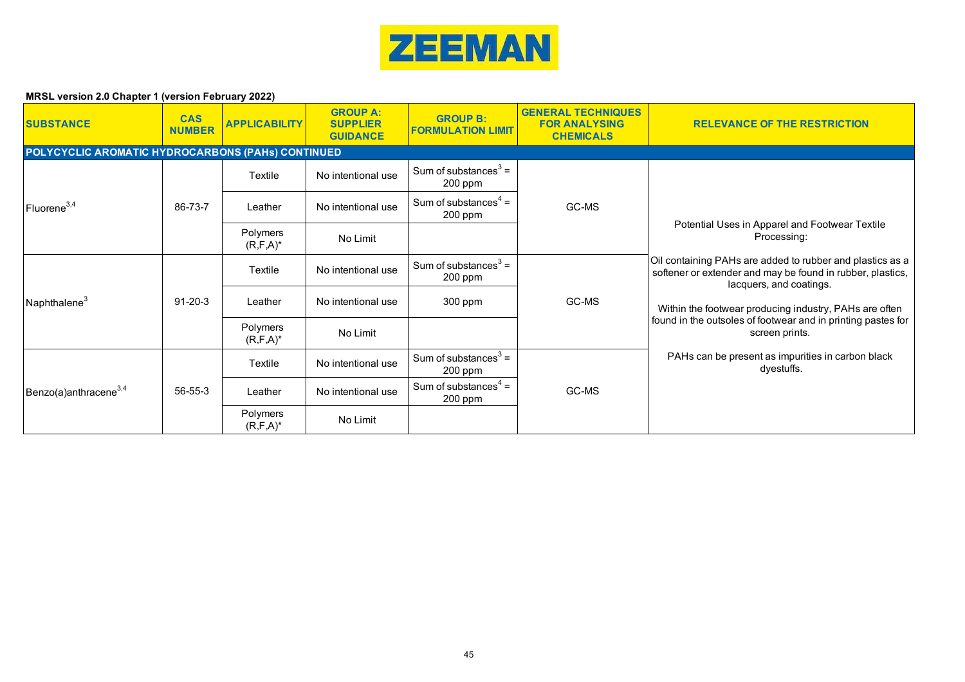

| <b>SUBSTANCE</b>                                  | <b>CAS</b><br><b>NUMBER</b> | <b>APPLICABILITY</b>      | <b>GROUP A:</b><br><b>SUPPLIER</b><br><b>GUIDANCE</b> | <b>GROUP B:</b><br><b>FORMULATION LIMIT</b> | <b>GENERAL TECHNIQUES</b><br><b>FOR ANALYSING</b><br><b>CHEMICALS</b> | <b>RELEVANCE OF THE RESTRICTION</b>                                                                                                                |  |  |  |
|---------------------------------------------------|-----------------------------|---------------------------|-------------------------------------------------------|---------------------------------------------|-----------------------------------------------------------------------|----------------------------------------------------------------------------------------------------------------------------------------------------|--|--|--|
| POLYCYCLIC AROMATIC HYDROCARBONS (PAHs) CONTINUED |                             |                           |                                                       |                                             |                                                                       |                                                                                                                                                    |  |  |  |
| Fluorene <sup>3,4</sup>                           |                             | Textile                   | No intentional use                                    | Sum of substances $3 =$<br>200 ppm          | GC-MS                                                                 |                                                                                                                                                    |  |  |  |
|                                                   | 86-73-7                     | Leather                   | No intentional use                                    | Sum of substances $4 =$<br>$200$ ppm        |                                                                       | Potential Uses in Apparel and Footwear Textile<br>Processing:                                                                                      |  |  |  |
|                                                   |                             | Polymers<br>$(R, F, A)^*$ | No Limit                                              |                                             |                                                                       |                                                                                                                                                    |  |  |  |
|                                                   | $91 - 20 - 3$               | Textile                   | No intentional use                                    | Sum of substances $3 =$<br>$200$ ppm        | GC-MS                                                                 | Oil containing PAHs are added to rubber and plastics as a<br>softener or extender and may be found in rubber, plastics,<br>lacquers, and coatings. |  |  |  |
| Naphthalene <sup>3</sup>                          |                             | Leather                   | No intentional use                                    | 300 ppm                                     |                                                                       | Within the footwear producing industry, PAHs are often<br>found in the outsoles of footwear and in printing pastes for<br>screen prints.           |  |  |  |
|                                                   |                             | Polymers<br>$(R, F, A)^*$ | No Limit                                              |                                             |                                                                       |                                                                                                                                                    |  |  |  |
| Benzo(a)anthracene $^{3,4}$                       |                             | Textile                   | No intentional use                                    | Sum of substances $3 =$<br>200 ppm          | GC-MS                                                                 | PAHs can be present as impurities in carbon black<br>dyestuffs.                                                                                    |  |  |  |
|                                                   | 56-55-3                     | Leather                   | No intentional use                                    | Sum of substances $4 =$<br>$200$ ppm        |                                                                       |                                                                                                                                                    |  |  |  |
|                                                   |                             | Polymers<br>$(R, F, A)^*$ | No Limit                                              |                                             |                                                                       |                                                                                                                                                    |  |  |  |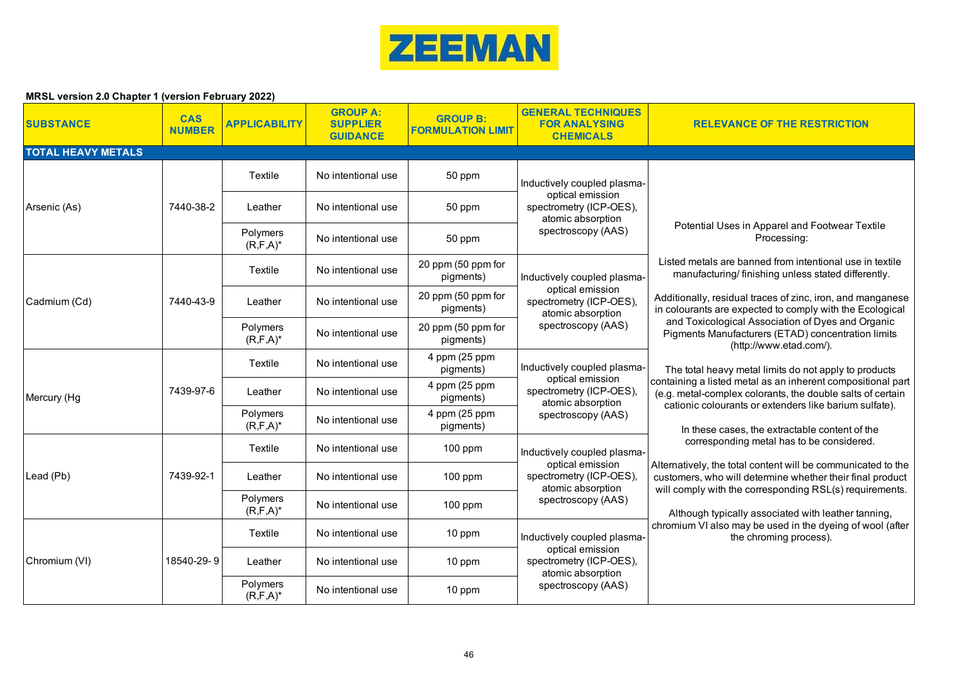

| <b>SUBSTANCE</b>          | <b>CAS</b><br><b>NUMBER</b> | <b>APPLICABILITY</b>      | <b>GROUP A:</b><br><b>SUPPLIER</b><br><b>GUIDANCE</b> | <b>GROUP B:</b><br><b>FORMULATION LIMIT</b> | <b>GENERAL TECHNIQUES</b><br><b>FOR ANALYSING</b><br><b>CHEMICALS</b>                                                 | <b>RELEVANCE OF THE RESTRICTION</b>                                                                                                                                                                                                                                                                                                                                                                                                                                        |
|---------------------------|-----------------------------|---------------------------|-------------------------------------------------------|---------------------------------------------|-----------------------------------------------------------------------------------------------------------------------|----------------------------------------------------------------------------------------------------------------------------------------------------------------------------------------------------------------------------------------------------------------------------------------------------------------------------------------------------------------------------------------------------------------------------------------------------------------------------|
| <b>TOTAL HEAVY METALS</b> |                             |                           |                                                       |                                             |                                                                                                                       |                                                                                                                                                                                                                                                                                                                                                                                                                                                                            |
|                           |                             | Textile                   | No intentional use                                    | 50 ppm                                      | Inductively coupled plasma-                                                                                           |                                                                                                                                                                                                                                                                                                                                                                                                                                                                            |
| Arsenic (As)              | 7440-38-2                   | Leather                   | No intentional use                                    | 50 ppm                                      | optical emission<br>spectrometry (ICP-OES),<br>atomic absorption<br>spectroscopy (AAS)                                |                                                                                                                                                                                                                                                                                                                                                                                                                                                                            |
|                           |                             | Polymers<br>$(R, F, A)^*$ | No intentional use                                    | 50 ppm                                      |                                                                                                                       | Potential Uses in Apparel and Footwear Textile<br>Processing:                                                                                                                                                                                                                                                                                                                                                                                                              |
|                           |                             | Textile                   | No intentional use                                    | 20 ppm (50 ppm for<br>pigments)             | Inductively coupled plasma-                                                                                           | Listed metals are banned from intentional use in textile<br>manufacturing/finishing unless stated differently.                                                                                                                                                                                                                                                                                                                                                             |
| Cadmium (Cd)              | 7440-43-9                   | Leather                   | No intentional use                                    | 20 ppm (50 ppm for<br>pigments)             | optical emission<br>spectrometry (ICP-OES),<br>atomic absorption<br>spectroscopy (AAS)                                | Additionally, residual traces of zinc, iron, and manganese<br>in colourants are expected to comply with the Ecological                                                                                                                                                                                                                                                                                                                                                     |
|                           |                             | Polymers<br>$(R, F, A)^*$ | No intentional use                                    | 20 ppm (50 ppm for<br>pigments)             |                                                                                                                       | and Toxicological Association of Dyes and Organic<br>Pigments Manufacturers (ETAD) concentration limits<br>(http://www.etad.com/).                                                                                                                                                                                                                                                                                                                                         |
|                           | 7439-97-6                   | Textile                   | No intentional use                                    | 4 ppm (25 ppm<br>pigments)                  | Inductively coupled plasma-<br>optical emission<br>spectrometry (ICP-OES),<br>atomic absorption<br>spectroscopy (AAS) | The total heavy metal limits do not apply to products                                                                                                                                                                                                                                                                                                                                                                                                                      |
| Mercury (Hg               |                             | Leather                   | No intentional use                                    | 4 ppm (25 ppm<br>pigments)                  |                                                                                                                       | containing a listed metal as an inherent compositional part<br>(e.g. metal-complex colorants, the double salts of certain<br>cationic colourants or extenders like barium sulfate).<br>In these cases, the extractable content of the<br>corresponding metal has to be considered.<br>Alternatively, the total content will be communicated to the<br>customers, who will determine whether their final product<br>will comply with the corresponding RSL(s) requirements. |
|                           |                             | Polymers<br>$(R, F, A)^*$ | No intentional use                                    | 4 ppm (25 ppm<br>pigments)                  |                                                                                                                       |                                                                                                                                                                                                                                                                                                                                                                                                                                                                            |
|                           |                             | Textile                   | No intentional use                                    | 100 ppm                                     | Inductively coupled plasma-                                                                                           |                                                                                                                                                                                                                                                                                                                                                                                                                                                                            |
| Lead (Pb)                 | 7439-92-1                   | Leather                   | No intentional use                                    | $100$ ppm                                   | optical emission<br>spectrometry (ICP-OES),<br>atomic absorption                                                      |                                                                                                                                                                                                                                                                                                                                                                                                                                                                            |
|                           |                             | Polymers<br>$(R, F, A)^*$ | No intentional use                                    | 100 ppm                                     | spectroscopy (AAS)                                                                                                    | Although typically associated with leather tanning,                                                                                                                                                                                                                                                                                                                                                                                                                        |
|                           |                             | Textile                   | No intentional use                                    | 10 ppm                                      | Inductively coupled plasma-<br>optical emission<br>spectrometry (ICP-OES),<br>atomic absorption<br>spectroscopy (AAS) | chromium VI also may be used in the dyeing of wool (after<br>the chroming process).                                                                                                                                                                                                                                                                                                                                                                                        |
| Chromium (VI)             | 18540-29-9                  | Leather                   | No intentional use                                    | 10 ppm                                      |                                                                                                                       |                                                                                                                                                                                                                                                                                                                                                                                                                                                                            |
|                           |                             | Polymers<br>$(R, F, A)^*$ | No intentional use                                    | 10 ppm                                      |                                                                                                                       |                                                                                                                                                                                                                                                                                                                                                                                                                                                                            |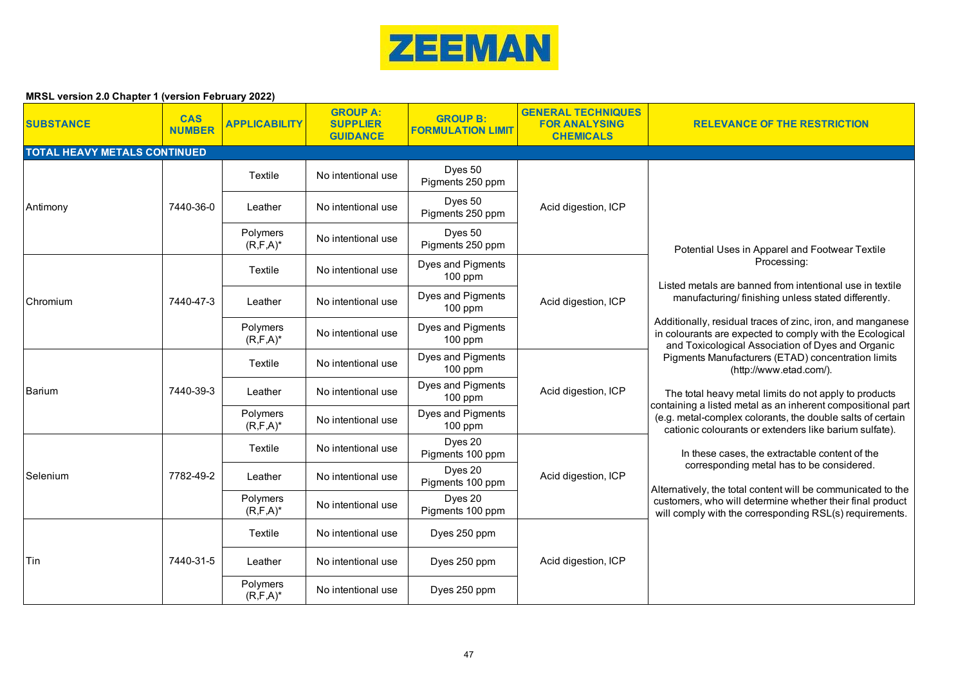

| <b>SUBSTANCE</b>                    | <b>CAS</b><br><b>NUMBER</b> | <b>APPLICABILITY</b>      | <b>GROUP A:</b><br><b>SUPPLIER</b><br><b>GUIDANCE</b> | <b>GROUP B:</b><br><b>FORMULATION LIMIT</b> | <b>GENERAL TECHNIQUES</b><br><b>FOR ANALYSING</b><br><b>CHEMICALS</b> | <b>RELEVANCE OF THE RESTRICTION</b>                                                                                                                                                                                                                                                                                                                                                                                                                                                          |
|-------------------------------------|-----------------------------|---------------------------|-------------------------------------------------------|---------------------------------------------|-----------------------------------------------------------------------|----------------------------------------------------------------------------------------------------------------------------------------------------------------------------------------------------------------------------------------------------------------------------------------------------------------------------------------------------------------------------------------------------------------------------------------------------------------------------------------------|
| <b>TOTAL HEAVY METALS CONTINUED</b> |                             |                           |                                                       |                                             |                                                                       |                                                                                                                                                                                                                                                                                                                                                                                                                                                                                              |
|                                     |                             | Textile                   | No intentional use                                    | Dyes 50<br>Pigments 250 ppm                 | Acid digestion, ICP                                                   |                                                                                                                                                                                                                                                                                                                                                                                                                                                                                              |
| Antimony                            | 7440-36-0                   | Leather                   | No intentional use                                    | Dyes 50<br>Pigments 250 ppm                 |                                                                       |                                                                                                                                                                                                                                                                                                                                                                                                                                                                                              |
|                                     |                             | Polymers<br>$(R, F, A)^*$ | No intentional use                                    | Dyes 50<br>Pigments 250 ppm                 |                                                                       | Potential Uses in Apparel and Footwear Textile                                                                                                                                                                                                                                                                                                                                                                                                                                               |
|                                     |                             | Textile                   | No intentional use                                    | Dyes and Pigments<br>$100$ ppm              |                                                                       | Processing:<br>Listed metals are banned from intentional use in textile                                                                                                                                                                                                                                                                                                                                                                                                                      |
| Chromium                            | 7440-47-3                   | Leather                   | No intentional use                                    | Dyes and Pigments<br>$100$ ppm              | Acid digestion, ICP                                                   | manufacturing/finishing unless stated differently.                                                                                                                                                                                                                                                                                                                                                                                                                                           |
|                                     |                             | Polymers<br>$(R, F, A)^*$ | No intentional use                                    | Dyes and Pigments<br>$100$ ppm              |                                                                       | Additionally, residual traces of zinc, iron, and manganese<br>in colourants are expected to comply with the Ecological<br>and Toxicological Association of Dyes and Organic                                                                                                                                                                                                                                                                                                                  |
|                                     | 7440-39-3                   | Textile                   | No intentional use                                    | Dyes and Pigments<br>$100$ ppm              | Acid digestion, ICP                                                   | Pigments Manufacturers (ETAD) concentration limits<br>(http://www.etad.com/).<br>The total heavy metal limits do not apply to products<br>containing a listed metal as an inherent compositional part<br>(e.g. metal-complex colorants, the double salts of certain<br>cationic colourants or extenders like barium sulfate).<br>In these cases, the extractable content of the<br>corresponding metal has to be considered.<br>Alternatively, the total content will be communicated to the |
| Barium                              |                             | Leather                   | No intentional use                                    | Dyes and Pigments<br>100 ppm                |                                                                       |                                                                                                                                                                                                                                                                                                                                                                                                                                                                                              |
|                                     |                             | Polymers<br>$(R, F, A)^*$ | No intentional use                                    | Dyes and Pigments<br>100 ppm                |                                                                       |                                                                                                                                                                                                                                                                                                                                                                                                                                                                                              |
|                                     |                             | Textile                   | No intentional use                                    | Dyes 20<br>Pigments 100 ppm                 |                                                                       |                                                                                                                                                                                                                                                                                                                                                                                                                                                                                              |
| Selenium                            | 7782-49-2                   | Leather                   | No intentional use                                    | Dyes 20<br>Pigments 100 ppm                 | Acid digestion, ICP                                                   |                                                                                                                                                                                                                                                                                                                                                                                                                                                                                              |
|                                     |                             | Polymers<br>$(R, F, A)^*$ | No intentional use                                    | Dyes 20<br>Pigments 100 ppm                 |                                                                       | customers, who will determine whether their final product<br>will comply with the corresponding RSL(s) requirements.                                                                                                                                                                                                                                                                                                                                                                         |
| Tin                                 |                             | Textile                   | No intentional use                                    | Dyes 250 ppm                                | Acid digestion, ICP                                                   |                                                                                                                                                                                                                                                                                                                                                                                                                                                                                              |
|                                     | 7440-31-5                   | Leather                   | No intentional use                                    | Dyes 250 ppm                                |                                                                       |                                                                                                                                                                                                                                                                                                                                                                                                                                                                                              |
|                                     |                             | Polymers<br>$(R, F, A)^*$ | No intentional use                                    | Dyes 250 ppm                                |                                                                       |                                                                                                                                                                                                                                                                                                                                                                                                                                                                                              |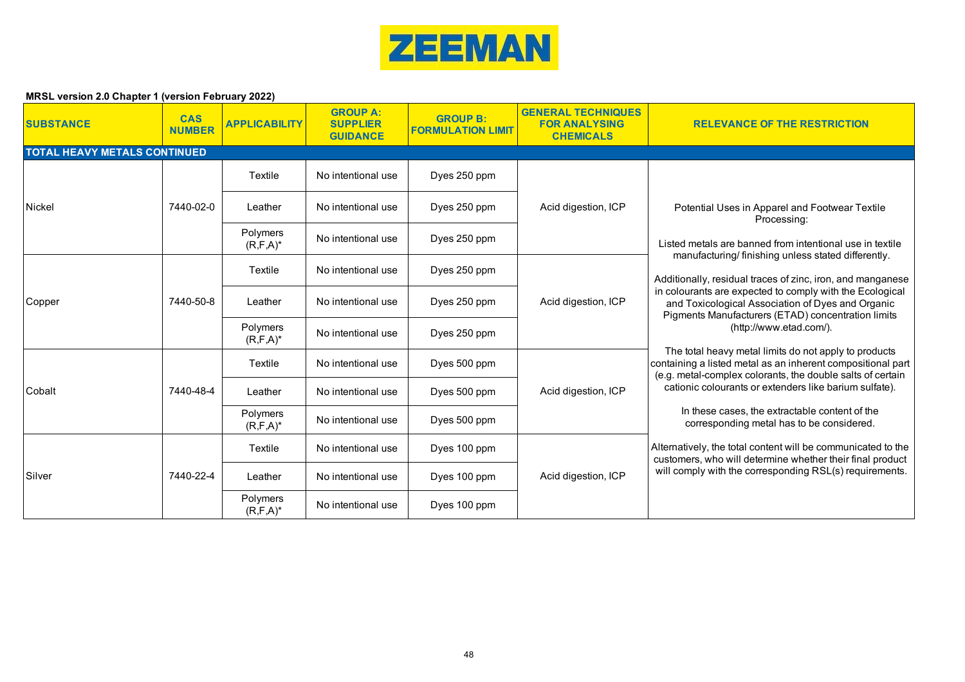

| <b>SUBSTANCE</b>                    | <b>CAS</b><br><b>NUMBER</b> | <b>APPLICABILITY</b>             | <b>GROUP A:</b><br><b>SUPPLIER</b><br><b>GUIDANCE</b> | <b>GROUP B:</b><br><b>FORMULATION LIMIT</b> | <b>GENERAL TECHNIQUES</b><br><b>FOR ANALYSING</b><br><b>CHEMICALS</b> | <b>RELEVANCE OF THE RESTRICTION</b>                                                                                                                                                                                                                                                                                                                                                                                                                                                                                                                                                                                                   |
|-------------------------------------|-----------------------------|----------------------------------|-------------------------------------------------------|---------------------------------------------|-----------------------------------------------------------------------|---------------------------------------------------------------------------------------------------------------------------------------------------------------------------------------------------------------------------------------------------------------------------------------------------------------------------------------------------------------------------------------------------------------------------------------------------------------------------------------------------------------------------------------------------------------------------------------------------------------------------------------|
| <b>TOTAL HEAVY METALS CONTINUED</b> |                             |                                  |                                                       |                                             |                                                                       |                                                                                                                                                                                                                                                                                                                                                                                                                                                                                                                                                                                                                                       |
|                                     |                             | Textile                          | No intentional use                                    | Dyes 250 ppm                                |                                                                       |                                                                                                                                                                                                                                                                                                                                                                                                                                                                                                                                                                                                                                       |
| <b>Nickel</b>                       | 7440-02-0                   | Leather                          | No intentional use                                    | Dyes 250 ppm                                | Acid digestion, ICP                                                   | Potential Uses in Apparel and Footwear Textile<br>Processing:<br>Listed metals are banned from intentional use in textile<br>manufacturing/finishing unless stated differently.<br>Additionally, residual traces of zinc, iron, and manganese<br>in colourants are expected to comply with the Ecological<br>and Toxicological Association of Dyes and Organic<br>Pigments Manufacturers (ETAD) concentration limits<br>(http://www.etad.com/).<br>The total heavy metal limits do not apply to products<br>containing a listed metal as an inherent compositional part<br>(e.g. metal-complex colorants, the double salts of certain |
|                                     |                             | Polymers<br>$(R, F, A)^*$        | No intentional use                                    | Dyes 250 ppm                                |                                                                       |                                                                                                                                                                                                                                                                                                                                                                                                                                                                                                                                                                                                                                       |
| Copper                              | 7440-50-8                   | Textile                          | No intentional use                                    | Dyes 250 ppm                                | Acid digestion, ICP                                                   |                                                                                                                                                                                                                                                                                                                                                                                                                                                                                                                                                                                                                                       |
|                                     |                             | Leather                          | No intentional use                                    | Dyes 250 ppm                                |                                                                       |                                                                                                                                                                                                                                                                                                                                                                                                                                                                                                                                                                                                                                       |
|                                     |                             | <b>Polymers</b><br>$(R, F, A)^*$ | No intentional use                                    | Dyes 250 ppm                                |                                                                       |                                                                                                                                                                                                                                                                                                                                                                                                                                                                                                                                                                                                                                       |
|                                     |                             | Textile                          | No intentional use                                    | Dyes 500 ppm                                |                                                                       |                                                                                                                                                                                                                                                                                                                                                                                                                                                                                                                                                                                                                                       |
| Cobalt                              | 7440-48-4                   | Leather                          | No intentional use                                    | Dyes 500 ppm                                | Acid digestion, ICP                                                   | cationic colourants or extenders like barium sulfate).                                                                                                                                                                                                                                                                                                                                                                                                                                                                                                                                                                                |
|                                     |                             | Polymers<br>$(R, F, A)^*$        | No intentional use                                    | Dyes 500 ppm                                |                                                                       | In these cases, the extractable content of the<br>corresponding metal has to be considered.                                                                                                                                                                                                                                                                                                                                                                                                                                                                                                                                           |
| Silver                              |                             | Textile                          | No intentional use                                    | Dyes 100 ppm                                | Acid digestion, ICP                                                   | Alternatively, the total content will be communicated to the<br>customers, who will determine whether their final product                                                                                                                                                                                                                                                                                                                                                                                                                                                                                                             |
|                                     | 7440-22-4                   | Leather                          | No intentional use                                    | Dyes 100 ppm                                |                                                                       | will comply with the corresponding RSL(s) requirements.                                                                                                                                                                                                                                                                                                                                                                                                                                                                                                                                                                               |
|                                     |                             | Polymers<br>$(R, F, A)^*$        | No intentional use                                    | Dyes 100 ppm                                |                                                                       |                                                                                                                                                                                                                                                                                                                                                                                                                                                                                                                                                                                                                                       |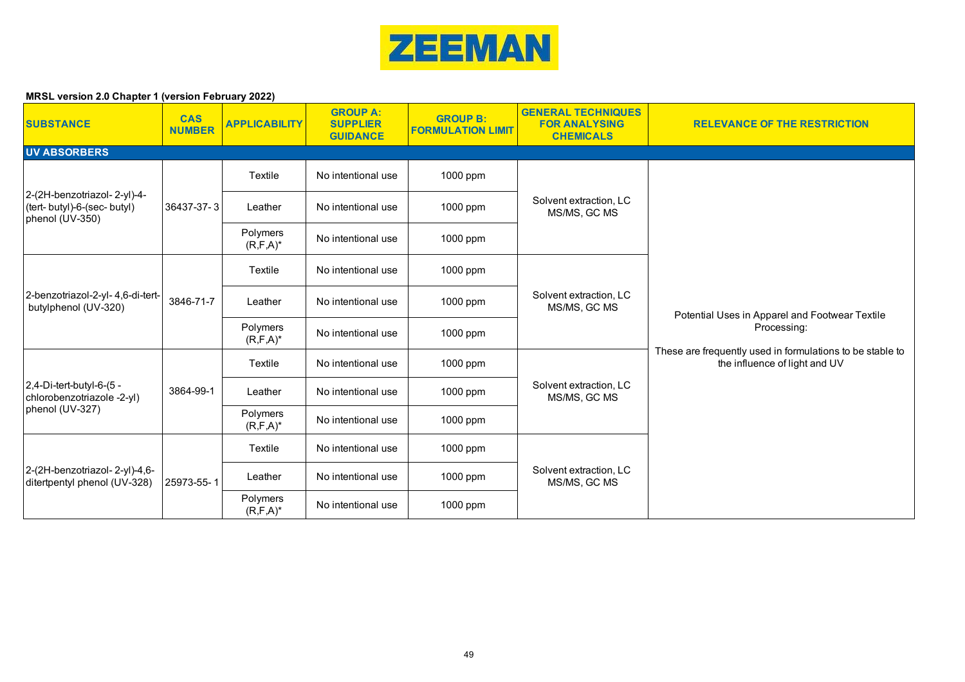

| <b>SUBSTANCE</b>                                                               | <b>CAS</b><br><b>NUMBER</b> | <b>APPLICABILITY</b>      | <b>GROUP A:</b><br><b>SUPPLIER</b><br><b>GUIDANCE</b> | <b>GROUP B:</b><br><b>FORMULATION LIMIT</b> | <b>GENERAL TECHNIQUES</b><br><b>FOR ANALYSING</b><br><b>CHEMICALS</b> | <b>RELEVANCE OF THE RESTRICTION</b>                                                                                                                         |
|--------------------------------------------------------------------------------|-----------------------------|---------------------------|-------------------------------------------------------|---------------------------------------------|-----------------------------------------------------------------------|-------------------------------------------------------------------------------------------------------------------------------------------------------------|
| <b>UV ABSORBERS</b>                                                            |                             |                           |                                                       |                                             |                                                                       |                                                                                                                                                             |
|                                                                                |                             | Textile                   | No intentional use                                    | 1000 ppm                                    |                                                                       |                                                                                                                                                             |
| 2-(2H-benzotriazol-2-yl)-4-<br>(tert- butyl)-6-(sec- butyl)<br>phenol (UV-350) | 36437-37-3                  | Leather                   | No intentional use                                    | 1000 ppm                                    | Solvent extraction, LC<br>MS/MS, GC MS                                |                                                                                                                                                             |
|                                                                                |                             | Polymers<br>$(R, F, A)^*$ | No intentional use                                    | 1000 ppm                                    |                                                                       |                                                                                                                                                             |
|                                                                                |                             | Textile                   | No intentional use                                    | 1000 ppm                                    |                                                                       |                                                                                                                                                             |
| 2-benzotriazol-2-yl- 4,6-di-tert-<br>butylphenol (UV-320)                      | 3846-71-7                   | Leather                   | No intentional use                                    | 1000 ppm                                    | Solvent extraction, LC<br>MS/MS, GC MS                                | Potential Uses in Apparel and Footwear Textile<br>Processing:<br>These are frequently used in formulations to be stable to<br>the influence of light and UV |
|                                                                                |                             | Polymers<br>$(R, F, A)^*$ | No intentional use                                    | 1000 ppm                                    |                                                                       |                                                                                                                                                             |
|                                                                                |                             | Textile                   | No intentional use                                    | 1000 ppm                                    |                                                                       |                                                                                                                                                             |
| 2,4-Di-tert-butyl-6-(5 -<br>chlorobenzotriazole -2-yl)                         | 3864-99-1                   | Leather                   | No intentional use                                    | 1000 ppm                                    | Solvent extraction, LC<br>MS/MS, GC MS                                |                                                                                                                                                             |
| phenol (UV-327)                                                                |                             | Polymers<br>$(R, F, A)^*$ | No intentional use                                    | 1000 ppm                                    |                                                                       |                                                                                                                                                             |
|                                                                                |                             | Textile                   | No intentional use                                    | 1000 ppm                                    | Solvent extraction, LC<br>MS/MS, GC MS                                |                                                                                                                                                             |
| 2-(2H-benzotriazol-2-yl)-4,6-<br>ditertpentyl phenol (UV-328)                  | 25973-55-1                  | Leather                   | No intentional use                                    | 1000 ppm                                    |                                                                       |                                                                                                                                                             |
|                                                                                |                             | Polymers<br>$(R, F, A)^*$ | No intentional use                                    | 1000 ppm                                    |                                                                       |                                                                                                                                                             |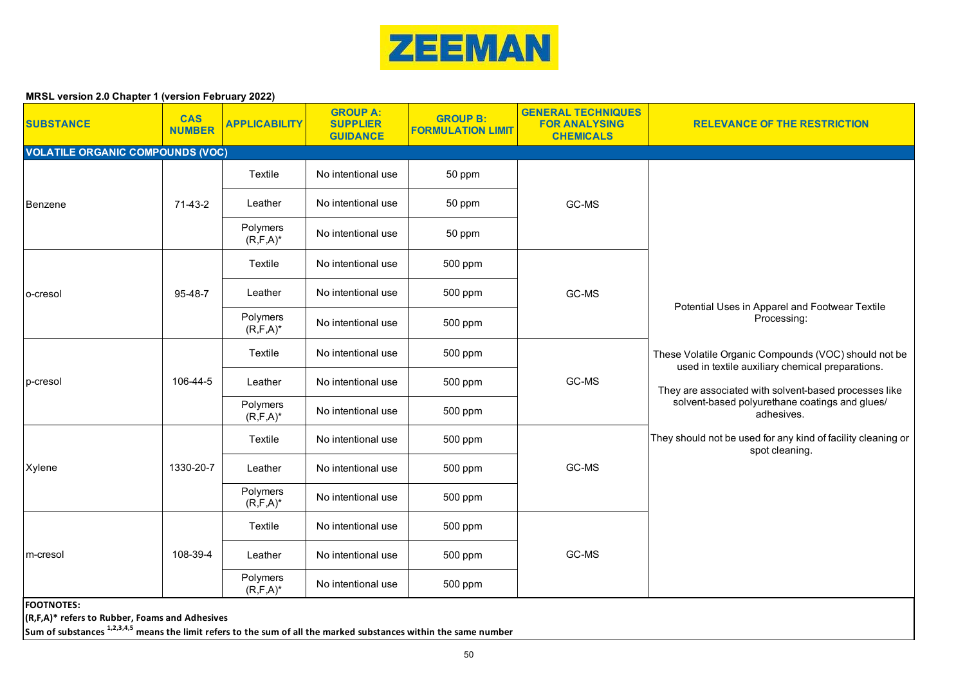

| <b>SUBSTANCE</b>                        | <b>CAS</b><br><b>NUMBER</b>                                                                                                                                                    | <b>APPLICABILITY</b>      | <b>GROUP A:</b><br><b>SUPPLIER</b><br><b>GUIDANCE</b> | <b>GROUP B:</b><br><b>FORMULATION LIMIT</b> | <b>GENERAL TECHNIQUES</b><br><b>FOR ANALYSING</b><br><b>CHEMICALS</b> | <b>RELEVANCE OF THE RESTRICTION</b>                                                                                                                                                                                                                                                                                                                                                  |  |
|-----------------------------------------|--------------------------------------------------------------------------------------------------------------------------------------------------------------------------------|---------------------------|-------------------------------------------------------|---------------------------------------------|-----------------------------------------------------------------------|--------------------------------------------------------------------------------------------------------------------------------------------------------------------------------------------------------------------------------------------------------------------------------------------------------------------------------------------------------------------------------------|--|
| <b>VOLATILE ORGANIC COMPOUNDS (VOC)</b> |                                                                                                                                                                                |                           |                                                       |                                             |                                                                       |                                                                                                                                                                                                                                                                                                                                                                                      |  |
|                                         |                                                                                                                                                                                | Textile                   | No intentional use                                    | 50 ppm                                      |                                                                       |                                                                                                                                                                                                                                                                                                                                                                                      |  |
| Benzene                                 | 71-43-2                                                                                                                                                                        | Leather                   | No intentional use                                    | 50 ppm                                      | GC-MS                                                                 |                                                                                                                                                                                                                                                                                                                                                                                      |  |
|                                         |                                                                                                                                                                                | Polymers<br>$(R, F, A)^*$ | No intentional use                                    | 50 ppm                                      |                                                                       |                                                                                                                                                                                                                                                                                                                                                                                      |  |
|                                         |                                                                                                                                                                                | Textile                   | No intentional use                                    | 500 ppm                                     |                                                                       |                                                                                                                                                                                                                                                                                                                                                                                      |  |
| o-cresol                                | 95-48-7                                                                                                                                                                        | Leather                   | No intentional use                                    | 500 ppm                                     | GC-MS                                                                 |                                                                                                                                                                                                                                                                                                                                                                                      |  |
|                                         |                                                                                                                                                                                | Polymers<br>$(R, F, A)^*$ | No intentional use                                    | 500 ppm                                     |                                                                       | Potential Uses in Apparel and Footwear Textile<br>Processing:<br>These Volatile Organic Compounds (VOC) should not be<br>used in textile auxiliary chemical preparations.<br>They are associated with solvent-based processes like<br>solvent-based polyurethane coatings and glues/<br>adhesives.<br>They should not be used for any kind of facility cleaning or<br>spot cleaning. |  |
|                                         | 106-44-5                                                                                                                                                                       | Textile                   | No intentional use                                    | 500 ppm                                     | GC-MS                                                                 |                                                                                                                                                                                                                                                                                                                                                                                      |  |
| p-cresol                                |                                                                                                                                                                                | Leather                   | No intentional use                                    | 500 ppm                                     |                                                                       |                                                                                                                                                                                                                                                                                                                                                                                      |  |
|                                         |                                                                                                                                                                                | Polymers<br>$(R, F, A)^*$ | No intentional use                                    | 500 ppm                                     |                                                                       |                                                                                                                                                                                                                                                                                                                                                                                      |  |
|                                         |                                                                                                                                                                                | Textile                   | No intentional use                                    | 500 ppm                                     |                                                                       |                                                                                                                                                                                                                                                                                                                                                                                      |  |
| Xylene                                  | 1330-20-7                                                                                                                                                                      | Leather                   | No intentional use                                    | 500 ppm                                     | GC-MS                                                                 |                                                                                                                                                                                                                                                                                                                                                                                      |  |
|                                         |                                                                                                                                                                                | Polymers<br>$(R, F, A)^*$ | No intentional use                                    | 500 ppm                                     |                                                                       |                                                                                                                                                                                                                                                                                                                                                                                      |  |
|                                         |                                                                                                                                                                                | Textile                   | No intentional use                                    | 500 ppm                                     |                                                                       |                                                                                                                                                                                                                                                                                                                                                                                      |  |
| m-cresol                                | 108-39-4                                                                                                                                                                       | Leather                   | No intentional use                                    | 500 ppm                                     | GC-MS                                                                 |                                                                                                                                                                                                                                                                                                                                                                                      |  |
|                                         |                                                                                                                                                                                | Polymers<br>$(R, F, A)^*$ | No intentional use                                    | 500 ppm                                     |                                                                       |                                                                                                                                                                                                                                                                                                                                                                                      |  |
| <b>FOOTNOTES:</b>                       | (R,F,A)* refers to Rubber, Foams and Adhesives<br>Sum of substances <sup>1,2,3,4,5</sup> means the limit refers to the sum of all the marked substances within the same number |                           |                                                       |                                             |                                                                       |                                                                                                                                                                                                                                                                                                                                                                                      |  |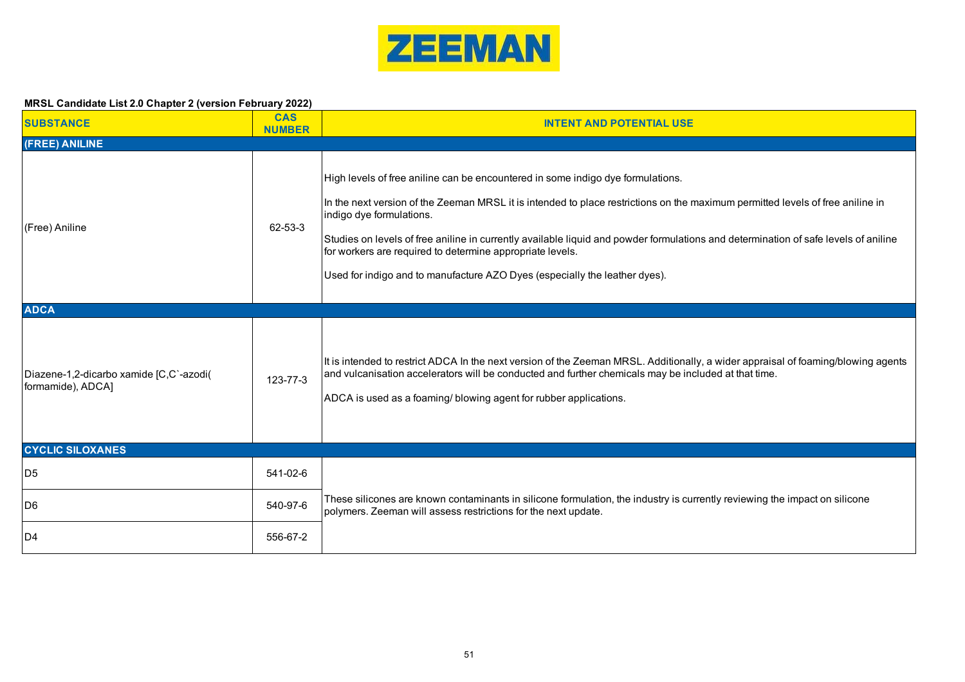

| <b>SUBSTANCE</b>                                             | <b>CAS</b><br><b>NUMBER</b> | <b>INTENT AND POTENTIAL USE</b>                                                                                                                                                                                                                                                                                                                                                                                                                                                                                                 |
|--------------------------------------------------------------|-----------------------------|---------------------------------------------------------------------------------------------------------------------------------------------------------------------------------------------------------------------------------------------------------------------------------------------------------------------------------------------------------------------------------------------------------------------------------------------------------------------------------------------------------------------------------|
| (FREE) ANILINE                                               |                             |                                                                                                                                                                                                                                                                                                                                                                                                                                                                                                                                 |
| (Free) Aniline                                               | 62-53-3                     | High levels of free aniline can be encountered in some indigo dye formulations.<br>In the next version of the Zeeman MRSL it is intended to place restrictions on the maximum permitted levels of free aniline in<br>indigo dye formulations.<br>Studies on levels of free aniline in currently available liquid and powder formulations and determination of safe levels of aniline<br>for workers are required to determine appropriate levels.<br>Used for indigo and to manufacture AZO Dyes (especially the leather dyes). |
| <b>ADCA</b>                                                  |                             |                                                                                                                                                                                                                                                                                                                                                                                                                                                                                                                                 |
| Diazene-1,2-dicarbo xamide [C,C`-azodi(<br>formamide), ADCA] | 123-77-3                    | It is intended to restrict ADCA In the next version of the Zeeman MRSL. Additionally, a wider appraisal of foaming/blowing agents<br>and vulcanisation accelerators will be conducted and further chemicals may be included at that time.<br>ADCA is used as a foaming/ blowing agent for rubber applications.                                                                                                                                                                                                                  |
| <b>CYCLIC SILOXANES</b>                                      |                             |                                                                                                                                                                                                                                                                                                                                                                                                                                                                                                                                 |
| D <sub>5</sub>                                               | 541-02-6                    |                                                                                                                                                                                                                                                                                                                                                                                                                                                                                                                                 |
| D6                                                           | 540-97-6                    | These silicones are known contaminants in silicone formulation, the industry is currently reviewing the impact on silicone<br>polymers. Zeeman will assess restrictions for the next update.                                                                                                                                                                                                                                                                                                                                    |
| ID <sub>4</sub>                                              | 556-67-2                    |                                                                                                                                                                                                                                                                                                                                                                                                                                                                                                                                 |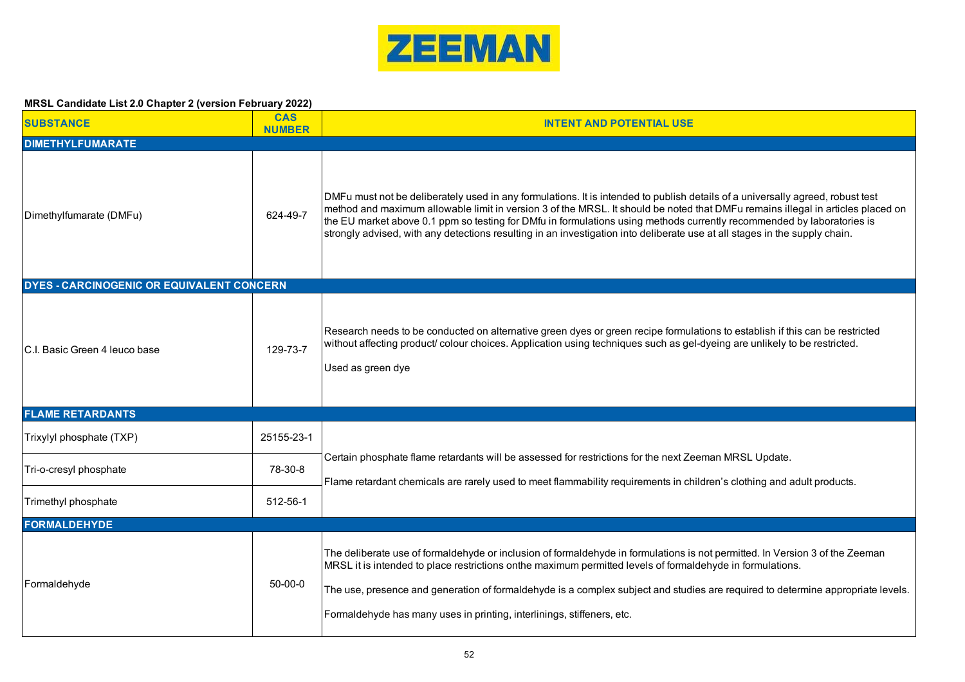

| <b>SUBSTANCE</b>                                 | <b>CAS</b><br><b>NUMBER</b> | <b>INTENT AND POTENTIAL USE</b>                                                                                                                                                                                                                                                                                                                                                                                                                                                                                           |  |  |  |
|--------------------------------------------------|-----------------------------|---------------------------------------------------------------------------------------------------------------------------------------------------------------------------------------------------------------------------------------------------------------------------------------------------------------------------------------------------------------------------------------------------------------------------------------------------------------------------------------------------------------------------|--|--|--|
| <b>DIMETHYLFUMARATE</b>                          |                             |                                                                                                                                                                                                                                                                                                                                                                                                                                                                                                                           |  |  |  |
| Dimethylfumarate (DMFu)                          | 624-49-7                    | DMFu must not be deliberately used in any formulations. It is intended to publish details of a universally agreed, robust test<br>method and maximum allowable limit in version 3 of the MRSL. It should be noted that DMFu remains illegal in articles placed on<br>the EU market above 0.1 ppm so testing for DMfu in formulations using methods currently recommended by laboratories is<br>strongly advised, with any detections resulting in an investigation into deliberate use at all stages in the supply chain. |  |  |  |
| <b>DYES - CARCINOGENIC OR EQUIVALENT CONCERN</b> |                             |                                                                                                                                                                                                                                                                                                                                                                                                                                                                                                                           |  |  |  |
| IC.I. Basic Green 4 leuco base                   | 129-73-7                    | Research needs to be conducted on alternative green dyes or green recipe formulations to establish if this can be restricted<br>without affecting product/ colour choices. Application using techniques such as gel-dyeing are unlikely to be restricted.<br>Used as green dye                                                                                                                                                                                                                                            |  |  |  |
| <b>FLAME RETARDANTS</b>                          |                             |                                                                                                                                                                                                                                                                                                                                                                                                                                                                                                                           |  |  |  |
| Trixylyl phosphate (TXP)                         | 25155-23-1                  |                                                                                                                                                                                                                                                                                                                                                                                                                                                                                                                           |  |  |  |
| Tri-o-cresyl phosphate                           | 78-30-8                     | Certain phosphate flame retardants will be assessed for restrictions for the next Zeeman MRSL Update.<br>Flame retardant chemicals are rarely used to meet flammability requirements in children's clothing and adult products.                                                                                                                                                                                                                                                                                           |  |  |  |
| Trimethyl phosphate                              | 512-56-1                    |                                                                                                                                                                                                                                                                                                                                                                                                                                                                                                                           |  |  |  |
| <b>FORMALDEHYDE</b>                              |                             |                                                                                                                                                                                                                                                                                                                                                                                                                                                                                                                           |  |  |  |
| Formaldehyde                                     | $50-00-0$                   | The deliberate use of formaldehyde or inclusion of formaldehyde in formulations is not permitted. In Version 3 of the Zeeman<br>MRSL it is intended to place restrictions onthe maximum permitted levels of formaldehyde in formulations.<br>The use, presence and generation of formaldehyde is a complex subject and studies are required to determine appropriate levels.<br>Formaldehyde has many uses in printing, interlinings, stiffeners, etc.                                                                    |  |  |  |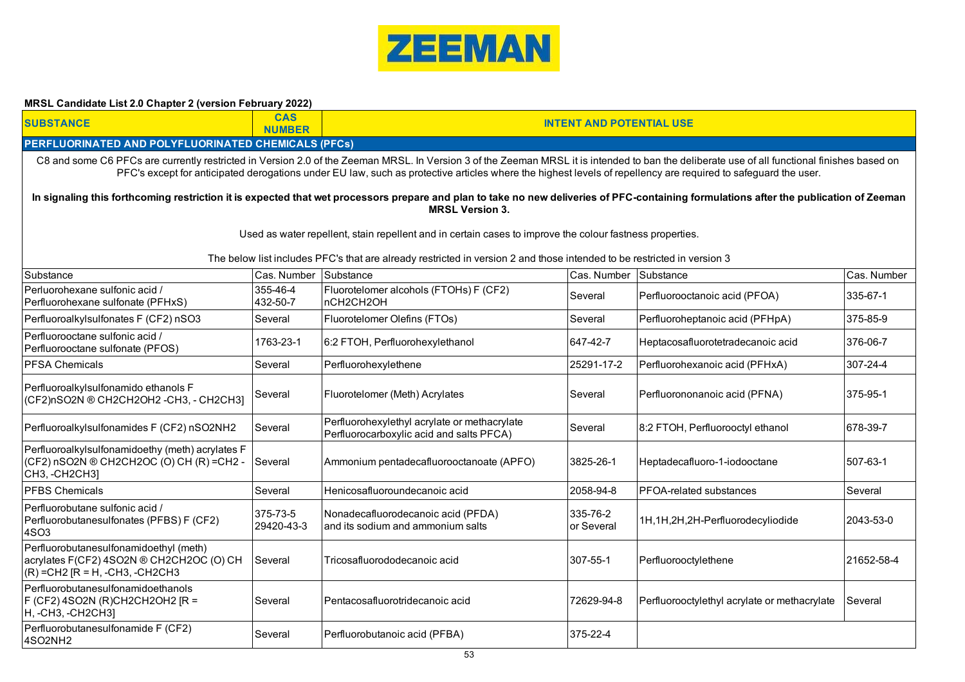

| <b>SUBSTANCE</b>                                                                                                                                                                                                                                                                                                                                              | <b>NUMBER</b>          | <b>CAS</b><br><b>INTENT AND POTENTIAL USE</b>                                                                                                                                                                                       |                        |                                              |            |  |  |  |
|---------------------------------------------------------------------------------------------------------------------------------------------------------------------------------------------------------------------------------------------------------------------------------------------------------------------------------------------------------------|------------------------|-------------------------------------------------------------------------------------------------------------------------------------------------------------------------------------------------------------------------------------|------------------------|----------------------------------------------|------------|--|--|--|
| <b>PERFLUORINATED AND POLYFLUORINATED CHEMICALS (PFCs)</b>                                                                                                                                                                                                                                                                                                    |                        |                                                                                                                                                                                                                                     |                        |                                              |            |  |  |  |
| C8 and some C6 PFCs are currently restricted in Version 2.0 of the Zeeman MRSL. In Version 3 of the Zeeman MRSL it is intended to ban the deliberate use of all functional finishes based on<br>PFC's except for anticipated derogations under EU law, such as protective articles where the highest levels of repellency are required to safeguard the user. |                        |                                                                                                                                                                                                                                     |                        |                                              |            |  |  |  |
| In signaling this forthcoming restriction it is expected that wet processors prepare and plan to take no new deliveries of PFC-containing formulations after the publication of Zeeman<br><b>MRSL Version 3.</b>                                                                                                                                              |                        |                                                                                                                                                                                                                                     |                        |                                              |            |  |  |  |
|                                                                                                                                                                                                                                                                                                                                                               |                        | Used as water repellent, stain repellent and in certain cases to improve the colour fastness properties.<br>The below list includes PFC's that are already restricted in version 2 and those intended to be restricted in version 3 |                        |                                              |            |  |  |  |
| Substance<br>Substance<br>Substance<br>Cas. Number<br>Cas. Number<br>Cas. Number                                                                                                                                                                                                                                                                              |                        |                                                                                                                                                                                                                                     |                        |                                              |            |  |  |  |
| Perluorohexane sulfonic acid /<br>Perfluorohexane sulfonate (PFHxS)                                                                                                                                                                                                                                                                                           | 355-46-4<br>432-50-7   | Fluorotelomer alcohols (FTOHs) F (CF2)<br>nCH2CH2OH                                                                                                                                                                                 | Several                | Perfluorooctanoic acid (PFOA)                | 335-67-1   |  |  |  |
| Perfluoroalkylsulfonates F (CF2) nSO3                                                                                                                                                                                                                                                                                                                         | Several                | Fluorotelomer Olefins (FTOs)                                                                                                                                                                                                        | Several                | Perfluoroheptanoic acid (PFHpA)              | 375-85-9   |  |  |  |
| Perfluorooctane sulfonic acid /<br>Perfluorooctane sulfonate (PFOS)                                                                                                                                                                                                                                                                                           | 1763-23-1              | 6:2 FTOH, Perfluorohexylethanol                                                                                                                                                                                                     | 647-42-7               | Heptacosafluorotetradecanoic acid            | 376-06-7   |  |  |  |
| <b>PFSA Chemicals</b>                                                                                                                                                                                                                                                                                                                                         | Several                | Perfluorohexylethene                                                                                                                                                                                                                | 25291-17-2             | Perfluorohexanoic acid (PFHxA)               | 307-24-4   |  |  |  |
| Perfluoroalkylsulfonamido ethanols F<br>(CF2)nSO2N ® CH2CH2OH2-CH3, - CH2CH3]                                                                                                                                                                                                                                                                                 | Several                | Fluorotelomer (Meth) Acrylates                                                                                                                                                                                                      | Several                | Perfluorononanoic acid (PFNA)                | 375-95-1   |  |  |  |
| Perfluoroalkylsulfonamides F (CF2) nSO2NH2                                                                                                                                                                                                                                                                                                                    | Several                | Perfluorohexylethyl acrylate or methacrylate<br>Perfluorocarboxylic acid and salts PFCA)                                                                                                                                            | Several                | 8:2 FTOH, Perfluorooctyl ethanol             | 678-39-7   |  |  |  |
| Perfluoroalkylsulfonamidoethy (meth) acrylates F<br>(CF2) nSO2N ® CH2CH2OC (O) CH (R) = CH2 -<br>CH3, -CH2CH3]                                                                                                                                                                                                                                                | Several                | Ammonium pentadecafluorooctanoate (APFO)                                                                                                                                                                                            | 3825-26-1              | Heptadecafluoro-1-iodooctane                 | 507-63-1   |  |  |  |
| <b>PFBS Chemicals</b>                                                                                                                                                                                                                                                                                                                                         | Several                | Henicosafluoroundecanoic acid                                                                                                                                                                                                       | 2058-94-8              | <b>PFOA-related substances</b>               | Several    |  |  |  |
| Perfluorobutane sulfonic acid /<br>Perfluorobutanesulfonates (PFBS) F (CF2)<br>4SO3                                                                                                                                                                                                                                                                           | 375-73-5<br>29420-43-3 | Nonadecafluorodecanoic acid (PFDA)<br>and its sodium and ammonium salts                                                                                                                                                             | 335-76-2<br>or Several | 1H,1H,2H,2H-Perfluorodecyliodide             | 2043-53-0  |  |  |  |
| Perfluorobutanesulfonamidoethyl (meth)<br>acrylates F(CF2) 4SO2N ® CH2CH2OC (O) CH<br>$(R)$ = CH2 $[R = H, -CH3, -CH2CH3]$                                                                                                                                                                                                                                    | Several                | Tricosafluorododecanoic acid                                                                                                                                                                                                        | 307-55-1               | Perfluorooctylethene                         | 21652-58-4 |  |  |  |
| Perfluorobutanesulfonamidoethanols<br>F (CF2) 4SO2N (R)CH2CH2OH2 [R =<br> Н, -СН3, -СН2СН3]                                                                                                                                                                                                                                                                   | Several                | Pentacosafluorotridecanoic acid                                                                                                                                                                                                     | 72629-94-8             | Perfluorooctylethyl acrylate or methacrylate | Several    |  |  |  |
| Perfluorobutanesulfonamide F (CF2)<br>4SO2NH2                                                                                                                                                                                                                                                                                                                 | Several                | Perfluorobutanoic acid (PFBA)                                                                                                                                                                                                       | 375-22-4               |                                              |            |  |  |  |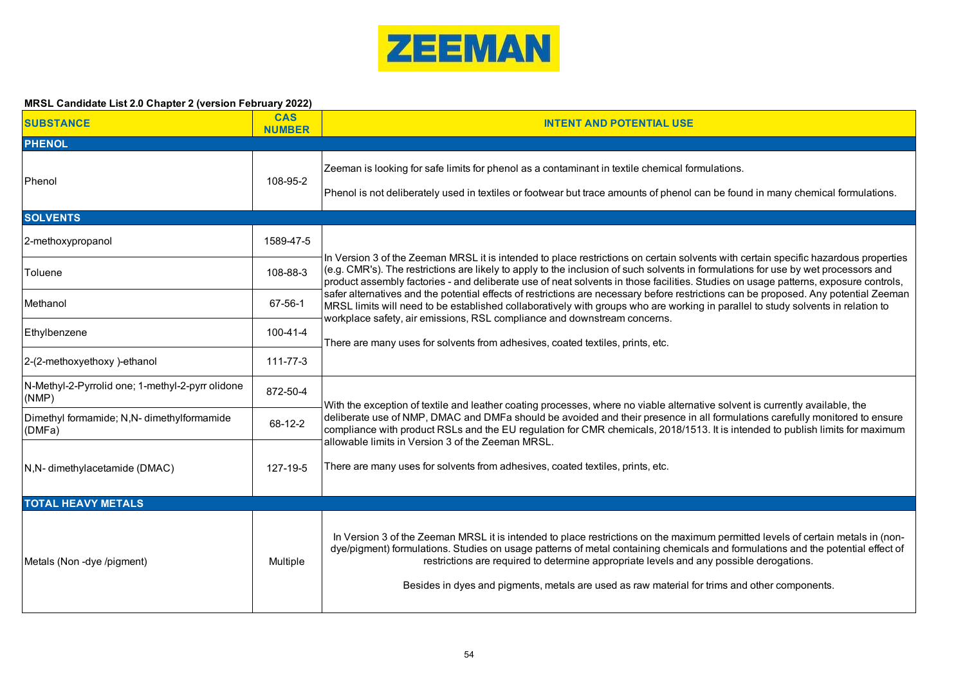

| <b>SUBSTANCE</b>                                          | <b>CAS</b><br><b>NUMBER</b> | <b>INTENT AND POTENTIAL USE</b>                                                                                                                                                                                                                                                                                                                                                                                                                                |  |  |  |  |
|-----------------------------------------------------------|-----------------------------|----------------------------------------------------------------------------------------------------------------------------------------------------------------------------------------------------------------------------------------------------------------------------------------------------------------------------------------------------------------------------------------------------------------------------------------------------------------|--|--|--|--|
| <b>PHENOL</b>                                             |                             |                                                                                                                                                                                                                                                                                                                                                                                                                                                                |  |  |  |  |
| Phenol                                                    | 108-95-2                    | Zeeman is looking for safe limits for phenol as a contaminant in textile chemical formulations.<br>Phenol is not deliberately used in textiles or footwear but trace amounts of phenol can be found in many chemical formulations.                                                                                                                                                                                                                             |  |  |  |  |
| <b>SOLVENTS</b>                                           |                             |                                                                                                                                                                                                                                                                                                                                                                                                                                                                |  |  |  |  |
| 2-methoxypropanol                                         | 1589-47-5                   |                                                                                                                                                                                                                                                                                                                                                                                                                                                                |  |  |  |  |
| Toluene                                                   | 108-88-3                    | In Version 3 of the Zeeman MRSL it is intended to place restrictions on certain solvents with certain specific hazardous properties<br>(e.g. CMR's). The restrictions are likely to apply to the inclusion of such solvents in formulations for use by wet processors and<br>product assembly factories - and deliberate use of neat solvents in those facilities. Studies on usage patterns, exposure controls,                                               |  |  |  |  |
| Methanol                                                  | 67-56-1                     | safer alternatives and the potential effects of restrictions are necessary before restrictions can be proposed. Any potential Zeeman<br>MRSL limits will need to be established collaboratively with groups who are working in parallel to study solvents in relation to<br>workplace safety, air emissions, RSL compliance and downstream concerns.                                                                                                           |  |  |  |  |
| Ethylbenzene                                              | 100-41-4                    | There are many uses for solvents from adhesives, coated textiles, prints, etc.                                                                                                                                                                                                                                                                                                                                                                                 |  |  |  |  |
| 2-(2-methoxyethoxy)-ethanol                               | 111-77-3                    |                                                                                                                                                                                                                                                                                                                                                                                                                                                                |  |  |  |  |
| N-Methyl-2-Pyrrolid one; 1-methyl-2-pyrr olidone<br>(NMP) | 872-50-4                    | With the exception of textile and leather coating processes, where no viable alternative solvent is currently available, the                                                                                                                                                                                                                                                                                                                                   |  |  |  |  |
| Dimethyl formamide; N,N- dimethylformamide<br>(DMFa)      | 68-12-2                     | deliberate use of NMP, DMAC and DMFa should be avoided and their presence in all formulations carefully monitored to ensure<br>compliance with product RSLs and the EU regulation for CMR chemicals, 2018/1513. It is intended to publish limits for maximum                                                                                                                                                                                                   |  |  |  |  |
| N,N- dimethylacetamide (DMAC)                             | 127-19-5                    | allowable limits in Version 3 of the Zeeman MRSL.<br>There are many uses for solvents from adhesives, coated textiles, prints, etc.                                                                                                                                                                                                                                                                                                                            |  |  |  |  |
| <b>TOTAL HEAVY METALS</b>                                 |                             |                                                                                                                                                                                                                                                                                                                                                                                                                                                                |  |  |  |  |
| Metals (Non-dye/pigment)                                  | Multiple                    | In Version 3 of the Zeeman MRSL it is intended to place restrictions on the maximum permitted levels of certain metals in (non-<br>dye/pigment) formulations. Studies on usage patterns of metal containing chemicals and formulations and the potential effect of<br>restrictions are required to determine appropriate levels and any possible derogations.<br>Besides in dyes and pigments, metals are used as raw material for trims and other components. |  |  |  |  |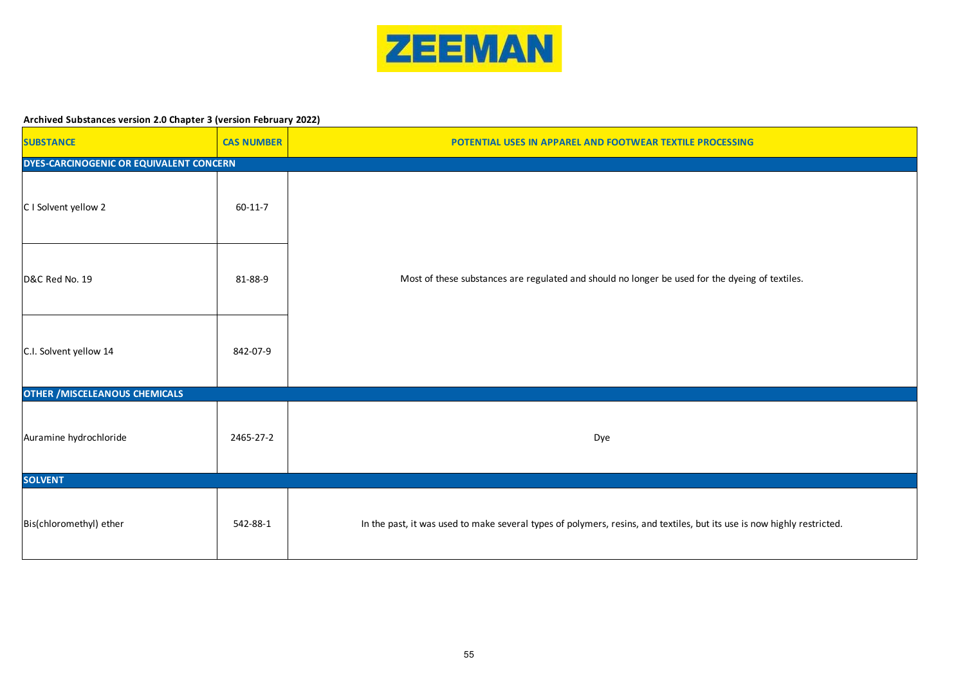

#### **Archived Substances version 2.0 Chapter 3 (version February 2022)**

| <b>SUBSTANCE</b>                        | <b>CAS NUMBER</b> | POTENTIAL USES IN APPAREL AND FOOTWEAR TEXTILE PROCESSING                                                               |  |  |  |  |
|-----------------------------------------|-------------------|-------------------------------------------------------------------------------------------------------------------------|--|--|--|--|
| DYES-CARCINOGENIC OR EQUIVALENT CONCERN |                   |                                                                                                                         |  |  |  |  |
| C I Solvent yellow 2                    | $60 - 11 - 7$     |                                                                                                                         |  |  |  |  |
| D&C Red No. 19                          | 81-88-9           | Most of these substances are regulated and should no longer be used for the dyeing of textiles.                         |  |  |  |  |
| C.I. Solvent yellow 14                  | 842-07-9          |                                                                                                                         |  |  |  |  |
| <b>OTHER / MISCELEANOUS CHEMICALS</b>   |                   |                                                                                                                         |  |  |  |  |
| Auramine hydrochloride                  | 2465-27-2         | Dye                                                                                                                     |  |  |  |  |
| <b>SOLVENT</b>                          |                   |                                                                                                                         |  |  |  |  |
| Bis(chloromethyl) ether                 | 542-88-1          | In the past, it was used to make several types of polymers, resins, and textiles, but its use is now highly restricted. |  |  |  |  |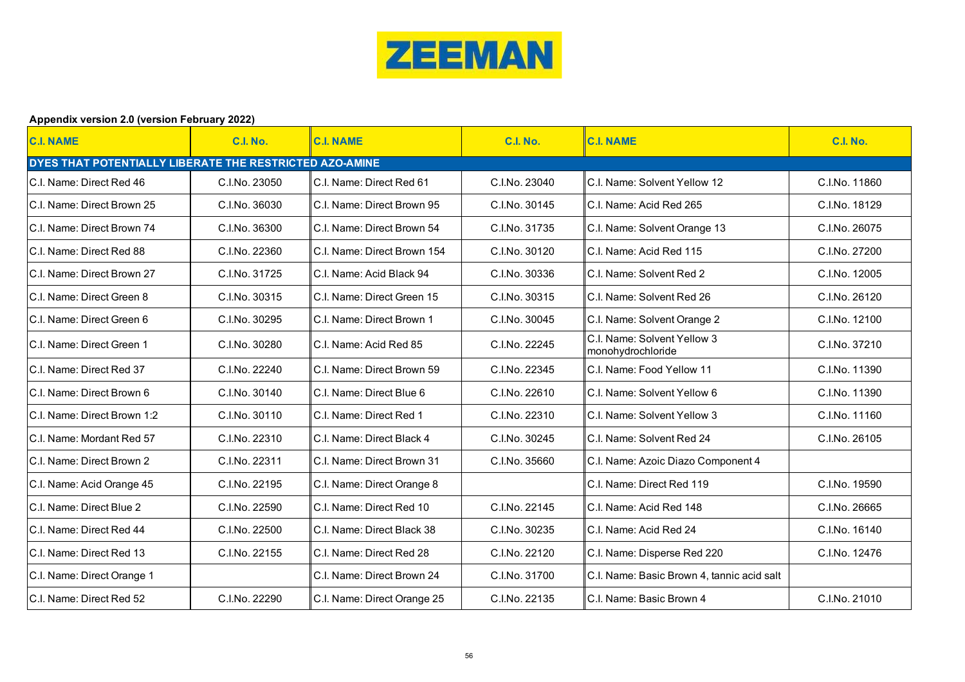

## **Appendix version 2.0 (version February 2022)**

| <b>C.I. NAME</b>                                        | <b>C.I. No.</b> | <b>C.I. NAME</b>            | <b>C.I. No.</b> | <b>C.I. NAME</b>                                 | <b>C.I. No.</b> |  |  |
|---------------------------------------------------------|-----------------|-----------------------------|-----------------|--------------------------------------------------|-----------------|--|--|
| DYES THAT POTENTIALLY LIBERATE THE RESTRICTED AZO-AMINE |                 |                             |                 |                                                  |                 |  |  |
| C.I. Name: Direct Red 46                                | C.I.No. 23050   | C.I. Name: Direct Red 61    | C.I.No. 23040   | C.I. Name: Solvent Yellow 12                     | C.I.No. 11860   |  |  |
| C.I. Name: Direct Brown 25                              | C.I.No. 36030   | C.I. Name: Direct Brown 95  | C.I.No. 30145   | C.I. Name: Acid Red 265                          | C.I.No. 18129   |  |  |
| C.I. Name: Direct Brown 74                              | C.I.No. 36300   | C.I. Name: Direct Brown 54  | C.I.No. 31735   | C.I. Name: Solvent Orange 13                     | C.I.No. 26075   |  |  |
| C.I. Name: Direct Red 88                                | C.I.No. 22360   | C.I. Name: Direct Brown 154 | C.I.No. 30120   | C.I. Name: Acid Red 115                          | C.I.No. 27200   |  |  |
| C.I. Name: Direct Brown 27                              | C.I.No. 31725   | C.I. Name: Acid Black 94    | C.I.No. 30336   | C.I. Name: Solvent Red 2                         | C.I.No. 12005   |  |  |
| C.I. Name: Direct Green 8                               | C.I.No. 30315   | C.I. Name: Direct Green 15  | C.I.No. 30315   | C.I. Name: Solvent Red 26                        | C.I.No. 26120   |  |  |
| C.I. Name: Direct Green 6                               | C.I.No. 30295   | C.I. Name: Direct Brown 1   | C.I.No. 30045   | C.I. Name: Solvent Orange 2                      | C.I.No. 12100   |  |  |
| C.I. Name: Direct Green 1                               | C.I.No. 30280   | C.I. Name: Acid Red 85      | C.I.No. 22245   | C.I. Name: Solvent Yellow 3<br>monohydrochloride | C.I.No. 37210   |  |  |
| C.I. Name: Direct Red 37                                | C.I.No. 22240   | C.I. Name: Direct Brown 59  | C.I.No. 22345   | C.I. Name: Food Yellow 11                        | C.I.No. 11390   |  |  |
| C.I. Name: Direct Brown 6                               | C.I.No. 30140   | C.I. Name: Direct Blue 6    | C.I.No. 22610   | C.I. Name: Solvent Yellow 6                      | C.I.No. 11390   |  |  |
| C.I. Name: Direct Brown 1:2                             | C.I.No. 30110   | C.I. Name: Direct Red 1     | C.I.No. 22310   | C.I. Name: Solvent Yellow 3                      | C.I.No. 11160   |  |  |
| C.I. Name: Mordant Red 57                               | C.I.No. 22310   | C.I. Name: Direct Black 4   | C.I.No. 30245   | C.I. Name: Solvent Red 24                        | C.I.No. 26105   |  |  |
| C.I. Name: Direct Brown 2                               | C.I.No. 22311   | C.I. Name: Direct Brown 31  | C.I.No. 35660   | C.I. Name: Azoic Diazo Component 4               |                 |  |  |
| C.I. Name: Acid Orange 45                               | C.I.No. 22195   | C.I. Name: Direct Orange 8  |                 | C.I. Name: Direct Red 119                        | C.I.No. 19590   |  |  |
| C.I. Name: Direct Blue 2                                | C.I.No. 22590   | C.I. Name: Direct Red 10    | C.I.No. 22145   | C.I. Name: Acid Red 148                          | C.I.No. 26665   |  |  |
| C.I. Name: Direct Red 44                                | C.I.No. 22500   | C.I. Name: Direct Black 38  | C.I.No. 30235   | C.I. Name: Acid Red 24                           | C.I.No. 16140   |  |  |
| C.I. Name: Direct Red 13                                | C.I.No. 22155   | C.I. Name: Direct Red 28    | C.I.No. 22120   | C.I. Name: Disperse Red 220                      | C.I.No. 12476   |  |  |
| C.I. Name: Direct Orange 1                              |                 | C.I. Name: Direct Brown 24  | C.I.No. 31700   | C.I. Name: Basic Brown 4, tannic acid salt       |                 |  |  |
| C.I. Name: Direct Red 52                                | C.I.No. 22290   | C.I. Name: Direct Orange 25 | C.I.No. 22135   | C.I. Name: Basic Brown 4                         | C.I.No. 21010   |  |  |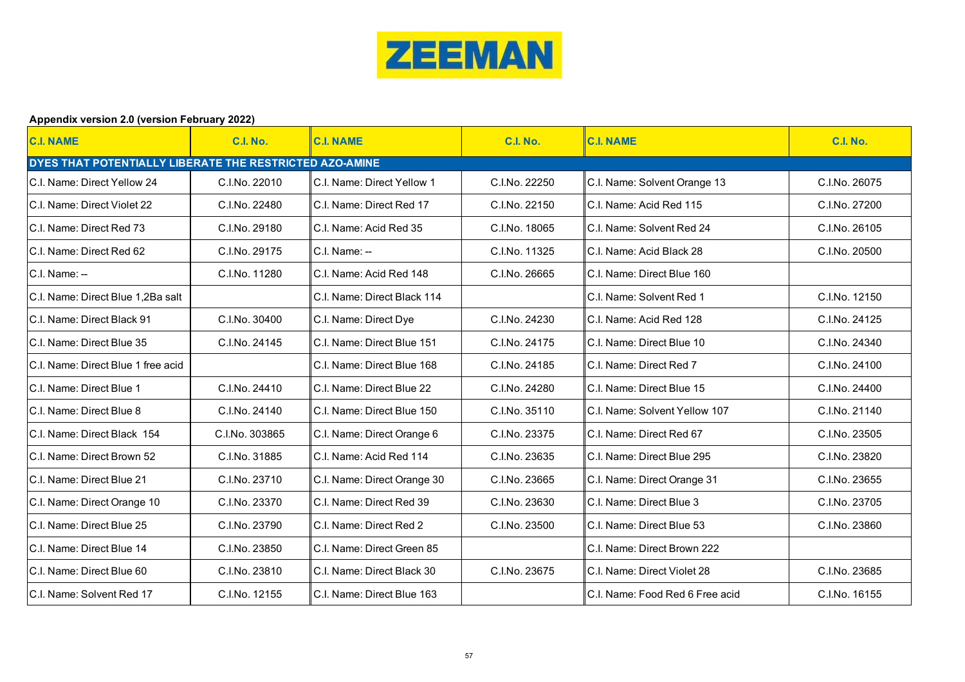

## **Appendix version 2.0 (version February 2022)**

| <b>C.I. NAME</b>                                        | <b>C.I. No.</b> | <b>C.I. NAME</b>            | <b>C.I. No.</b> | <b>C.I. NAME</b>                | <b>C.I. No.</b> |  |  |
|---------------------------------------------------------|-----------------|-----------------------------|-----------------|---------------------------------|-----------------|--|--|
| DYES THAT POTENTIALLY LIBERATE THE RESTRICTED AZO-AMINE |                 |                             |                 |                                 |                 |  |  |
| C.I. Name: Direct Yellow 24                             | C.I.No. 22010   | C.I. Name: Direct Yellow 1  | C.I.No. 22250   | C.I. Name: Solvent Orange 13    | C.I.No. 26075   |  |  |
| C.I. Name: Direct Violet 22                             | C.I.No. 22480   | C.I. Name: Direct Red 17    | C.I.No. 22150   | C.I. Name: Acid Red 115         | C.I.No. 27200   |  |  |
| C.I. Name: Direct Red 73                                | C.I.No. 29180   | C.I. Name: Acid Red 35      | C.I.No. 18065   | C.I. Name: Solvent Red 24       | C.I.No. 26105   |  |  |
| C.I. Name: Direct Red 62                                | C.I.No. 29175   | $C.I. Name: -$              | C.I.No. 11325   | C.I. Name: Acid Black 28        | C.I.No. 20500   |  |  |
| C.I. Name: --                                           | C.I.No. 11280   | C.I. Name: Acid Red 148     | C.I.No. 26665   | C.I. Name: Direct Blue 160      |                 |  |  |
| C.I. Name: Direct Blue 1.2Ba salt                       |                 | C.I. Name: Direct Black 114 |                 | C.I. Name: Solvent Red 1        | C.I.No. 12150   |  |  |
| C.I. Name: Direct Black 91                              | C.I.No. 30400   | C.I. Name: Direct Dye       | C.I.No. 24230   | C.I. Name: Acid Red 128         | C.I.No. 24125   |  |  |
| C.I. Name: Direct Blue 35                               | C.I.No. 24145   | C.I. Name: Direct Blue 151  | C.I.No. 24175   | C.I. Name: Direct Blue 10       | C.I.No. 24340   |  |  |
| C.I. Name: Direct Blue 1 free acid                      |                 | C.I. Name: Direct Blue 168  | C.I.No. 24185   | C.I. Name: Direct Red 7         | C.I.No. 24100   |  |  |
| C.I. Name: Direct Blue 1                                | C.I.No. 24410   | C.I. Name: Direct Blue 22   | C.I.No. 24280   | C.I. Name: Direct Blue 15       | C.I.No. 24400   |  |  |
| C.I. Name: Direct Blue 8                                | C.I.No. 24140   | C.I. Name: Direct Blue 150  | C.I.No. 35110   | C.I. Name: Solvent Yellow 107   | C.I.No. 21140   |  |  |
| C.I. Name: Direct Black 154                             | C.I.No. 303865  | C.I. Name: Direct Orange 6  | C.I.No. 23375   | C.I. Name: Direct Red 67        | C.I.No. 23505   |  |  |
| C.I. Name: Direct Brown 52                              | C.I.No. 31885   | C.I. Name: Acid Red 114     | C.I.No. 23635   | C.I. Name: Direct Blue 295      | C.I.No. 23820   |  |  |
| C.I. Name: Direct Blue 21                               | C.I.No. 23710   | C.I. Name: Direct Orange 30 | C.I.No. 23665   | C.I. Name: Direct Orange 31     | C.I.No. 23655   |  |  |
| C.I. Name: Direct Orange 10                             | C.I.No. 23370   | C.I. Name: Direct Red 39    | C.I.No. 23630   | C.I. Name: Direct Blue 3        | C.I.No. 23705   |  |  |
| C.I. Name: Direct Blue 25                               | C.I.No. 23790   | C.I. Name: Direct Red 2     | C.I.No. 23500   | C.I. Name: Direct Blue 53       | C.I.No. 23860   |  |  |
| C.I. Name: Direct Blue 14                               | C.I.No. 23850   | C.I. Name: Direct Green 85  |                 | C.I. Name: Direct Brown 222     |                 |  |  |
| C.I. Name: Direct Blue 60                               | C.I.No. 23810   | C.I. Name: Direct Black 30  | C.I.No. 23675   | C.I. Name: Direct Violet 28     | C.I.No. 23685   |  |  |
| C.I. Name: Solvent Red 17                               | C.I.No. 12155   | C.I. Name: Direct Blue 163  |                 | C.I. Name: Food Red 6 Free acid | C.I.No. 16155   |  |  |